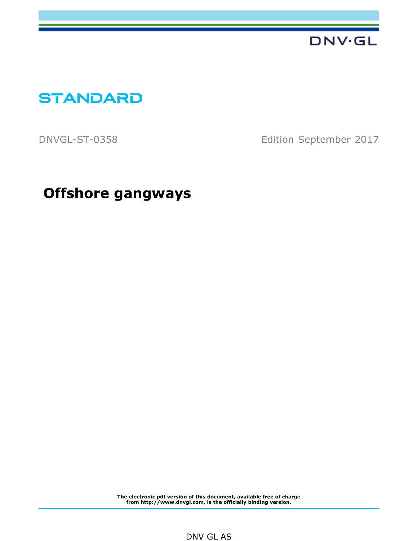

**STANDARD**

DNVGL-ST-0358 Edition September 2017

 **Offshore gangways**

**The electronic pdf version of this document, available free of charge from http://www.dnvgl.com, is the officially binding version.**

### DNV GL AS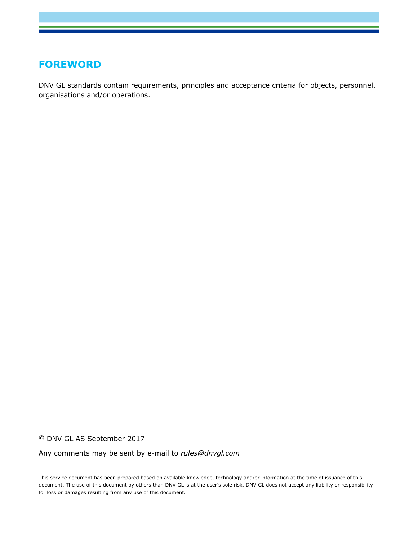## **FOREWORD**

DNV GL standards contain requirements, principles and acceptance criteria for objects, personnel, organisations and/or operations.

© DNV GL AS September 2017

Any comments may be sent by e-mail to *rules@dnvgl.com*

This service document has been prepared based on available knowledge, technology and/or information at the time of issuance of this document. The use of this document by others than DNV GL is at the user's sole risk. DNV GL does not accept any liability or responsibility for loss or damages resulting from any use of this document.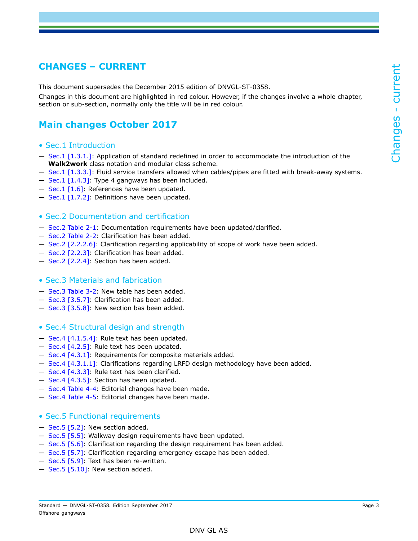### <span id="page-2-0"></span>**CHANGES – CURRENT**

This document supersedes the December 2015 edition of DNVGL-ST-0358.

Changes in this document are highlighted in red colour. However, if the changes involve a whole chapter, section or sub-section, normally only the title will be in red colour.

## **Main changes October 2017**

- Sec.1 Introduction
- $-$  Sec.1 [1.3.1.]: Application of standard redefined in order to accommodate the introduction of the **Walk2work** class notation and modular class scheme.
- Sec.1 [1.3.3.]: Fluid service transfers allowed when cables/pipes are fitted with break-away systems.
- $-$  Sec.1 [1.4.3]: Type 4 gangways has been included.
- $-$  Sec.1 [1.6]: References have been updated.
- Sec.1 [1.7.2]: Definitions have been updated.
- Sec.2 Documentation and certification
- Sec.2 Table 2-1: Documentation requirements have been updated/clarified.
- Sec.2 Table 2-2: Clarification has been added.
- Sec.2 [2.2.2.6]: Clarification regarding applicability of scope of work have been added.
- Sec.2 [2.2.3]: Clarification has been added.
- Sec.2 [2.2.4]: Section has been added.

#### • Sec.3 Materials and fabrication

- Sec.3 Table 3-2: New table has been added.
- Sec.3 [3.5.7]: Clarification has been added.
- Sec.3 [3.5.8]: New section bas been added.
- Sec.4 Structural design and strength
- Sec.4 [4.1.5.4]: Rule text has been updated.
- Sec.4 [4.2.5]: Rule text has been updated.
- Sec.4 [4.3.1]: Requirements for composite materials added.
- Sec.4 [4.3.1.1]: Clarifications regarding LRFD design methodology have been added.
- Sec.4 [4.3.3]: Rule text has been clarified.
- Sec.4 [4.3.5]: Section has been updated.
- Sec.4 Table 4-4: Editorial changes have been made.
- Sec.4 Table 4-5: Editorial changes have been made.

#### • Sec.5 Functional requirements

- Sec.5 [5.2]: New section added.
- Sec.5 [5.5]: Walkway design requirements have been updated.
- Sec.5 [5.6]: Clarification regarding the design requirement has been added.
- Sec.5 [5.7]: Clarification regarding emergency escape has been added.
- $-$  Sec.5 [5.9]: Text has been re-written.
- Sec.5 [5.10]: New section added.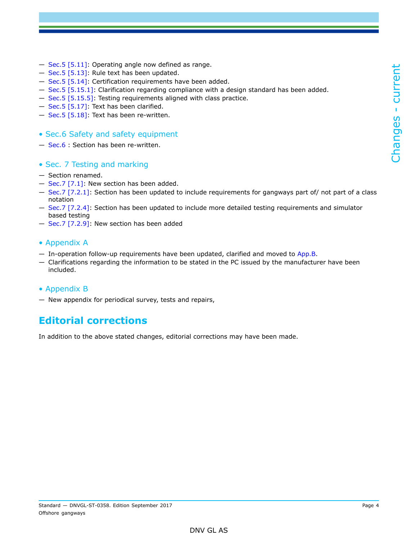- Sec.5 [5.11]: Operating angle now defined as range.
- Sec.5 [5.13]: Rule text has been updated.
- Sec.5 [5.14]: Certification requirements have been added.
- Sec.5 [5.15.1]: Clarification regarding compliance with a design standard has been added.
- Sec.5 [5.15.5]: Testing requirements aligned with class practice.
- Sec.5 [5.17]: Text has been clarified.
- Sec.5 [5.18]: Text has been re-written.
- Sec.6 Safety and safety equipment
- Sec.6 : Section has been re-written.

### • Sec. 7 Testing and marking

- Section renamed.
- $-$  Sec.7 [7.1]: New section has been added.
- Sec.7 [7.2.1]: Section has been updated to include requirements for gangways part of/ not part of a class notation
- Sec.7 [7.2.4]: Section has been updated to include more detailed testing requirements and simulator based testing
- Sec.7 [7.2.9]: New section has been added

### • Appendix A

- $-$  In-operation follow-up requirements have been updated, clarified and moved to App.B.
- Clarifications regarding the information to be stated in the PC issued by the manufacturer have been included.

### • Appendix B

— New appendix for periodical survey, tests and repairs,

### **Editorial corrections**

In addition to the above stated changes, editorial corrections may have been made.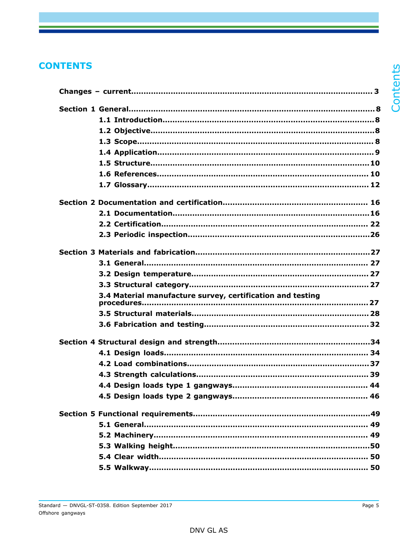## **CONTENTS**

| 3.4 Material manufacture survey, certification and testing |  |
|------------------------------------------------------------|--|
|                                                            |  |
|                                                            |  |
|                                                            |  |
|                                                            |  |
|                                                            |  |
|                                                            |  |
|                                                            |  |
|                                                            |  |
|                                                            |  |
|                                                            |  |
|                                                            |  |
|                                                            |  |
|                                                            |  |
|                                                            |  |

Contents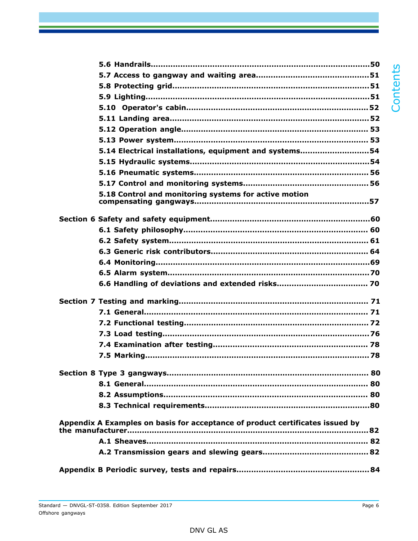| 5.14 Electrical installations, equipment and systems54                        |  |
|-------------------------------------------------------------------------------|--|
|                                                                               |  |
|                                                                               |  |
|                                                                               |  |
| 5.18 Control and monitoring systems for active motion                         |  |
|                                                                               |  |
|                                                                               |  |
|                                                                               |  |
|                                                                               |  |
|                                                                               |  |
|                                                                               |  |
|                                                                               |  |
|                                                                               |  |
|                                                                               |  |
|                                                                               |  |
|                                                                               |  |
|                                                                               |  |
|                                                                               |  |
|                                                                               |  |
|                                                                               |  |
|                                                                               |  |
|                                                                               |  |
|                                                                               |  |
| Appendix A Examples on basis for acceptance of product certificates issued by |  |
|                                                                               |  |
|                                                                               |  |
|                                                                               |  |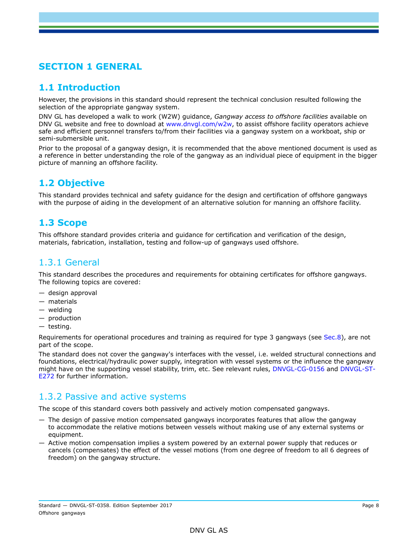# <span id="page-7-0"></span>**SECTION 1 GENERAL**

### <span id="page-7-1"></span>**1.1 Introduction**

However, the provisions in this standard should represent the technical conclusion resulted following the selection of the appropriate gangway system.

DNV GL has developed a walk to work (W2W) guidance, *Gangway access to offshore facilities* available on DNV GL website and free to download at [www.dnvgl.com/w2w,](www.dnvgl.com/w2w) to assist offshore facility operators achieve safe and efficient personnel transfers to/from their facilities via a gangway system on a workboat, ship or semi-submersible unit.

Prior to the proposal of a gangway design, it is recommended that the above mentioned document is used as a reference in better understanding the role of the gangway as an individual piece of equipment in the bigger picture of manning an offshore facility.

### <span id="page-7-2"></span>**1.2 Objective**

This standard provides technical and safety guidance for the design and certification of offshore gangways with the purpose of aiding in the development of an alternative solution for manning an offshore facility.

## <span id="page-7-3"></span>**1.3 Scope**

This offshore standard provides criteria and guidance for certification and verification of the design, materials, fabrication, installation, testing and follow-up of gangways used offshore.

### 1.3.1 General

This standard describes the procedures and requirements for obtaining certificates for offshore gangways. The following topics are covered:

- design approval
- materials
- welding
- production
- testing.

Requirements for operational procedures and training as required for type 3 gangways (see Sec.8), are not part of the scope.

The standard does not cover the gangway's interfaces with the vessel, i.e. welded structural connections and foundations, electrical/hydraulic power supply, integration with vessel systems or the influence the gangway might have on the supporting vessel stability, trim, etc. See relevant rules, DNVGL-CG-0156 and DNVGL-ST-E272 for further information.

### 1.3.2 Passive and active systems

The scope of this standard covers both passively and actively motion compensated gangways.

- The design of passive motion compensated gangways incorporates features that allow the gangway to accommodate the relative motions between vessels without making use of any external systems or equipment.
- Active motion compensation implies a system powered by an external power supply that reduces or cancels (compensates) the effect of the vessel motions (from one degree of freedom to all 6 degrees of freedom) on the gangway structure.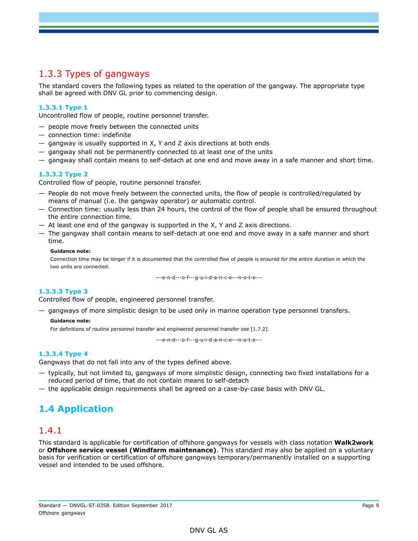## 1.3.3 Types of gangways

The standard covers the following types as related to the operation of the gangway. The appropriate type shall be agreed with DNV GL prior to commencing design.

### **1.3.3.1 Type 1**

Uncontrolled flow of people, routine personnel transfer.

- people move freely between the connected units
- connection time: indefinite
- gangway is usually supported in X, Y and Z axis directions at both ends
- gangway shall not be permanently connected to at least one of the units
- gangway shall contain means to self-detach at one end and move away in a safe manner and short time.

#### **1.3.3.2 Type 2**

Controlled flow of people, routine personnel transfer.

- People do not move freely between the connected units, the flow of people is controlled/regulated by means of manual (i.e. the gangway operator) or automatic control.
- Connection time: usually less than 24 hours, the control of the flow of people shall be ensured throughout the entire connection time.
- At least one end of the gangway is supported in the X, Y and Z axis directions.
- The gangway shall contain means to self-detach at one end and move away in a safe manner and short time.

#### **Guidance note:**

Connection time may be longer if it is documented that the controlled flow of people is ensured for the entire duration in which the two units are connected.

---e-n-d---o-f---g-u-i-d-a-n-c-e---n-o-t-e---

### **1.3.3.3 Type 3**

Controlled flow of people, engineered personnel transfer.

— gangways of more simplistic design to be used only in marine operation type personnel transfers.

#### **Guidance note:**

For definitions of routine personnel transfer and engineered personnel transfer see [1.7.2].

---e-n-d---o-f---g-u-i-d-a-n-c-e---n-o-t-e---

#### **1.3.3.4 Type 4**

Gangways that do not fall into any of the types defined above.

- typically, but not limited to, gangways of more simplistic design, connecting two fixed installations for a reduced period of time, that do not contain means to self-detach
- <span id="page-8-0"></span>— the applicable design requirements shall be agreed on a case-by-case basis with DNV GL.

### **1.4 Application**

### 1.4.1

This standard is applicable for certification of offshore gangways for vessels with class notation **Walk2work** or **Offshore service vessel (Windfarm maintenance)**. This standard may also be applied on a voluntary basis for verification or certification of offshore gangways temporary/permanently installed on a supporting vessel and intended to be used offshore.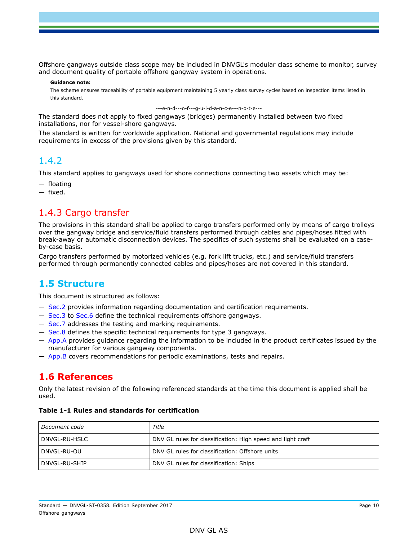Offshore gangways outside class scope may be included in DNVGL's modular class scheme to monitor, survey and document quality of portable offshore gangway system in operations.

#### **Guidance note:**

The scheme ensures traceability of portable equipment maintaining 5 yearly class survey cycles based on inspection items listed in this standard.

---e-n-d---o-f---g-u-i-d-a-n-c-e---n-o-t-e---

The standard does not apply to fixed gangways (bridges) permanently installed between two fixed installations, nor for vessel-shore gangways.

The standard is written for worldwide application. National and governmental regulations may include requirements in excess of the provisions given by this standard.

### 1.4.2

This standard applies to gangways used for shore connections connecting two assets which may be:

— floating

— fixed.

### 1.4.3 Cargo transfer

The provisions in this standard shall be applied to cargo transfers performed only by means of cargo trolleys over the gangway bridge and service/fluid transfers performed through cables and pipes/hoses fitted with break-away or automatic disconnection devices. The specifics of such systems shall be evaluated on a caseby-case basis.

Cargo transfers performed by motorized vehicles (e.g. fork lift trucks, etc.) and service/fluid transfers performed through permanently connected cables and pipes/hoses are not covered in this standard.

### <span id="page-9-0"></span>**1.5 Structure**

This document is structured as follows:

- Sec.2 provides information regarding documentation and certification requirements.
- Sec.3 to Sec.6 define the technical requirements offshore gangways.
- Sec.7 addresses the testing and marking requirements.
- Sec.8 defines the specific technical requirements for type 3 gangways.
- App.A provides guidance regarding the information to be included in the product certificates issued by the manufacturer for various gangway components.
- <span id="page-9-1"></span>— App.B covers recommendations for periodic examinations, tests and repairs.

### **1.6 References**

Only the latest revision of the following referenced standards at the time this document is applied shall be used.

#### **Table 1-1 Rules and standards for certification**

| Document code | Title                                                       |
|---------------|-------------------------------------------------------------|
| DNVGL-RU-HSLC | DNV GL rules for classification: High speed and light craft |
| DNVGL-RU-OU   | DNV GL rules for classification: Offshore units             |
| DNVGL-RU-SHIP | DNV GL rules for classification: Ships                      |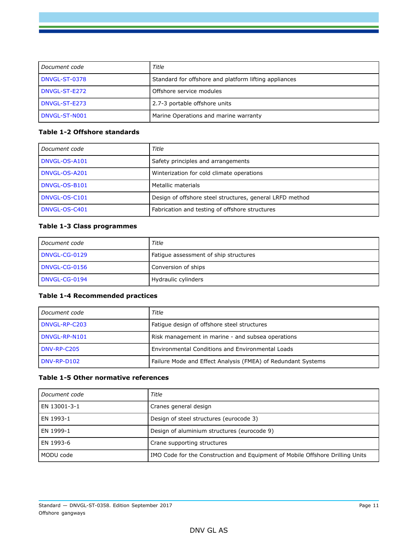| l Document code | Title                                                 |
|-----------------|-------------------------------------------------------|
| I DNVGL-ST-0378 | Standard for offshore and platform lifting appliances |
| DNVGL-ST-E272   | Offshore service modules                              |
| l DNVGL-ST-E273 | 2.7-3 portable offshore units                         |
| DNVGL-ST-N001   | Marine Operations and marine warranty                 |

### **Table 1-2 Offshore standards**

| Document code | Title                                                    |
|---------------|----------------------------------------------------------|
| DNVGL-OS-A101 | Safety principles and arrangements                       |
| DNVGL-OS-A201 | Winterization for cold climate operations                |
| DNVGL-OS-B101 | Metallic materials                                       |
| DNVGL-OS-C101 | Design of offshore steel structures, general LRFD method |
| DNVGL-OS-C401 | Fabrication and testing of offshore structures           |

### **Table 1-3 Class programmes**

| Document code | Title                                 |
|---------------|---------------------------------------|
| DNVGL-CG-0129 | Fatique assessment of ship structures |
| DNVGL-CG-0156 | Conversion of ships                   |
| DNVGL-CG-0194 | Hydraulic cylinders                   |

### **Table 1-4 Recommended practices**

| Document code | Title                                                        |
|---------------|--------------------------------------------------------------|
| DNVGL-RP-C203 | Fatigue design of offshore steel structures                  |
| DNVGL-RP-N101 | Risk management in marine - and subsea operations            |
| DNV-RP-C205   | Environmental Conditions and Environmental Loads             |
| DNV-RP-D102   | Failure Mode and Effect Analysis (FMEA) of Redundant Systems |

#### **Table 1-5 Other normative references**

| Document code | Title                                                                         |
|---------------|-------------------------------------------------------------------------------|
| EN 13001-3-1  | Cranes general design                                                         |
| EN 1993-1     | Design of steel structures (eurocode 3)                                       |
| EN 1999-1     | Design of aluminium structures (eurocode 9)                                   |
| EN 1993-6     | Crane supporting structures                                                   |
| MODU code     | IMO Code for the Construction and Equipment of Mobile Offshore Drilling Units |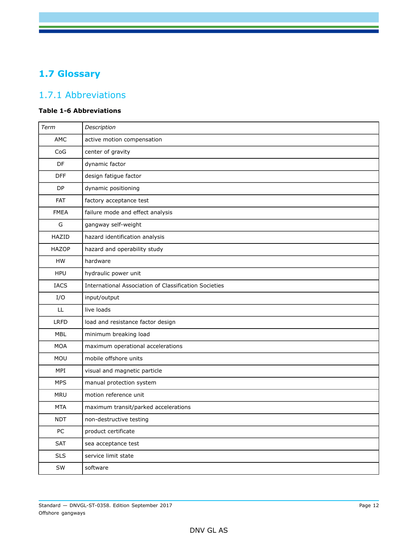# <span id="page-11-0"></span>**1.7 Glossary**

# 1.7.1 Abbreviations

### **Table 1-6 Abbreviations**

| Term         | Description                                           |
|--------------|-------------------------------------------------------|
| AMC          | active motion compensation                            |
| CoG          | center of gravity                                     |
| <b>DF</b>    | dynamic factor                                        |
| <b>DFF</b>   | design fatigue factor                                 |
| DP           | dynamic positioning                                   |
| FAT          | factory acceptance test                               |
| <b>FMEA</b>  | failure mode and effect analysis                      |
| G            | gangway self-weight                                   |
| HAZID        | hazard identification analysis                        |
| <b>HAZOP</b> | hazard and operability study                          |
| <b>HW</b>    | hardware                                              |
| <b>HPU</b>   | hydraulic power unit                                  |
| <b>IACS</b>  | International Association of Classification Societies |
| I/O          | input/output                                          |
| LL           | live loads                                            |
| <b>LRFD</b>  | load and resistance factor design                     |
| <b>MBL</b>   | minimum breaking load                                 |
| <b>MOA</b>   | maximum operational accelerations                     |
| MOU          | mobile offshore units                                 |
| MPI          | visual and magnetic particle                          |
| <b>MPS</b>   | manual protection system                              |
| <b>MRU</b>   | motion reference unit                                 |
| <b>MTA</b>   | maximum transit/parked accelerations                  |
| <b>NDT</b>   | non-destructive testing                               |
| PC           | product certificate                                   |
| <b>SAT</b>   | sea acceptance test                                   |
| <b>SLS</b>   | service limit state                                   |
| SW           | software                                              |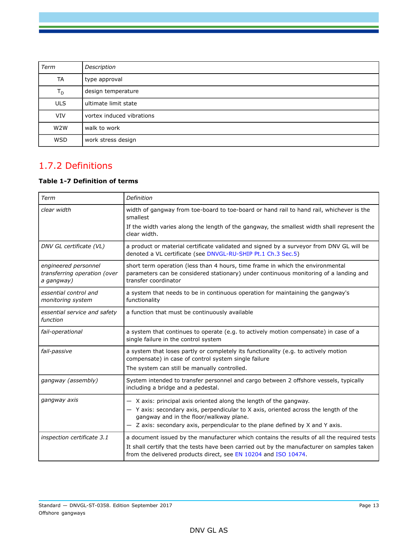| Term       | Description               |
|------------|---------------------------|
| TA         | type approval             |
| $T_D$      | design temperature        |
| <b>ULS</b> | ultimate limit state      |
| <b>VIV</b> | vortex induced vibrations |
| W2W        | walk to work              |
| <b>WSD</b> | work stress design        |

## 1.7.2 Definitions

### **Table 1-7 Definition of terms**

| Term                                                               | Definition                                                                                                                                                                                                                                                                               |  |
|--------------------------------------------------------------------|------------------------------------------------------------------------------------------------------------------------------------------------------------------------------------------------------------------------------------------------------------------------------------------|--|
| clear width                                                        | width of gangway from toe-board to toe-board or hand rail to hand rail, whichever is the<br>smallest                                                                                                                                                                                     |  |
|                                                                    | If the width varies along the length of the gangway, the smallest width shall represent the<br>clear width.                                                                                                                                                                              |  |
| DNV GL certificate (VL)                                            | a product or material certificate validated and signed by a surveyor from DNV GL will be<br>denoted a VL certificate (see DNVGL-RU-SHIP Pt.1 Ch.3 Sec.5)                                                                                                                                 |  |
| engineered personnel<br>transferring operation (over<br>a gangway) | short term operation (less than 4 hours, time frame in which the environmental<br>parameters can be considered stationary) under continuous monitoring of a landing and<br>transfer coordinator                                                                                          |  |
| essential control and<br>monitoring system                         | a system that needs to be in continuous operation for maintaining the gangway's<br>functionality                                                                                                                                                                                         |  |
| essential service and safety<br>function                           | a function that must be continuously available                                                                                                                                                                                                                                           |  |
| fail-operational                                                   | a system that continues to operate (e.g. to actively motion compensate) in case of a<br>single failure in the control system                                                                                                                                                             |  |
| fail-passive                                                       | a system that loses partly or completely its functionality (e.g. to actively motion<br>compensate) in case of control system single failure<br>The system can still be manually controlled.                                                                                              |  |
| gangway (assembly)                                                 | System intended to transfer personnel and cargo between 2 offshore vessels, typically<br>including a bridge and a pedestal.                                                                                                                                                              |  |
| gangway axis                                                       | $-$ X axis: principal axis oriented along the length of the gangway.<br>- Y axis: secondary axis, perpendicular to X axis, oriented across the length of the<br>gangway and in the floor/walkway plane.<br>- Z axis: secondary axis, perpendicular to the plane defined by X and Y axis. |  |
| inspection certificate 3.1                                         | a document issued by the manufacturer which contains the results of all the required tests<br>It shall certify that the tests have been carried out by the manufacturer on samples taken<br>from the delivered products direct, see EN 10204 and ISO 10474.                              |  |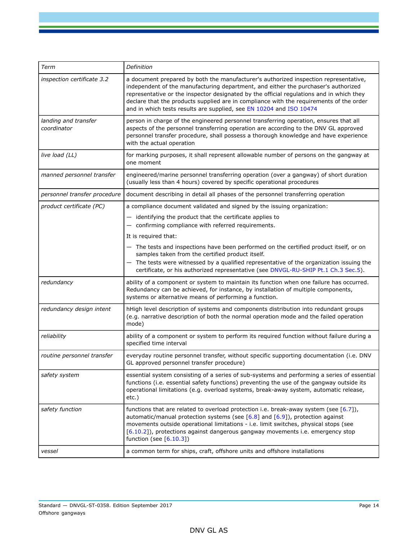| Term                                | Definition                                                                                                                                                                                                                                                                                                                                                                                                                               |
|-------------------------------------|------------------------------------------------------------------------------------------------------------------------------------------------------------------------------------------------------------------------------------------------------------------------------------------------------------------------------------------------------------------------------------------------------------------------------------------|
| inspection certificate 3.2          | a document prepared by both the manufacturer's authorized inspection representative,<br>independent of the manufacturing department, and either the purchaser's authorized<br>representative or the inspector designated by the official regulations and in which they<br>declare that the products supplied are in compliance with the requirements of the order<br>and in which tests results are supplied, see EN 10204 and ISO 10474 |
| landing and transfer<br>coordinator | person in charge of the engineered personnel transferring operation, ensures that all<br>aspects of the personnel transferring operation are according to the DNV GL approved<br>personnel transfer procedure, shall possess a thorough knowledge and have experience<br>with the actual operation                                                                                                                                       |
| live load (LL)                      | for marking purposes, it shall represent allowable number of persons on the gangway at<br>one moment                                                                                                                                                                                                                                                                                                                                     |
| manned personnel transfer           | engineered/marine personnel transferring operation (over a gangway) of short duration<br>(usually less than 4 hours) covered by specific operational procedures                                                                                                                                                                                                                                                                          |
| personnel transfer procedure        | document describing in detail all phases of the personnel transferring operation                                                                                                                                                                                                                                                                                                                                                         |
| product certificate (PC)            | a compliance document validated and signed by the issuing organization:                                                                                                                                                                                                                                                                                                                                                                  |
|                                     | $-$ identifying the product that the certificate applies to<br>- confirming compliance with referred requirements.                                                                                                                                                                                                                                                                                                                       |
|                                     | It is required that:                                                                                                                                                                                                                                                                                                                                                                                                                     |
|                                     | - The tests and inspections have been performed on the certified product itself, or on<br>samples taken from the certified product itself.<br>The tests were witnessed by a qualified representative of the organization issuing the<br>certificate, or his authorized representative (see DNVGL-RU-SHIP Pt.1 Ch.3 Sec.5).                                                                                                               |
| redundancy                          | ability of a component or system to maintain its function when one failure has occurred.<br>Redundancy can be achieved, for instance, by installation of multiple components,<br>systems or alternative means of performing a function.                                                                                                                                                                                                  |
| redundancy design intent            | hHigh level description of systems and components distribution into redundant groups<br>(e.g. narrative description of both the normal operation mode and the failed operation<br>mode)                                                                                                                                                                                                                                                  |
| reliability                         | ability of a component or system to perform its required function without failure during a<br>specified time interval                                                                                                                                                                                                                                                                                                                    |
| routine personnel transfer          | everyday routine personnel transfer, without specific supporting documentation (i.e. DNV<br>GL approved personnel transfer procedure)                                                                                                                                                                                                                                                                                                    |
| safety system                       | essential system consisting of a series of sub-systems and performing a series of essential<br>functions (i.e. essential safety functions) preventing the use of the gangway outside its<br>operational limitations (e.g. overload systems, break-away system, automatic release,<br>$etc.$ )                                                                                                                                            |
| safety function                     | functions that are related to overload protection i.e. break-away system (see $[6.7]$ ),<br>automatic/manual protection systems (see $[6.8]$ and $[6.9]$ ), protection against<br>movements outside operational limitations - i.e. limit switches, physical stops (see<br>[6.10.2]), protections against dangerous gangway movements i.e. emergency stop<br>function (see $[6.10.3]$ )                                                   |
| vessel                              | a common term for ships, craft, offshore units and offshore installations                                                                                                                                                                                                                                                                                                                                                                |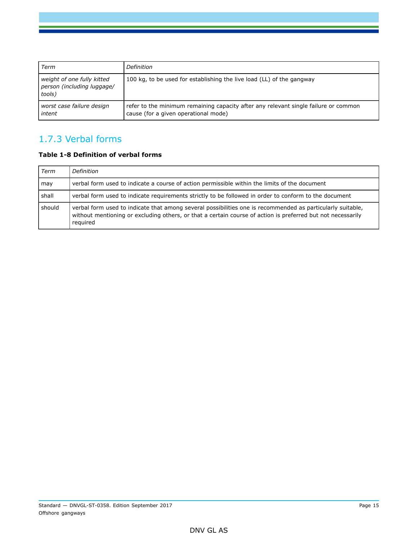| Term                                                               | Definition                                                                                                                  |
|--------------------------------------------------------------------|-----------------------------------------------------------------------------------------------------------------------------|
| weight of one fully kitted<br>person (including luggage/<br>tools) | 100 kg, to be used for establishing the live load (LL) of the gangway                                                       |
| worst case failure design<br>intent                                | refer to the minimum remaining capacity after any relevant single failure or common<br>cause (for a given operational mode) |

## 1.7.3 Verbal forms

### **Table 1-8 Definition of verbal forms**

| Term   | Definition                                                                                                                                                                                                                            |
|--------|---------------------------------------------------------------------------------------------------------------------------------------------------------------------------------------------------------------------------------------|
| may    | verbal form used to indicate a course of action permissible within the limits of the document                                                                                                                                         |
| shall  | verbal form used to indicate requirements strictly to be followed in order to conform to the document                                                                                                                                 |
| should | verbal form used to indicate that among several possibilities one is recommended as particularly suitable,<br>without mentioning or excluding others, or that a certain course of action is preferred but not necessarily<br>required |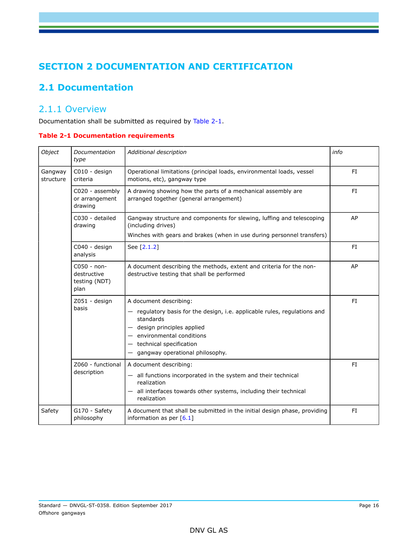# <span id="page-15-0"></span>**SECTION 2 DOCUMENTATION AND CERTIFICATION**

# <span id="page-15-1"></span>**2.1 Documentation**

### 2.1.1 Overview

Documentation shall be submitted as required by Table 2-1.

### **Table 2-1 Documentation requirements**

| Object                                                                                            | Documentation<br>type            | Additional description                                                                                                                                                                                                                              | info |
|---------------------------------------------------------------------------------------------------|----------------------------------|-----------------------------------------------------------------------------------------------------------------------------------------------------------------------------------------------------------------------------------------------------|------|
| C010 - design<br>Gangway<br>criteria<br>structure<br>C020 - assembly<br>or arrangement<br>drawing |                                  | Operational limitations (principal loads, environmental loads, vessel<br>motions, etc), gangway type                                                                                                                                                | FI.  |
|                                                                                                   |                                  | A drawing showing how the parts of a mechanical assembly are<br>arranged together (general arrangement)                                                                                                                                             | FI.  |
|                                                                                                   | C030 - detailed<br>drawing       | Gangway structure and components for slewing, luffing and telescoping<br>(including drives)<br>Winches with gears and brakes (when in use during personnel transfers)                                                                               | AP   |
|                                                                                                   | C040 - design<br>analysis        | See [2.1.2]                                                                                                                                                                                                                                         | FI.  |
| C050 - non-<br>destructive<br>testing (NDT)<br>plan                                               |                                  | A document describing the methods, extent and criteria for the non-<br>destructive testing that shall be performed                                                                                                                                  | AP   |
|                                                                                                   | Z051 - design<br>basis           | A document describing:<br>- regulatory basis for the design, i.e. applicable rules, regulations and<br>standards<br>- design principles applied<br>$-$ environmental conditions<br>$-$ technical specification<br>- gangway operational philosophy. | FI.  |
|                                                                                                   | Z060 - functional<br>description | A document describing:<br>- all functions incorporated in the system and their technical<br>realization<br>- all interfaces towards other systems, including their technical<br>realization                                                         | FI.  |
| Safety                                                                                            | G170 - Safety<br>philosophy      | A document that shall be submitted in the initial design phase, providing<br>information as per $[6.1]$                                                                                                                                             | FI.  |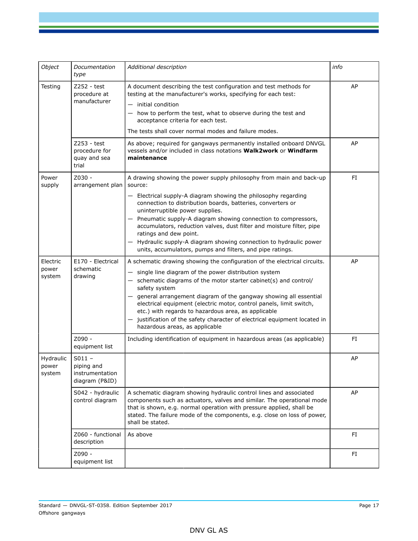| Object                                                 | Documentation<br>type                                       | Additional description                                                                                                                                                                                                                                                                                                                                                                                                                                                                                                                                      | info |
|--------------------------------------------------------|-------------------------------------------------------------|-------------------------------------------------------------------------------------------------------------------------------------------------------------------------------------------------------------------------------------------------------------------------------------------------------------------------------------------------------------------------------------------------------------------------------------------------------------------------------------------------------------------------------------------------------------|------|
| Testing<br>Z252 - test<br>procedure at<br>manufacturer |                                                             | A document describing the test configuration and test methods for<br>testing at the manufacturer's works, specifying for each test:<br>$-$ initial condition<br>- how to perform the test, what to observe during the test and<br>acceptance criteria for each test.<br>The tests shall cover normal modes and failure modes.                                                                                                                                                                                                                               | AP   |
|                                                        | Z253 - test<br>procedure for<br>quay and sea<br>trial       | As above; required for gangways permanently installed onboard DNVGL<br>vessels and/or included in class notations Walk2work or Windfarm<br>maintenance                                                                                                                                                                                                                                                                                                                                                                                                      | AP   |
| Power<br>supply                                        | $Z030 -$<br>arrangement plan                                | A drawing showing the power supply philosophy from main and back-up<br>source:<br>- Electrical supply-A diagram showing the philosophy regarding<br>connection to distribution boards, batteries, converters or<br>uninterruptible power supplies.<br>- Pneumatic supply-A diagram showing connection to compressors,<br>accumulators, reduction valves, dust filter and moisture filter, pipe<br>ratings and dew point.<br>- Hydraulic supply-A diagram showing connection to hydraulic power<br>units, accumulators, pumps and filters, and pipe ratings. | FI   |
| Electric<br>power<br>system                            | E170 - Electrical<br>schematic<br>drawing                   | A schematic drawing showing the configuration of the electrical circuits.<br>- single line diagram of the power distribution system<br>- schematic diagrams of the motor starter cabinet(s) and control/<br>safety system<br>- general arrangement diagram of the gangway showing all essential<br>electrical equipment (electric motor, control panels, limit switch,<br>etc.) with regards to hazardous area, as applicable<br>justification of the safety character of electrical equipment located in<br>hazardous areas, as applicable                 | AP   |
|                                                        | Z090 -<br>equipment list                                    | Including identification of equipment in hazardous areas (as applicable)                                                                                                                                                                                                                                                                                                                                                                                                                                                                                    | FI   |
| Hydraulic<br>power<br>system                           | $S011 -$<br>piping and<br>instrumentation<br>diagram (P&ID) |                                                                                                                                                                                                                                                                                                                                                                                                                                                                                                                                                             | AP   |
|                                                        | S042 - hydraulic<br>control diagram                         | A schematic diagram showing hydraulic control lines and associated<br>components such as actuators, valves and similar. The operational mode<br>that is shown, e.g. normal operation with pressure applied, shall be<br>stated. The failure mode of the components, e.g. close on loss of power,<br>shall be stated.                                                                                                                                                                                                                                        | AP   |
|                                                        | Z060 - functional<br>description                            | As above                                                                                                                                                                                                                                                                                                                                                                                                                                                                                                                                                    | FI   |
|                                                        | Z090 -<br>equipment list                                    |                                                                                                                                                                                                                                                                                                                                                                                                                                                                                                                                                             | FI.  |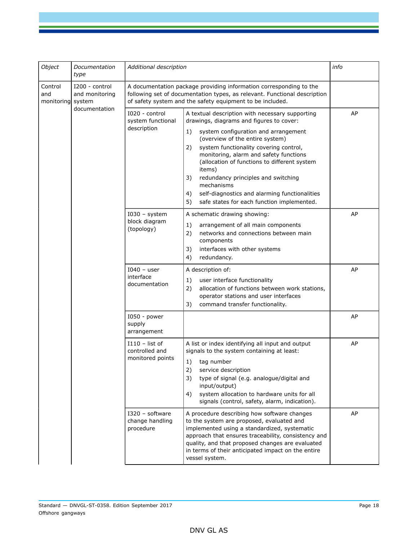| Object                                                                                   | Documentation<br>type | Additional description                                                                                                                                                                                       |                                                                                                                                                                                                                                                                                                                                                                                                                                                                                                        | info                                                                                                                                                                                                                                                                                                                        |
|------------------------------------------------------------------------------------------|-----------------------|--------------------------------------------------------------------------------------------------------------------------------------------------------------------------------------------------------------|--------------------------------------------------------------------------------------------------------------------------------------------------------------------------------------------------------------------------------------------------------------------------------------------------------------------------------------------------------------------------------------------------------------------------------------------------------------------------------------------------------|-----------------------------------------------------------------------------------------------------------------------------------------------------------------------------------------------------------------------------------------------------------------------------------------------------------------------------|
| Control<br>I200 - control<br>and<br>and monitoring<br>monitoring system<br>documentation |                       | A documentation package providing information corresponding to the<br>following set of documentation types, as relevant. Functional description<br>of safety system and the safety equipment to be included. |                                                                                                                                                                                                                                                                                                                                                                                                                                                                                                        |                                                                                                                                                                                                                                                                                                                             |
|                                                                                          |                       | I020 - control<br>system functional<br>description                                                                                                                                                           | A textual description with necessary supporting<br>drawings, diagrams and figures to cover:<br>1)<br>system configuration and arrangement<br>(overview of the entire system)<br>2)<br>system functionality covering control,<br>monitoring, alarm and safety functions<br>(allocation of functions to different system<br>items)<br>3)<br>redundancy principles and switching<br>mechanisms<br>self-diagnostics and alarming functionalities<br>4)<br>5)<br>safe states for each function implemented. | AP                                                                                                                                                                                                                                                                                                                          |
|                                                                                          |                       | $I030 - system$<br>block diagram<br>(topology)                                                                                                                                                               | A schematic drawing showing:<br>1)<br>arrangement of all main components<br>networks and connections between main<br>2)<br>components<br>interfaces with other systems<br>3)<br>redundancy.<br>4)                                                                                                                                                                                                                                                                                                      | AP                                                                                                                                                                                                                                                                                                                          |
|                                                                                          |                       | $I040 - user$<br>interface<br>documentation                                                                                                                                                                  | A description of:<br>1)<br>user interface functionality<br>2)<br>allocation of functions between work stations,<br>operator stations and user interfaces<br>3)<br>command transfer functionality.                                                                                                                                                                                                                                                                                                      | AP                                                                                                                                                                                                                                                                                                                          |
|                                                                                          |                       | I050 - power<br>supply<br>arrangement                                                                                                                                                                        |                                                                                                                                                                                                                                                                                                                                                                                                                                                                                                        | AP                                                                                                                                                                                                                                                                                                                          |
|                                                                                          |                       | $I110 - list of$<br>controlled and<br>monitored points                                                                                                                                                       | A list or index identifying all input and output<br>signals to the system containing at least:<br>1)<br>tag number<br>2)<br>service description<br>3)<br>type of signal (e.g. analogue/digital and<br>input/output)<br>system allocation to hardware units for all<br>4)<br>signals (control, safety, alarm, indication).                                                                                                                                                                              | AP                                                                                                                                                                                                                                                                                                                          |
|                                                                                          |                       |                                                                                                                                                                                                              | I320 - software<br>change handling<br>procedure                                                                                                                                                                                                                                                                                                                                                                                                                                                        | A procedure describing how software changes<br>to the system are proposed, evaluated and<br>implemented using a standardized, systematic<br>approach that ensures traceability, consistency and<br>quality, and that proposed changes are evaluated<br>in terms of their anticipated impact on the entire<br>vessel system. |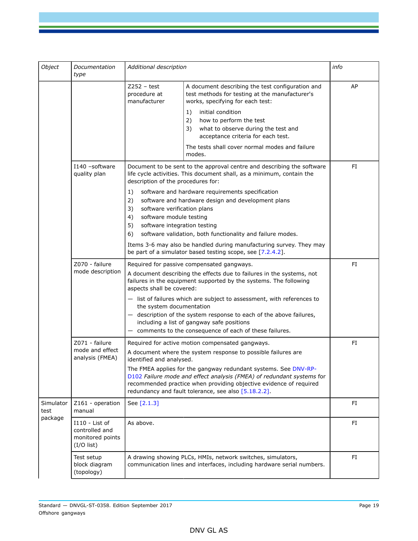| Object            | Documentation<br>type                                                | Additional description                                                                                                                                           |                                                                                                                                                                                                                                                                                                                                                                                                                                                              | info |
|-------------------|----------------------------------------------------------------------|------------------------------------------------------------------------------------------------------------------------------------------------------------------|--------------------------------------------------------------------------------------------------------------------------------------------------------------------------------------------------------------------------------------------------------------------------------------------------------------------------------------------------------------------------------------------------------------------------------------------------------------|------|
|                   |                                                                      | $Z252 - test$<br>procedure at<br>manufacturer                                                                                                                    | A document describing the test configuration and<br>test methods for testing at the manufacturer's<br>works, specifying for each test:<br>initial condition<br>1)<br>2)<br>how to perform the test<br>3)<br>what to observe during the test and<br>acceptance criteria for each test.<br>The tests shall cover normal modes and failure<br>modes.                                                                                                            | AP   |
|                   | I140 -software<br>quality plan                                       | description of the procedures for:<br>1)<br>2)<br>3)<br>software verification plans<br>software module testing<br>4)<br>5)<br>software integration testing<br>6) | Document to be sent to the approval centre and describing the software<br>life cycle activities. This document shall, as a minimum, contain the<br>software and hardware requirements specification<br>software and hardware design and development plans<br>software validation, both functionality and failure modes.<br>Items 3-6 may also be handled during manufacturing survey. They may<br>be part of a simulator based testing scope, see [7.2.4.2]. | FI.  |
|                   | Z070 - failure<br>mode description                                   | aspects shall be covered:<br>the system documentation                                                                                                            | Required for passive compensated gangways.<br>A document describing the effects due to failures in the systems, not<br>failures in the equipment supported by the systems. The following<br>$-$ list of failures which are subject to assessment, with references to<br>- description of the system response to each of the above failures,<br>including a list of gangway safe positions<br>- comments to the consequence of each of these failures.        | FI   |
|                   | Z071 - failure<br>mode and effect<br>analysis (FMEA)                 | identified and analysed.                                                                                                                                         | Required for active motion compensated gangways.<br>A document where the system response to possible failures are<br>The FMEA applies for the gangway redundant systems. See DNV-RP-<br>D102 Failure mode and effect analysis (FMEA) of redundant systems for<br>recommended practice when providing objective evidence of required<br>redundancy and fault tolerance, see also [5.18.2.2].                                                                  | FI   |
| Simulator<br>test | Z161 - operation<br>manual                                           | See [2.1.3]                                                                                                                                                      | FI                                                                                                                                                                                                                                                                                                                                                                                                                                                           |      |
| package           | I110 - List of<br>controlled and<br>monitored points<br>$(I/O$ list) | As above.                                                                                                                                                        |                                                                                                                                                                                                                                                                                                                                                                                                                                                              | FI   |
|                   | Test setup<br>block diagram<br>(topology)                            | A drawing showing PLCs, HMIs, network switches, simulators,<br>communication lines and interfaces, including hardware serial numbers.                            | FI                                                                                                                                                                                                                                                                                                                                                                                                                                                           |      |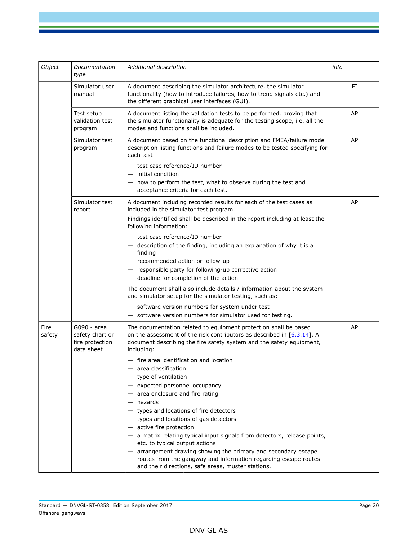| Object                                                               | Documentation<br>type                                           | Additional description                                                                                                                                                                                                                                                                                                                                                                                                                                                                                       | info |
|----------------------------------------------------------------------|-----------------------------------------------------------------|--------------------------------------------------------------------------------------------------------------------------------------------------------------------------------------------------------------------------------------------------------------------------------------------------------------------------------------------------------------------------------------------------------------------------------------------------------------------------------------------------------------|------|
| Simulator user<br>manual<br>Test setup<br>validation test<br>program |                                                                 | A document describing the simulator architecture, the simulator<br>functionality (how to introduce failures, how to trend signals etc.) and<br>the different graphical user interfaces (GUI).                                                                                                                                                                                                                                                                                                                | FI   |
|                                                                      |                                                                 | A document listing the validation tests to be performed, proving that<br>the simulator functionality is adequate for the testing scope, i.e. all the<br>modes and functions shall be included.                                                                                                                                                                                                                                                                                                               | AP   |
|                                                                      | Simulator test<br>program                                       | A document based on the functional description and FMEA/failure mode<br>description listing functions and failure modes to be tested specifying for<br>each test:                                                                                                                                                                                                                                                                                                                                            | AP   |
|                                                                      |                                                                 | - test case reference/ID number<br>$-$ initial condition<br>- how to perform the test, what to observe during the test and<br>acceptance criteria for each test.                                                                                                                                                                                                                                                                                                                                             |      |
|                                                                      | Simulator test<br>report                                        | A document including recorded results for each of the test cases as<br>included in the simulator test program.<br>Findings identified shall be described in the report including at least the<br>following information:                                                                                                                                                                                                                                                                                      | AP   |
|                                                                      |                                                                 | - test case reference/ID number<br>- description of the finding, including an explanation of why it is a<br>finding<br>- recommended action or follow-up<br>- responsible party for following-up corrective action<br>$-$ deadline for completion of the action.                                                                                                                                                                                                                                             |      |
|                                                                      |                                                                 | The document shall also include details / information about the system<br>and simulator setup for the simulator testing, such as:<br>- software version numbers for system under test<br>- software version numbers for simulator used for testing.                                                                                                                                                                                                                                                          |      |
| Fire<br>safety                                                       | G090 - area<br>safety chart or<br>fire protection<br>data sheet | The documentation related to equipment protection shall be based<br>on the assessment of the risk contributors as described in $[6.3.14]$ . A<br>document describing the fire safety system and the safety equipment,<br>including:<br>- fire area identification and location<br>area classification<br>$-$ type of ventilation                                                                                                                                                                             | AP   |
|                                                                      |                                                                 | - expected personnel occupancy<br>$-$ area enclosure and fire rating<br>- hazards<br>- types and locations of fire detectors<br>- types and locations of gas detectors<br>$-$ active fire protection<br>- a matrix relating typical input signals from detectors, release points,<br>etc. to typical output actions<br>arrangement drawing showing the primary and secondary escape<br>routes from the gangway and information regarding escape routes<br>and their directions, safe areas, muster stations. |      |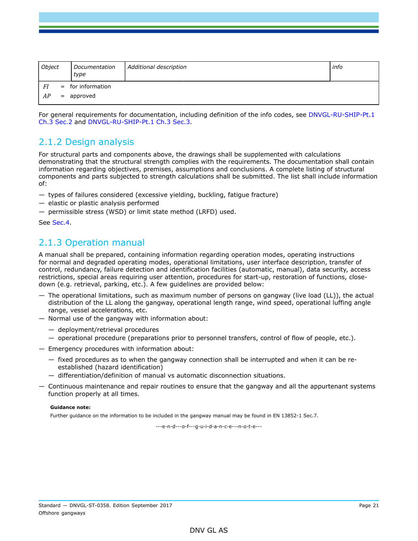| Object | Documentation<br>type | Additional description | info |
|--------|-----------------------|------------------------|------|
| FI     | $=$ for information   |                        |      |
| AP     | $=$ approved          |                        |      |

For general requirements for documentation, including definition of the info codes, see DNVGL-RU-SHIP-Pt.1 Ch.3 Sec.2 and DNVGL-RU-SHIP-Pt.1 Ch.3 Sec.3.

### 2.1.2 Design analysis

For structural parts and components above, the drawings shall be supplemented with calculations demonstrating that the structural strength complies with the requirements. The documentation shall contain information regarding objectives, premises, assumptions and conclusions. A complete listing of structural components and parts subjected to strength calculations shall be submitted. The list shall include information of:

- types of failures considered (excessive yielding, buckling, fatigue fracture)
- elastic or plastic analysis performed
- permissible stress (WSD) or limit state method (LRFD) used.

#### See Sec.4.

### 2.1.3 Operation manual

A manual shall be prepared, containing information regarding operation modes, operating instructions for normal and degraded operating modes, operational limitations, user interface description, transfer of control, redundancy, failure detection and identification facilities (automatic, manual), data security, access restrictions, special areas requiring user attention, procedures for start-up, restoration of functions, closedown (e.g. retrieval, parking, etc.). A few guidelines are provided below:

- The operational limitations, such as maximum number of persons on gangway (live load (LL)), the actual distribution of the LL along the gangway, operational length range, wind speed, operational luffing angle range, vessel accelerations, etc.
- Normal use of the gangway with information about:
	- deployment/retrieval procedures
	- operational procedure (preparations prior to personnel transfers, control of flow of people, etc.).
- Emergency procedures with information about:
	- fixed procedures as to when the gangway connection shall be interrupted and when it can be reestablished (hazard identification)
	- differentiation/definition of manual vs automatic disconnection situations.
- Continuous maintenance and repair routines to ensure that the gangway and all the appurtenant systems function properly at all times.

#### **Guidance note:**

Further guidance on the information to be included in the gangway manual may be found in EN 13852-1 Sec.7.

---e-n-d---o-f---g-u-i-d-a-n-c-e---n-o-t-e---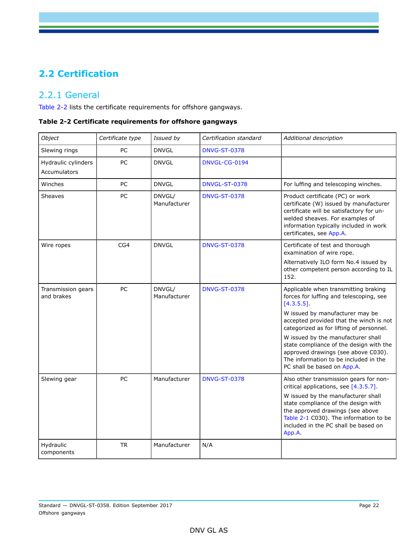# <span id="page-21-0"></span>**2.2 Certification**

### 2.2.1 General

Table 2-2 lists the certificate requirements for offshore gangways.

|  | Table 2-2 Certificate requirements for offshore gangways |  |  |  |
|--|----------------------------------------------------------|--|--|--|
|--|----------------------------------------------------------|--|--|--|

| Object                              | Certificate type | Issued by              | Certification standard | Additional description                                                                                                                                                                                                                                                                       |
|-------------------------------------|------------------|------------------------|------------------------|----------------------------------------------------------------------------------------------------------------------------------------------------------------------------------------------------------------------------------------------------------------------------------------------|
| Slewing rings                       | PC               | <b>DNVGL</b>           | <b>DNVG-ST-0378</b>    |                                                                                                                                                                                                                                                                                              |
| Hydraulic cylinders<br>Accumulators | PC               | <b>DNVGL</b>           | DNVGL-CG-0194          |                                                                                                                                                                                                                                                                                              |
| Winches                             | PC               | <b>DNVGL</b>           | <b>DNVGL-ST-0378</b>   | For luffing and telescoping winches.                                                                                                                                                                                                                                                         |
| <b>Sheaves</b>                      | PC               | DNVGL/<br>Manufacturer | <b>DNVG-ST-0378</b>    | Product certificate (PC) or work<br>certificate (W) issued by manufacturer<br>certificate will be satisfactory for un-<br>welded sheaves. For examples of<br>information typically included in work<br>certificates, see App.A.                                                              |
| Wire ropes                          | CG4              | <b>DNVGL</b>           | <b>DNVG-ST-0378</b>    | Certificate of test and thorough<br>examination of wire rope.                                                                                                                                                                                                                                |
|                                     |                  |                        |                        | Alternatively ILO form No.4 issued by<br>other competent person according to IL<br>152.                                                                                                                                                                                                      |
| Transmission gears<br>and brakes    | PC               | DNVGL/<br>Manufacturer | <b>DNVG-ST-0378</b>    | Applicable when transmitting braking<br>forces for luffing and telescoping, see<br>[4.3.5.5]                                                                                                                                                                                                 |
|                                     |                  |                        |                        | W issued by manufacturer may be<br>accepted provided that the winch is not<br>categorized as for lifting of personnel.                                                                                                                                                                       |
|                                     |                  |                        |                        | W issued by the manufacturer shall<br>state compliance of the design with the<br>approved drawings (see above C030).<br>The information to be included in the<br>PC shall be based on App.A.                                                                                                 |
| Slewing gear                        | PC               | Manufacturer           | <b>DNVG-ST-0378</b>    | Also other transmission gears for non-<br>critical applications, see [4.3.5.7].<br>W issued by the manufacturer shall<br>state compliance of the design with<br>the approved drawings (see above<br>Table 2-1 C030). The information to be<br>included in the PC shall be based on<br>App.A. |
| Hydraulic<br>components             | <b>TR</b>        | Manufacturer           | N/A                    |                                                                                                                                                                                                                                                                                              |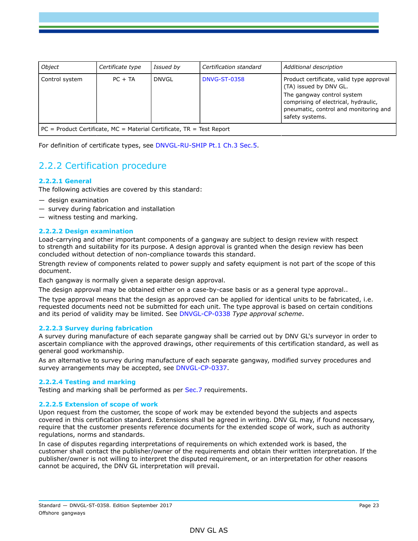| <b>Object</b>                                                       | Certificate type | Issued by    | Certification standard | Additional description                                                                                                                                                                               |  |  |
|---------------------------------------------------------------------|------------------|--------------|------------------------|------------------------------------------------------------------------------------------------------------------------------------------------------------------------------------------------------|--|--|
| Control system                                                      | $PC + TA$        | <b>DNVGL</b> | <b>DNVG-ST-0358</b>    | Product certificate, valid type approval<br>(TA) issued by DNV GL.<br>The gangway control system<br>comprising of electrical, hydraulic,<br>pneumatic, control and monitoring and<br>safety systems. |  |  |
| PC - Product Certificate MC - Material Certificate TP - Test Penort |                  |              |                        |                                                                                                                                                                                                      |  |  |

 $P =$  Product Certificate, MC = Material Certificate, TR = Test Report

For definition of certificate types, see DNVGL-RU-SHIP Pt.1 Ch.3 Sec.5.

## 2.2.2 Certification procedure

### **2.2.2.1 General**

The following activities are covered by this standard:

- design examination
- survey during fabrication and installation
- witness testing and marking.

### **2.2.2.2 Design examination**

Load-carrying and other important components of a gangway are subject to design review with respect to strength and suitability for its purpose. A design approval is granted when the design review has been concluded without detection of non-compliance towards this standard.

Strength review of components related to power supply and safety equipment is not part of the scope of this document.

Each gangway is normally given a separate design approval.

The design approval may be obtained either on a case-by-case basis or as a general type approval..

The type approval means that the design as approved can be applied for identical units to be fabricated, i.e. requested documents need not be submitted for each unit. The type approval is based on certain conditions and its period of validity may be limited. See DNVGL-CP-0338 *Type approval scheme*.

#### **2.2.2.3 Survey during fabrication**

A survey during manufacture of each separate gangway shall be carried out by DNV GL's surveyor in order to ascertain compliance with the approved drawings, other requirements of this certification standard, as well as general good workmanship.

As an alternative to survey during manufacture of each separate gangway, modified survey procedures and survey arrangements may be accepted, see DNVGL-CP-0337.

#### **2.2.2.4 Testing and marking**

Testing and marking shall be performed as per Sec.7 requirements.

#### **2.2.2.5 Extension of scope of work**

Upon request from the customer, the scope of work may be extended beyond the subjects and aspects covered in this certification standard. Extensions shall be agreed in writing. DNV GL may, if found necessary, require that the customer presents reference documents for the extended scope of work, such as authority regulations, norms and standards.

In case of disputes regarding interpretations of requirements on which extended work is based, the customer shall contact the publisher/owner of the requirements and obtain their written interpretation. If the publisher/owner is not willing to interpret the disputed requirement, or an interpretation for other reasons cannot be acquired, the DNV GL interpretation will prevail.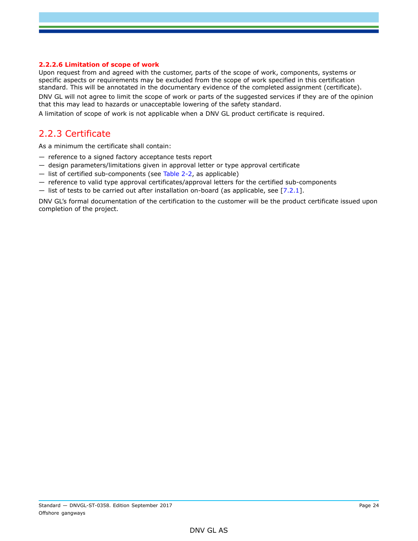#### **2.2.2.6 Limitation of scope of work**

Upon request from and agreed with the customer, parts of the scope of work, components, systems or specific aspects or requirements may be excluded from the scope of work specified in this certification standard. This will be annotated in the documentary evidence of the completed assignment (certificate). DNV GL will not agree to limit the scope of work or parts of the suggested services if they are of the opinion

that this may lead to hazards or unacceptable lowering of the safety standard.

A limitation of scope of work is not applicable when a DNV GL product certificate is required.

### 2.2.3 Certificate

As a minimum the certificate shall contain:

- reference to a signed factory acceptance tests report
- design parameters/limitations given in approval letter or type approval certificate
- list of certified sub-components (see Table 2-2, as applicable)
- reference to valid type approval certificates/approval letters for the certified sub-components
- $-$  list of tests to be carried out after installation on-board (as applicable, see [7.2.1].

DNV GL's formal documentation of the certification to the customer will be the product certificate issued upon completion of the project.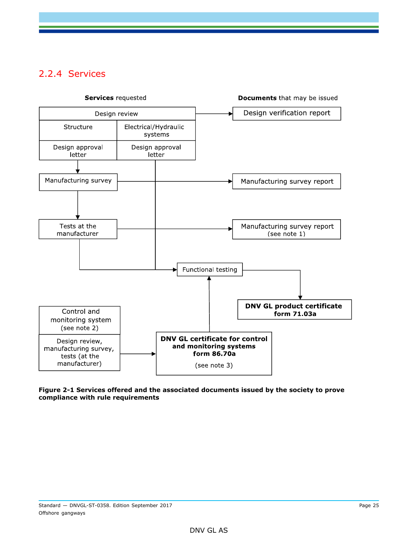# 2.2.4 Services



**Figure 2-1 Services offered and the associated documents issued by the society to prove compliance with rule requirements**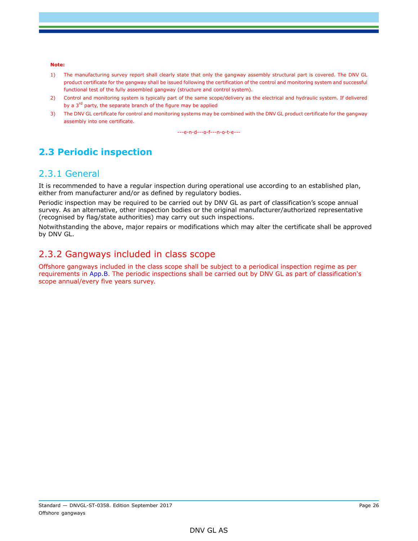#### **Note:**

- 1) The manufacturing survey report shall clearly state that only the gangway assembly structural part is covered. The DNV GL product certificate for the gangway shall be issued following the certification of the control and monitoring system and successful functional test of the fully assembled gangway (structure and control system).
- 2) Control and monitoring system is typically part of the same scope/delivery as the electrical and hydraulic system. If delivered by a 3<sup>rd</sup> party, the separate branch of the figure may be applied
- 3) The DNV GL certificate for control and monitoring systems may be combined with the DNV GL product certificate for the gangway assembly into one certificate.

---e-n-d---o-f---n-o-t-e---

# <span id="page-25-0"></span>**2.3 Periodic inspection**

### 2.3.1 General

It is recommended to have a regular inspection during operational use according to an established plan, either from manufacturer and/or as defined by regulatory bodies.

Periodic inspection may be required to be carried out by DNV GL as part of classification's scope annual survey. As an alternative, other inspection bodies or the original manufacturer/authorized representative (recognised by flag/state authorities) may carry out such inspections.

Notwithstanding the above, major repairs or modifications which may alter the certificate shall be approved by DNV GL.

### 2.3.2 Gangways included in class scope

Offshore gangways included in the class scope shall be subject to a periodical inspection regime as per requirements in App.B. The periodic inspections shall be carried out by DNV GL as part of classification's scope annual/every five years survey.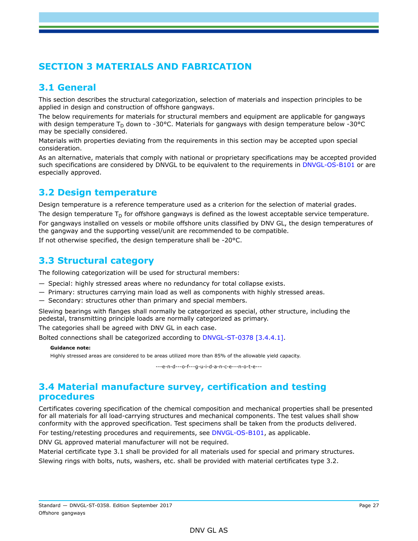# <span id="page-26-0"></span>**SECTION 3 MATERIALS AND FABRICATION**

## <span id="page-26-1"></span>**3.1 General**

This section describes the structural categorization, selection of materials and inspection principles to be applied in design and construction of offshore gangways.

The below requirements for materials for structural members and equipment are applicable for gangways with design temperature T<sub>D</sub> down to -30°C. Materials for gangways with design temperature below -30°C may be specially considered.

Materials with properties deviating from the requirements in this section may be accepted upon special consideration.

As an alternative, materials that comply with national or proprietary specifications may be accepted provided such specifications are considered by DNVGL to be equivalent to the requirements in DNVGL-OS-B101 or are especially approved.

## <span id="page-26-2"></span>**3.2 Design temperature**

Design temperature is a reference temperature used as a criterion for the selection of material grades.

The design temperature  $T_D$  for offshore gangways is defined as the lowest acceptable service temperature.

For gangways installed on vessels or mobile offshore units classified by DNV GL, the design temperatures of the gangway and the supporting vessel/unit are recommended to be compatible.

<span id="page-26-3"></span>If not otherwise specified, the design temperature shall be -20°C.

### **3.3 Structural category**

The following categorization will be used for structural members:

- Special: highly stressed areas where no redundancy for total collapse exists.
- Primary: structures carrying main load as well as components with highly stressed areas.
- Secondary: structures other than primary and special members.

Slewing bearings with flanges shall normally be categorized as special, other structure, including the pedestal, transmitting principle loads are normally categorized as primary.

The categories shall be agreed with DNV GL in each case.

Bolted connections shall be categorized according to DNVGL-ST-0378 [3.4.4.1].

**Guidance note:**

Highly stressed areas are considered to be areas utilized more than 85% of the allowable yield capacity.

---e-n-d---o-f---g-u-i-d-a-n-c-e---n-o-t-e---

### <span id="page-26-4"></span>**3.4 Material manufacture survey, certification and testing procedures**

Certificates covering specification of the chemical composition and mechanical properties shall be presented for all materials for all load-carrying structures and mechanical components. The test values shall show conformity with the approved specification. Test specimens shall be taken from the products delivered.

For testing/retesting procedures and requirements, see DNVGL-OS-B101, as applicable.

DNV GL approved material manufacturer will not be required.

Material certificate type 3.1 shall be provided for all materials used for special and primary structures.

Slewing rings with bolts, nuts, washers, etc. shall be provided with material certificates type 3.2.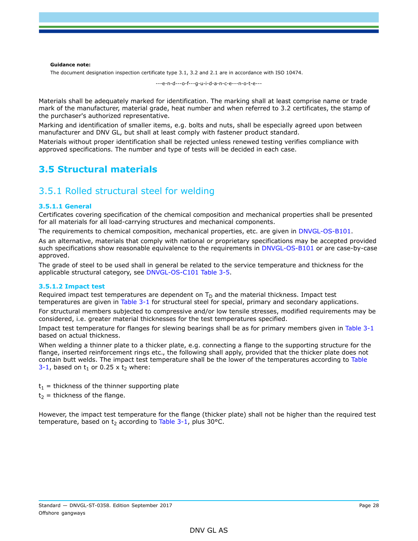**Guidance note:**

The document designation inspection certificate type 3.1, 3.2 and 2.1 are in accordance with ISO 10474.

---e-n-d---o-f---g-u-i-d-a-n-c-e---n-o-t-e---

Materials shall be adequately marked for identification. The marking shall at least comprise name or trade mark of the manufacturer, material grade, heat number and when referred to 3.2 certificates, the stamp of the purchaser's authorized representative.

Marking and identification of smaller items, e.g. bolts and nuts, shall be especially agreed upon between manufacturer and DNV GL, but shall at least comply with fastener product standard.

Materials without proper identification shall be rejected unless renewed testing verifies compliance with approved specifications. The number and type of tests will be decided in each case.

### <span id="page-27-0"></span>**3.5 Structural materials**

### 3.5.1 Rolled structural steel for welding

#### **3.5.1.1 General**

Certificates covering specification of the chemical composition and mechanical properties shall be presented for all materials for all load-carrying structures and mechanical components.

The requirements to chemical composition, mechanical properties, etc. are given in DNVGL-OS-B101.

As an alternative, materials that comply with national or proprietary specifications may be accepted provided such specifications show reasonable equivalence to the requirements in DNVGL-OS-B101 or are case-by-case approved.

The grade of steel to be used shall in general be related to the service temperature and thickness for the applicable structural category, see DNVGL-OS-C101 Table 3-5.

#### **3.5.1.2 Impact test**

Required impact test temperatures are dependent on  $T<sub>D</sub>$  and the material thickness. Impact test temperatures are given in Table 3-1 for structural steel for special, primary and secondary applications.

For structural members subjected to compressive and/or low tensile stresses, modified requirements may be considered, i.e. greater material thicknesses for the test temperatures specified.

Impact test temperature for flanges for slewing bearings shall be as for primary members given in Table 3-1 based on actual thickness.

When welding a thinner plate to a thicker plate, e.g. connecting a flange to the supporting structure for the flange, inserted reinforcement rings etc., the following shall apply, provided that the thicker plate does not contain butt welds. The impact test temperature shall be the lower of the temperatures according to Table 3-1, based on  $t_1$  or 0.25 x  $t_2$  where:

 $t_1$  = thickness of the thinner supporting plate

 $t_2$  = thickness of the flange.

However, the impact test temperature for the flange (thicker plate) shall not be higher than the required test temperature, based on  $t_2$  according to Table 3-1, plus 30 $^{\circ}$ C.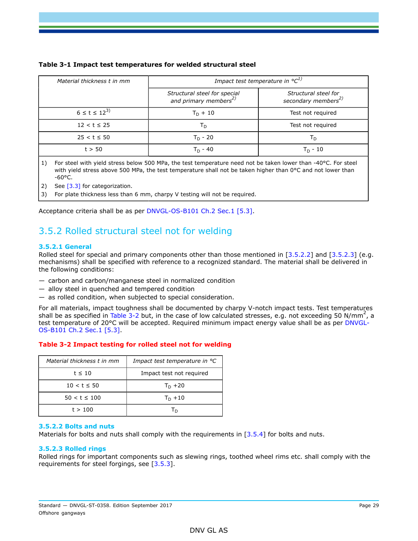| Material thickness t in mm | Impact test temperature in ${}^{\circ}C^{1)}$                     |                                                         |  |
|----------------------------|-------------------------------------------------------------------|---------------------------------------------------------|--|
|                            | Structural steel for special<br>and primary members <sup>2)</sup> | Structural steel for<br>secondary members <sup>2)</sup> |  |
| $6 \le t \le 12^{3}$       | $T_D + 10$                                                        | Test not required                                       |  |
| $12 < t \le 25$            | Тn                                                                | Test not required                                       |  |
| $25 < t \le 50$            | $T_D - 20$                                                        | Тn                                                      |  |
| t > 50                     | T <sub>n</sub> - 40                                               | $T_{D}$ - 10                                            |  |

#### **Table 3-1 Impact test temperatures for welded structural steel**

1) For steel with yield stress below 500 MPa, the test temperature need not be taken lower than -40°C. For steel with yield stress above 500 MPa, the test temperature shall not be taken higher than 0°C and not lower than  $-60$ °C.

2) See  $[3.3]$  for categorization.

3) For plate thickness less than 6 mm, charpy V testing will not be required.

Acceptance criteria shall be as per DNVGL-OS-B101 Ch.2 Sec.1 [5.3].

# 3.5.2 Rolled structural steel not for welding

#### **3.5.2.1 General**

Rolled steel for special and primary components other than those mentioned in [3.5.2.2] and [3.5.2.3] (e.g. mechanisms) shall be specified with reference to a recognized standard. The material shall be delivered in the following conditions:

- carbon and carbon/manganese steel in normalized condition
- alloy steel in quenched and tempered condition
- as rolled condition, when subjected to special consideration.

For all materials, impact toughness shall be documented by charpy V-notch impact tests. Test temperatures shall be as specified in Table 3-2 but, in the case of low calculated stresses, e.g. not exceeding 50 N/mm<sup>2</sup>, a test temperature of 20°C will be accepted. Required minimum impact energy value shall be as per DNVGL-OS-B101 Ch.2 Sec.1 [5.3].

#### **Table 3-2 Impact testing for rolled steel not for welding**

| Material thickness t in mm | Impact test temperature in °C |  |  |
|----------------------------|-------------------------------|--|--|
| $t \leq 10$                | Impact test not required      |  |  |
| $10 < t \leq 50$           | $T_D + 20$                    |  |  |
| $50 < t \leq 100$          | $T_D + 10$                    |  |  |
| t > 100                    |                               |  |  |

#### **3.5.2.2 Bolts and nuts**

Materials for bolts and nuts shall comply with the requirements in [3.5.4] for bolts and nuts.

#### **3.5.2.3 Rolled rings**

Rolled rings for important components such as slewing rings, toothed wheel rims etc. shall comply with the requirements for steel forgings, see [3.5.3].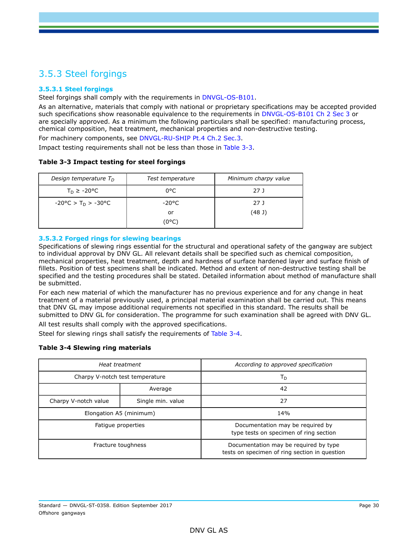# 3.5.3 Steel forgings

### **3.5.3.1 Steel forgings**

Steel forgings shall comply with the requirements in DNVGL-OS-B101.

As an alternative, materials that comply with national or proprietary specifications may be accepted provided such specifications show reasonable equivalence to the requirements in DNVGL-OS-B101 Ch 2 Sec 3 or are specially approved. As a minimum the following particulars shall be specified: manufacturing process, chemical composition, heat treatment, mechanical properties and non-destructive testing. For machinery components, see DNVGL-RU-SHIP Pt.4 Ch.2 Sec.3.

Impact testing requirements shall not be less than those in Table 3-3.

#### **Table 3-3 Impact testing for steel forgings**

| Design temperature $T_D$                           | Test temperature | Minimum charpy value |  |
|----------------------------------------------------|------------------|----------------------|--|
| $T_D \ge -20$ °C                                   | 0°C              | 27 J                 |  |
| $-20^{\circ}$ C > T <sub>D</sub> > $-30^{\circ}$ C | -20°C            | 27 J                 |  |
|                                                    | or               | (48J)                |  |
|                                                    | (0°C)            |                      |  |

### **3.5.3.2 Forged rings for slewing bearings**

Specifications of slewing rings essential for the structural and operational safety of the gangway are subject to individual approval by DNV GL. All relevant details shall be specified such as chemical composition, mechanical properties, heat treatment, depth and hardness of surface hardened layer and surface finish of fillets. Position of test specimens shall be indicated. Method and extent of non-destructive testing shall be specified and the testing procedures shall be stated. Detailed information about method of manufacture shall be submitted.

For each new material of which the manufacturer has no previous experience and for any change in heat treatment of a material previously used, a principal material examination shall be carried out. This means that DNV GL may impose additional requirements not specified in this standard. The results shall be submitted to DNV GL for consideration. The programme for such examination shall be agreed with DNV GL. All test results shall comply with the approved specifications.

Steel for slewing rings shall satisfy the requirements of Table 3-4.

#### **Table 3-4 Slewing ring materials**

|                                           | Heat treatment          | According to approved specification                                                    |  |  |
|-------------------------------------------|-------------------------|----------------------------------------------------------------------------------------|--|--|
| Charpy V-notch test temperature           |                         | Т <sub>D</sub>                                                                         |  |  |
|                                           | Average                 | 42                                                                                     |  |  |
| Single min. value<br>Charpy V-notch value |                         | 27                                                                                     |  |  |
|                                           | Elongation A5 (minimum) | 14%                                                                                    |  |  |
|                                           | Fatigue properties      | Documentation may be required by<br>type tests on specimen of ring section             |  |  |
|                                           | Fracture toughness      | Documentation may be required by type<br>tests on specimen of ring section in question |  |  |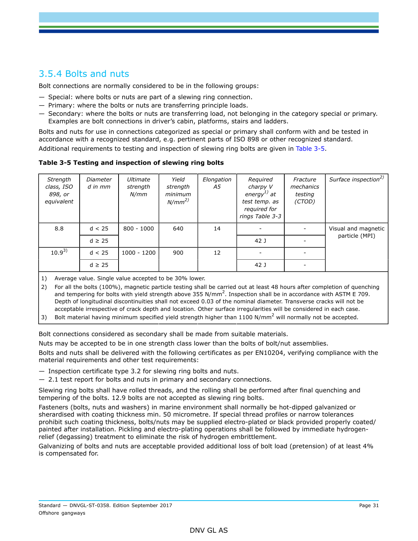# 3.5.4 Bolts and nuts

Bolt connections are normally considered to be in the following groups:

- Special: where bolts or nuts are part of a slewing ring connection.
- Primary: where the bolts or nuts are transferring principle loads.
- Secondary: where the bolts or nuts are transferring load, not belonging in the category special or primary. Examples are bolt connections in driver's cabin, platforms, stairs and ladders.

Bolts and nuts for use in connections categorized as special or primary shall conform with and be tested in accordance with a recognized standard, e.g. pertinent parts of ISO 898 or other recognized standard.

Additional requirements to testing and inspection of slewing ring bolts are given in Table 3-5.

**Table 3-5 Testing and inspection of slewing ring bolts**

| Strength<br>class, ISO<br>898, or<br>equivalent | Diameter<br>$d$ in $mm$ | Ultimate<br>strength<br>N/mm | Yield<br>strength<br>minimum<br>$N/mm^{2)}$ | Elongation<br>A5 | Required<br>charpy V<br>energy $^{1)}$ at<br>test temp. as<br>required for<br>rings Table 3-3 | Fracture<br>mechanics<br>testing<br>(CTOD) | Surface inspection <sup>2)</sup> |
|-------------------------------------------------|-------------------------|------------------------------|---------------------------------------------|------------------|-----------------------------------------------------------------------------------------------|--------------------------------------------|----------------------------------|
| 8.8                                             | d < 25                  | $800 - 1000$                 | 640                                         | 14               |                                                                                               |                                            | Visual and magnetic              |
|                                                 | $d \geq 25$             |                              |                                             |                  | 42 J                                                                                          |                                            | particle (MPI)                   |
| $10.9^{3}$                                      | d < 25                  | $1000 - 1200$                | 900                                         | 12               |                                                                                               |                                            |                                  |
|                                                 | $d \geq 25$             |                              |                                             |                  | 42 J                                                                                          |                                            |                                  |

1) Average value. Single value accepted to be 30% lower.

2) For all the bolts (100%), magnetic particle testing shall be carried out at least 48 hours after completion of quenching and tempering for bolts with yield strength above 355 N/mm<sup>2</sup>. Inspection shall be in accordance with ASTM E 709. Depth of longitudinal discontinuities shall not exceed 0.03 of the nominal diameter. Transverse cracks will not be acceptable irrespective of crack depth and location. Other surface irregularities will be considered in each case.

3) Bolt material having minimum specified yield strength higher than 1100 N/mm<sup>2</sup> will normally not be accepted.

Bolt connections considered as secondary shall be made from suitable materials.

Nuts may be accepted to be in one strength class lower than the bolts of bolt/nut assemblies.

Bolts and nuts shall be delivered with the following certificates as per EN10204, verifying compliance with the material requirements and other test requirements:

- Inspection certificate type 3.2 for slewing ring bolts and nuts.
- 2.1 test report for bolts and nuts in primary and secondary connections.

Slewing ring bolts shall have rolled threads, and the rolling shall be performed after final quenching and tempering of the bolts. 12.9 bolts are not accepted as slewing ring bolts.

Fasteners (bolts, nuts and washers) in marine environment shall normally be hot-dipped galvanized or sherardised with coating thickness min. 50 micrometre. If special thread profiles or narrow tolerances prohibit such coating thickness, bolts/nuts may be supplied electro-plated or black provided properly coated/ painted after installation. Pickling and electro-plating operations shall be followed by immediate hydrogenrelief (degassing) treatment to eliminate the risk of hydrogen embrittlement.

Galvanizing of bolts and nuts are acceptable provided additional loss of bolt load (pretension) of at least 4% is compensated for.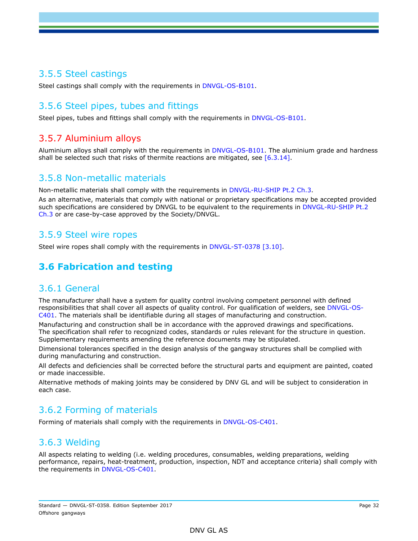### 3.5.5 Steel castings

Steel castings shall comply with the requirements in DNVGL-OS-B101.

## 3.5.6 Steel pipes, tubes and fittings

Steel pipes, tubes and fittings shall comply with the requirements in DNVGL-OS-B101.

### 3.5.7 Aluminium alloys

Aluminium alloys shall comply with the requirements in DNVGL-OS-B101. The aluminium grade and hardness shall be selected such that risks of thermite reactions are mitigated, see [6.3.14].

### 3.5.8 Non-metallic materials

Non-metallic materials shall comply with the requirements in DNVGL-RU-SHIP Pt.2 Ch.3.

As an alternative, materials that comply with national or proprietary specifications may be accepted provided such specifications are considered by DNVGL to be equivalent to the requirements in DNVGL-RU-SHIP Pt.2 Ch.3 or are case-by-case approved by the Society/DNVGL.

### 3.5.9 Steel wire ropes

<span id="page-31-0"></span>Steel wire ropes shall comply with the requirements in DNVGL-ST-0378 [3.10].

# **3.6 Fabrication and testing**

### 3.6.1 General

The manufacturer shall have a system for quality control involving competent personnel with defined responsibilities that shall cover all aspects of quality control. For qualification of welders, see DNVGL-OS-C401. The materials shall be identifiable during all stages of manufacturing and construction.

Manufacturing and construction shall be in accordance with the approved drawings and specifications. The specification shall refer to recognized codes, standards or rules relevant for the structure in question. Supplementary requirements amending the reference documents may be stipulated.

Dimensional tolerances specified in the design analysis of the gangway structures shall be complied with during manufacturing and construction.

All defects and deficiencies shall be corrected before the structural parts and equipment are painted, coated or made inaccessible.

Alternative methods of making joints may be considered by DNV GL and will be subject to consideration in each case.

### 3.6.2 Forming of materials

Forming of materials shall comply with the requirements in DNVGL-OS-C401.

### 3.6.3 Welding

All aspects relating to welding (i.e. welding procedures, consumables, welding preparations, welding performance, repairs, heat-treatment, production, inspection, NDT and acceptance criteria) shall comply with the requirements in DNVGL-OS-C401.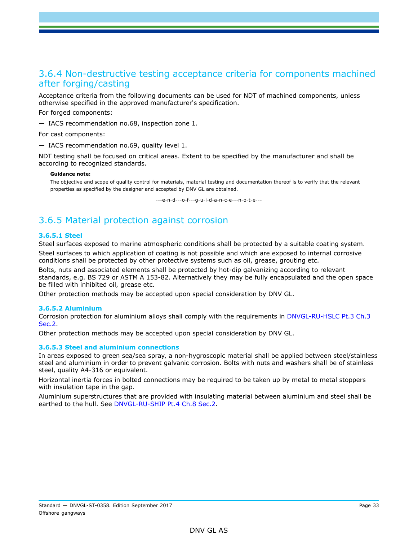### 3.6.4 Non-destructive testing acceptance criteria for components machined after forging/casting

Acceptance criteria from the following documents can be used for NDT of machined components, unless otherwise specified in the approved manufacturer's specification.

For forged components:

— IACS recommendation no.68, inspection zone 1.

For cast components:

— IACS recommendation no.69, quality level 1.

NDT testing shall be focused on critical areas. Extent to be specified by the manufacturer and shall be according to recognized standards.

#### **Guidance note:**

The objective and scope of quality control for materials, material testing and documentation thereof is to verify that the relevant properties as specified by the designer and accepted by DNV GL are obtained.

---e-n-d---o-f---g-u-i-d-a-n-c-e---n-o-t-e---

# 3.6.5 Material protection against corrosion

#### **3.6.5.1 Steel**

Steel surfaces exposed to marine atmospheric conditions shall be protected by a suitable coating system.

Steel surfaces to which application of coating is not possible and which are exposed to internal corrosive conditions shall be protected by other protective systems such as oil, grease, grouting etc.

Bolts, nuts and associated elements shall be protected by hot-dip galvanizing according to relevant standards, e.g. BS 729 or ASTM A 153-82. Alternatively they may be fully encapsulated and the open space be filled with inhibited oil, grease etc.

Other protection methods may be accepted upon special consideration by DNV GL.

#### **3.6.5.2 Aluminium**

Corrosion protection for aluminium alloys shall comply with the requirements in DNVGL-RU-HSLC Pt.3 Ch.3 Sec.2.

Other protection methods may be accepted upon special consideration by DNV GL.

#### **3.6.5.3 Steel and aluminium connections**

In areas exposed to green sea/sea spray, a non-hygroscopic material shall be applied between steel/stainless steel and aluminium in order to prevent galvanic corrosion. Bolts with nuts and washers shall be of stainless steel, quality A4-316 or equivalent.

Horizontal inertia forces in bolted connections may be required to be taken up by metal to metal stoppers with insulation tape in the gap.

Aluminium superstructures that are provided with insulating material between aluminium and steel shall be earthed to the hull. See DNVGL-RU-SHIP Pt.4 Ch.8 Sec.2.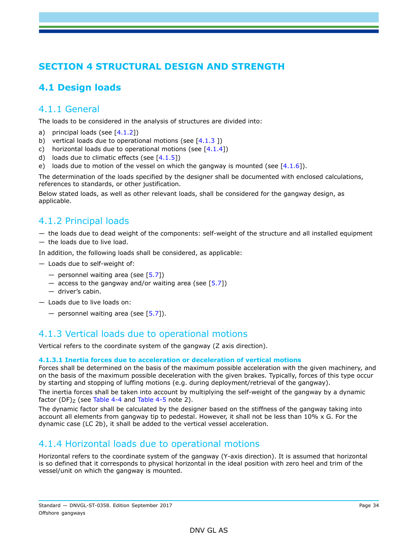# <span id="page-33-0"></span>**SECTION 4 STRUCTURAL DESIGN AND STRENGTH**

# <span id="page-33-1"></span>**4.1 Design loads**

### 4.1.1 General

The loads to be considered in the analysis of structures are divided into:

- a) principal loads (see  $[4.1.2]$ )
- b) vertical loads due to operational motions (see  $[4.1.3]$ )
- c) horizontal loads due to operational motions (see  $[4.1.4]$ )
- d) loads due to climatic effects (see  $[4.1.5]$ )
- e) loads due to motion of the vessel on which the gangway is mounted (see  $[4.1.6]$ ).

The determination of the loads specified by the designer shall be documented with enclosed calculations, references to standards, or other justification.

Below stated loads, as well as other relevant loads, shall be considered for the gangway design, as applicable.

# 4.1.2 Principal loads

- the loads due to dead weight of the components: self-weight of the structure and all installed equipment
- the loads due to live load.

In addition, the following loads shall be considered, as applicable:

- Loads due to self-weight of:
	- personnel waiting area (see  $[5.7]$ )
	- $-$  access to the gangway and/or waiting area (see [5.7])
	- driver's cabin.
- Loads due to live loads on:
	- personnel waiting area (see  $[5.7]$ ).

### 4.1.3 Vertical loads due to operational motions

Vertical refers to the coordinate system of the gangway (Z axis direction).

#### **4.1.3.1 Inertia forces due to acceleration or deceleration of vertical motions**

Forces shall be determined on the basis of the maximum possible acceleration with the given machinery, and on the basis of the maximum possible deceleration with the given brakes. Typically, forces of this type occur by starting and stopping of luffing motions (e.g. during deployment/retrieval of the gangway).

The inertia forces shall be taken into account by multiplying the self-weight of the gangway by a dynamic factor (DF) $<sub>z</sub>$  (see Table 4-4 and Table 4-5 note 2).</sub>

The dynamic factor shall be calculated by the designer based on the stiffness of the gangway taking into account all elements from gangway tip to pedestal. However, it shall not be less than 10% x G. For the dynamic case (LC 2b), it shall be added to the vertical vessel acceleration.

### 4.1.4 Horizontal loads due to operational motions

Horizontal refers to the coordinate system of the gangway (Y-axis direction). It is assumed that horizontal is so defined that it corresponds to physical horizontal in the ideal position with zero heel and trim of the vessel/unit on which the gangway is mounted.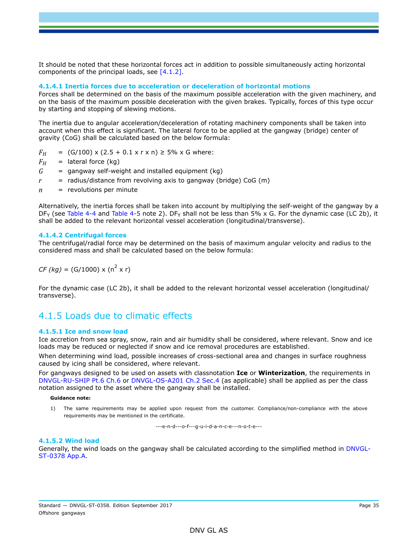It should be noted that these horizontal forces act in addition to possible simultaneously acting horizontal components of the principal loads, see [4.1.2].

#### **4.1.4.1 Inertia forces due to acceleration or deceleration of horizontal motions**

Forces shall be determined on the basis of the maximum possible acceleration with the given machinery, and on the basis of the maximum possible deceleration with the given brakes. Typically, forces of this type occur by starting and stopping of slewing motions.

The inertia due to angular acceleration/deceleration of rotating machinery components shall be taken into account when this effect is significant. The lateral force to be applied at the gangway (bridge) center of gravity (CoG) shall be calculated based on the below formula:

$$
F_H
$$
 = (G/100) x (2.5 + 0.1 x r x n)  $\ge$  5% x G where:

- $F_H$  = lateral force (kg)
- $G =$  gangway self-weight and installed equipment (kg)
- $r =$  radius/distance from revolving axis to gangway (bridge) CoG (m)
- *n* = revolutions per minute

Alternatively, the inertia forces shall be taken into account by multiplying the self-weight of the gangway by a  $DF<sub>Y</sub>$  (see Table 4-4 and Table 4-5 note 2). DF<sub>Y</sub> shall not be less than 5% x G. For the dynamic case (LC 2b), it shall be added to the relevant horizontal vessel acceleration (longitudinal/transverse).

#### **4.1.4.2 Centrifugal forces**

The centrifugal/radial force may be determined on the basis of maximum angular velocity and radius to the considered mass and shall be calculated based on the below formula:

 $CF (kg) = (G/1000) \times (n^2 \times r)$ 

For the dynamic case (LC 2b), it shall be added to the relevant horizontal vessel acceleration (longitudinal/ transverse).

### 4.1.5 Loads due to climatic effects

#### **4.1.5.1 Ice and snow load**

Ice accretion from sea spray, snow, rain and air humidity shall be considered, where relevant. Snow and ice loads may be reduced or neglected if snow and ice removal procedures are established.

When determining wind load, possible increases of cross-sectional area and changes in surface roughness caused by icing shall be considered, where relevant.

For gangways designed to be used on assets with classnotation **Ice** or **Winterization**, the requirements in DNVGL-RU-SHIP Pt.6 Ch.6 or DNVGL-OS-A201 Ch.2 Sec.4 (as applicable) shall be applied as per the class notation assigned to the asset where the gangway shall be installed.

#### **Guidance note:**

1) The same requirements may be applied upon request from the customer. Compliance/non-compliance with the above requirements may be mentioned in the certificate.

---e-n-d---o-f---g-u-i-d-a-n-c-e---n-o-t-e---

#### **4.1.5.2 Wind load**

Generally, the wind loads on the gangway shall be calculated according to the simplified method in DNVGL-ST-0378 App.A.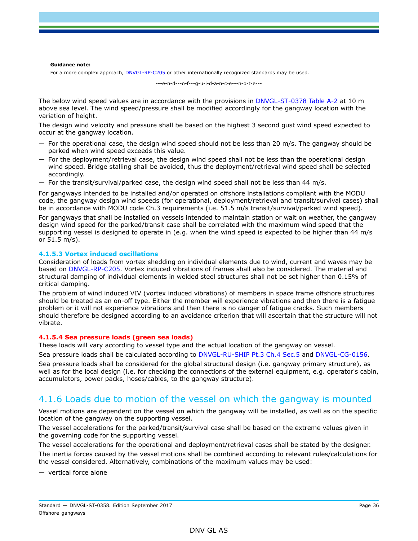#### **Guidance note:**

For a more complex approach, DNVGL-RP-C205 or other internationally recognized standards may be used.

---e-n-d---o-f---g-u-i-d-a-n-c-e---n-o-t-e---

The below wind speed values are in accordance with the provisions in DNVGL-ST-0378 Table A-2 at 10 m above sea level. The wind speed/pressure shall be modified accordingly for the gangway location with the variation of height.

The design wind velocity and pressure shall be based on the highest 3 second gust wind speed expected to occur at the gangway location.

- $-$  For the operational case, the design wind speed should not be less than 20 m/s. The gangway should be parked when wind speed exceeds this value.
- $-$  For the deployment/retrieval case, the design wind speed shall not be less than the operational design wind speed. Bridge stalling shall be avoided, thus the deployment/retrieval wind speed shall be selected accordingly.
- $-$  For the transit/survival/parked case, the design wind speed shall not be less than 44 m/s.

For gangways intended to be installed and/or operated on offshore installations compliant with the MODU code, the gangway design wind speeds (for operational, deployment/retrieval and transit/survival cases) shall be in accordance with MODU code Ch.3 requirements (i.e. 51.5 m/s transit/survival/parked wind speed).

For gangways that shall be installed on vessels intended to maintain station or wait on weather, the gangway design wind speed for the parked/transit case shall be correlated with the maximum wind speed that the supporting vessel is designed to operate in (e.g. when the wind speed is expected to be higher than 44 m/s or 51.5 m/s).

#### **4.1.5.3 Vortex induced oscillations**

Consideration of loads from vortex shedding on individual elements due to wind, current and waves may be based on DNVGL-RP-C205. Vortex induced vibrations of frames shall also be considered. The material and structural damping of individual elements in welded steel structures shall not be set higher than 0.15% of critical damping.

The problem of wind induced VIV (vortex induced vibrations) of members in space frame offshore structures should be treated as an on-off type. Either the member will experience vibrations and then there is a fatigue problem or it will not experience vibrations and then there is no danger of fatigue cracks. Such members should therefore be designed according to an avoidance criterion that will ascertain that the structure will not vibrate.

#### **4.1.5.4 Sea pressure loads (green sea loads)**

These loads will vary according to vessel type and the actual location of the gangway on vessel.

Sea pressure loads shall be calculated according to DNVGL-RU-SHIP Pt.3 Ch.4 Sec.5 and DNVGL-CG-0156.

Sea pressure loads shall be considered for the global structural design (i.e. gangway primary structure), as well as for the local design (i.e. for checking the connections of the external equipment, e.g. operator's cabin, accumulators, power packs, hoses/cables, to the gangway structure).

### 4.1.6 Loads due to motion of the vessel on which the gangway is mounted

Vessel motions are dependent on the vessel on which the gangway will be installed, as well as on the specific location of the gangway on the supporting vessel.

The vessel accelerations for the parked/transit/survival case shall be based on the extreme values given in the governing code for the supporting vessel.

The vessel accelerations for the operational and deployment/retrieval cases shall be stated by the designer. The inertia forces caused by the vessel motions shall be combined according to relevant rules/calculations for the vessel considered. Alternatively, combinations of the maximum values may be used:

— vertical force alone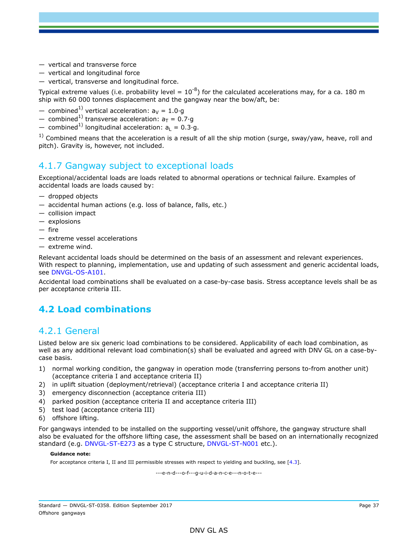- vertical and transverse force
- vertical and longitudinal force
- vertical, transverse and longitudinal force.

Typical extreme values (i.e. probability level =  $10^{-8}$ ) for the calculated accelerations may, for a ca. 180 m ship with 60 000 tonnes displacement and the gangway near the bow/aft, be:

- combined<sup>1)</sup> vertical acceleration:  $a_V = 1.0 \cdot q$
- combined<sup>1)</sup> transverse acceleration:  $a_T = 0.7·g$
- combined<sup>1)</sup> longitudinal acceleration:  $a_1 = 0.3 \cdot q$ .

 $1)$  Combined means that the acceleration is a result of all the ship motion (surge, sway/yaw, heave, roll and pitch). Gravity is, however, not included.

## 4.1.7 Gangway subject to exceptional loads

Exceptional/accidental loads are loads related to abnormal operations or technical failure. Examples of accidental loads are loads caused by:

- dropped objects
- accidental human actions (e.g. loss of balance, falls, etc.)
- collision impact
- explosions
- fire
- extreme vessel accelerations
- extreme wind.

Relevant accidental loads should be determined on the basis of an assessment and relevant experiences. With respect to planning, implementation, use and updating of such assessment and generic accidental loads, see DNVGL-OS-A101.

Accidental load combinations shall be evaluated on a case-by-case basis. Stress acceptance levels shall be as per acceptance criteria III.

# **4.2 Load combinations**

### 4.2.1 General

Listed below are six generic load combinations to be considered. Applicability of each load combination, as well as any additional relevant load combination(s) shall be evaluated and agreed with DNV GL on a case-bycase basis.

- 1) normal working condition, the gangway in operation mode (transferring persons to-from another unit) (acceptance criteria I and acceptance criteria II)
- 2) in uplift situation (deployment/retrieval) (acceptance criteria I and acceptance criteria II)
- 3) emergency disconnection (acceptance criteria III)
- 4) parked position (acceptance criteria II and acceptance criteria III)
- 5) test load (acceptance criteria III)
- 6) offshore lifting.

For gangways intended to be installed on the supporting vessel/unit offshore, the gangway structure shall also be evaluated for the offshore lifting case, the assessment shall be based on an internationally recognized standard (e.g. DNVGL-ST-E273 as a type C structure, DNVGL-ST-N001 etc.).

#### **Guidance note:**

For acceptance criteria I, II and III permissible stresses with respect to yielding and buckling, see [4.3].

---e-n-d---o-f---g-u-i-d-a-n-c-e---n-o-t-e---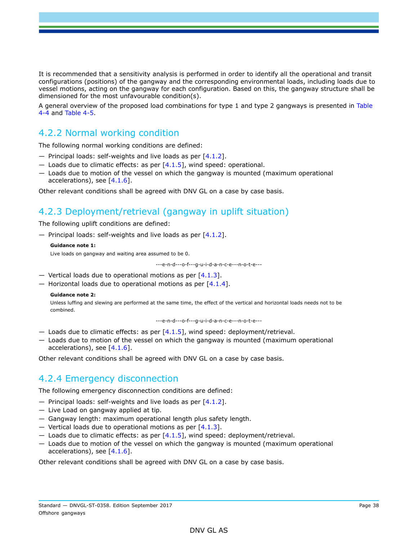It is recommended that a sensitivity analysis is performed in order to identify all the operational and transit configurations (positions) of the gangway and the corresponding environmental loads, including loads due to vessel motions, acting on the gangway for each configuration. Based on this, the gangway structure shall be dimensioned for the most unfavourable condition(s).

A general overview of the proposed load combinations for type 1 and type 2 gangways is presented in Table 4-4 and Table 4-5.

### 4.2.2 Normal working condition

The following normal working conditions are defined:

- $-$  Principal loads: self-weights and live loads as per  $[4.1.2]$ .
- $-$  Loads due to climatic effects: as per  $[4.1.5]$ , wind speed: operational.
- Loads due to motion of the vessel on which the gangway is mounted (maximum operational accelerations), see [4.1.6].

Other relevant conditions shall be agreed with DNV GL on a case by case basis.

### 4.2.3 Deployment/retrieval (gangway in uplift situation)

The following uplift conditions are defined:

 $-$  Principal loads: self-weights and live loads as per  $[4.1.2]$ .

```
Guidance note 1:
```
Live loads on gangway and waiting area assumed to be 0.

---e-n-d---o-f---g-u-i-d-a-n-c-e---n-o-t-e---

- Vertical loads due to operational motions as per  $[4.1.3]$ .
- $-$  Horizontal loads due to operational motions as per [4.1.4].

#### **Guidance note 2:**

Unless luffing and slewing are performed at the same time, the effect of the vertical and horizontal loads needs not to be combined.

---e-n-d---o-f---g-u-i-d-a-n-c-e---n-o-t-e---

- $-$  Loads due to climatic effects: as per  $[4.1.5]$ , wind speed: deployment/retrieval.
- Loads due to motion of the vessel on which the gangway is mounted (maximum operational accelerations), see  $[4.1.6]$ .

Other relevant conditions shall be agreed with DNV GL on a case by case basis.

## 4.2.4 Emergency disconnection

The following emergency disconnection conditions are defined:

- $-$  Principal loads: self-weights and live loads as per  $[4.1.2]$ .
- Live Load on gangway applied at tip.
- Gangway length: maximum operational length plus safety length.
- $-$  Vertical loads due to operational motions as per [4.1.3].
- $-$  Loads due to climatic effects: as per  $[4.1.5]$ , wind speed: deployment/retrieval.
- Loads due to motion of the vessel on which the gangway is mounted (maximum operational accelerations), see [4.1.6].

Other relevant conditions shall be agreed with DNV GL on a case by case basis.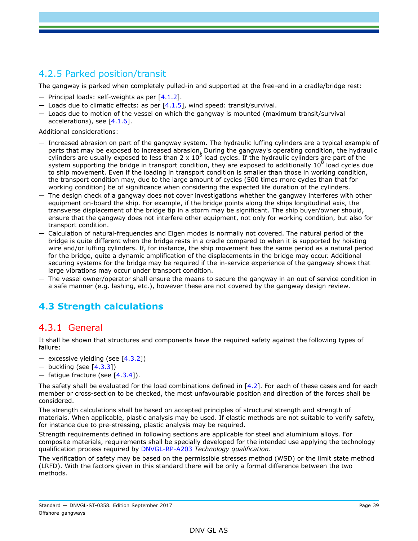## 4.2.5 Parked position/transit

The gangway is parked when completely pulled-in and supported at the free-end in a cradle/bridge rest:

- $-$  Principal loads: self-weights as per  $[4.1.2]$ .
- $-$  Loads due to climatic effects: as per  $[4.1.5]$ , wind speed: transit/survival.
- Loads due to motion of the vessel on which the gangway is mounted (maximum transit/survival accelerations), see [4.1.6].

Additional considerations:

- Increased abrasion on part of the gangway system. The hydraulic luffing cylinders are a typical example of parts that may be exposed to increased abrasion. During the gangway's operating condition, the hydraulic cylinders are usually exposed to less than 2 x  $10^5$  load cycles. If the hydraulic cylinders are part of the system supporting the bridge in transport condition, they are exposed to additionally 10<sup>8</sup> load cycles due to ship movement. Even if the loading in transport condition is smaller than those in working condition, the transport condition may, due to the large amount of cycles (500 times more cycles than that for working condition) be of significance when considering the expected life duration of the cylinders.
- The design check of a gangway does not cover investigations whether the gangway interferes with other equipment on-board the ship. For example, if the bridge points along the ships longitudinal axis, the transverse displacement of the bridge tip in a storm may be significant. The ship buyer/owner should, ensure that the gangway does not interfere other equipment, not only for working condition, but also for transport condition.
- Calculation of natural-frequencies and Eigen modes is normally not covered. The natural period of the bridge is quite different when the bridge rests in a cradle compared to when it is supported by hoisting wire and/or luffing cylinders. If, for instance, the ship movement has the same period as a natural period for the bridge, quite a dynamic amplification of the displacements in the bridge may occur. Additional securing systems for the bridge may be required if the in-service experience of the gangway shows that large vibrations may occur under transport condition.
- The vessel owner/operator shall ensure the means to secure the gangway in an out of service condition in a safe manner (e.g. lashing, etc.), however these are not covered by the gangway design review.

# **4.3 Strength calculations**

## 4.3.1 General

It shall be shown that structures and components have the required safety against the following types of failure:

- excessive yielding (see  $[4.3.2]$ )
- buckling (see  $[4.3.3]$ )
- $-$  fatique fracture (see [4.3.4]).

The safety shall be evaluated for the load combinations defined in [4.2]. For each of these cases and for each member or cross-section to be checked, the most unfavourable position and direction of the forces shall be considered.

The strength calculations shall be based on accepted principles of structural strength and strength of materials. When applicable, plastic analysis may be used. If elastic methods are not suitable to verify safety, for instance due to pre-stressing, plastic analysis may be required.

Strength requirements defined in following sections are applicable for steel and aluminium alloys. For composite materials, requirements shall be specially developed for the intended use applying the technology qualification process required by DNVGL-RP-A203 *Technology qualification*.

The verification of safety may be based on the permissible stresses method (WSD) or the limit state method (LRFD). With the factors given in this standard there will be only a formal difference between the two methods.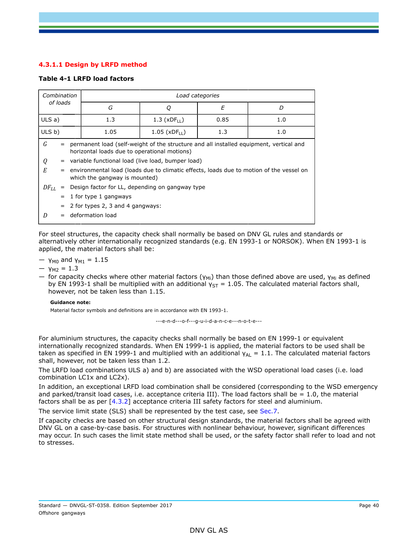### **4.3.1.1 Design by LRFD method**

### **Table 4-1 LRFD load factors**

| Combination<br>of loads        |  | Load categories                                                                                                                                                                                                                                                                                                           |   |  |  |  |  |  |
|--------------------------------|--|---------------------------------------------------------------------------------------------------------------------------------------------------------------------------------------------------------------------------------------------------------------------------------------------------------------------------|---|--|--|--|--|--|
|                                |  | G                                                                                                                                                                                                                                                                                                                         | D |  |  |  |  |  |
| $ULS$ a)                       |  | 1.3<br>$1.3$ (xDF <sub>II</sub> )<br>0.85<br>1.0                                                                                                                                                                                                                                                                          |   |  |  |  |  |  |
| ULS b)                         |  | 1.05<br>$1.05$ (xDF <sub>II</sub> )<br>1.3<br>1.0                                                                                                                                                                                                                                                                         |   |  |  |  |  |  |
| G<br>$=$<br>Q<br>E<br>$=$      |  | permanent load (self-weight of the structure and all installed equipment, vertical and<br>horizontal loads due to operational motions)<br>= variable functional load (live load, bumper load)<br>environmental load (loads due to climatic effects, loads due to motion of the vessel on<br>which the gangway is mounted) |   |  |  |  |  |  |
| $DF_{LL}$<br>$\qquad \qquad =$ |  | Design factor for LL, depending on gangway type                                                                                                                                                                                                                                                                           |   |  |  |  |  |  |
| $=$                            |  | 1 for type 1 gangways                                                                                                                                                                                                                                                                                                     |   |  |  |  |  |  |
|                                |  | 2 for types 2, 3 and 4 gangways:                                                                                                                                                                                                                                                                                          |   |  |  |  |  |  |
| D                              |  | deformation load                                                                                                                                                                                                                                                                                                          |   |  |  |  |  |  |

For steel structures, the capacity check shall normally be based on DNV GL rules and standards or alternatively other internationally recognized standards (e.g. EN 1993-1 or NORSOK). When EN 1993-1 is applied, the material factors shall be:

— γ<sub>M0</sub> and γ<sub>M1</sub> = 1.15

 $-$  γ<sub>M2</sub> = 1.3

— for capacity checks where other material factors ( $\gamma_{\text{Mi}}$ ) than those defined above are used,  $\gamma_{\text{Mi}}$  as defined by EN 1993-1 shall be multiplied with an additional  $y_{ST} = 1.05$ . The calculated material factors shall, however, not be taken less than 1.15.

#### **Guidance note:**

Material factor symbols and definitions are in accordance with EN 1993-1.

---e-n-d---o-f---g-u-i-d-a-n-c-e---n-o-t-e---

For aluminium structures, the capacity checks shall normally be based on EN 1999-1 or equivalent internationally recognized standards. When EN 1999-1 is applied, the material factors to be used shall be taken as specified in EN 1999-1 and multiplied with an additional  $y_{AL} = 1.1$ . The calculated material factors shall, however, not be taken less than 1.2.

The LRFD load combinations ULS a) and b) are associated with the WSD operational load cases (i.e. load combination LC1x and LC2x).

In addition, an exceptional LRFD load combination shall be considered (corresponding to the WSD emergency and parked/transit load cases, i.e. acceptance criteria III). The load factors shall be  $= 1.0$ , the material factors shall be as per [4.3.2] acceptance criteria III safety factors for steel and aluminium.

The service limit state (SLS) shall be represented by the test case, see Sec.7.

If capacity checks are based on other structural design standards, the material factors shall be agreed with DNV GL on a case-by-case basis. For structures with nonlinear behaviour, however, significant differences may occur. In such cases the limit state method shall be used, or the safety factor shall refer to load and not to stresses.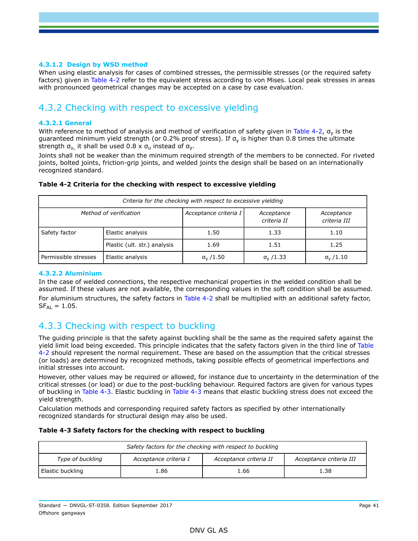### **4.3.1.2 Design by WSD method**

When using elastic analysis for cases of combined stresses, the permissible stresses (or the required safety factors) given in Table 4-2 refer to the equivalent stress according to von Mises. Local peak stresses in areas with pronounced geometrical changes may be accepted on a case by case evaluation.

## 4.3.2 Checking with respect to excessive yielding

### **4.3.2.1 General**

With reference to method of analysis and method of verification of safety given in Table 4-2,  $\sigma_{v}$  is the guaranteed minimum yield strength (or 0.2% proof stress). If  $\sigma_{\rm v}$  is higher than 0.8 times the ultimate strength  $\sigma_{\text{u}}$  it shall be used 0.8 x  $\sigma_{\text{u}}$  instead of  $\sigma_{\text{v}}$ .

Joints shall not be weaker than the minimum required strength of the members to be connected. For riveted joints, bolted joints, friction-grip joints, and welded joints the design shall be based on an internationally recognized standard.

|  | Table 4-2 Criteria for the checking with respect to excessive yielding |  |  |
|--|------------------------------------------------------------------------|--|--|
|--|------------------------------------------------------------------------|--|--|

| Criteria for the checking with respect to excessive yielding |                              |                       |                           |                            |  |  |  |
|--------------------------------------------------------------|------------------------------|-----------------------|---------------------------|----------------------------|--|--|--|
|                                                              | Method of verification       | Acceptance criteria I | Acceptance<br>criteria II | Acceptance<br>criteria III |  |  |  |
| Safety factor                                                | Elastic analysis             | 1.50                  | 1.33                      | 1.10                       |  |  |  |
|                                                              | Plastic (ult. str.) analysis | 1.69                  | 1.51                      | 1.25                       |  |  |  |
| Permissible stresses                                         | Elastic analysis             | $\sigma_{v}$ /1.50    | $\sigma_{v}$ /1.33        | $\sigma_{v}$ /1.10         |  |  |  |

### **4.3.2.2 Aluminium**

In the case of welded connections, the respective mechanical properties in the welded condition shall be assumed. If these values are not available, the corresponding values in the soft condition shall be assumed. For aluminium structures, the safety factors in Table 4-2 shall be multiplied with an additional safety factor,  $SF_{Al} = 1.05$ .

## 4.3.3 Checking with respect to buckling

The guiding principle is that the safety against buckling shall be the same as the required safety against the yield limit load being exceeded. This principle indicates that the safety factors given in the third line of Table 4-2 should represent the normal requirement. These are based on the assumption that the critical stresses (or loads) are determined by recognized methods, taking possible effects of geometrical imperfections and initial stresses into account.

However, other values may be required or allowed, for instance due to uncertainty in the determination of the critical stresses (or load) or due to the post-buckling behaviour. Required factors are given for various types of buckling in Table 4-3. Elastic buckling in Table 4-3 means that elastic buckling stress does not exceed the yield strength.

Calculation methods and corresponding required safety factors as specified by other internationally recognized standards for structural design may also be used.

### **Table 4-3 Safety factors for the checking with respect to buckling**

| Safety factors for the checking with respect to buckling |                         |      |      |  |  |  |
|----------------------------------------------------------|-------------------------|------|------|--|--|--|
| Type of buckling                                         | Acceptance criteria III |      |      |  |  |  |
| Elastic buckling                                         | 1.86                    | 1.66 | 1.38 |  |  |  |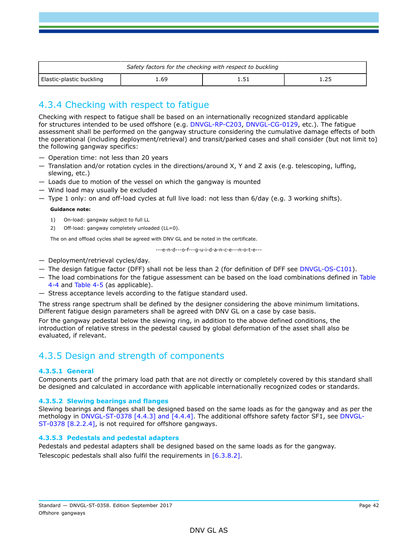| Safety factors for the checking with respect to buckling |        |  |  |  |  |  |
|----------------------------------------------------------|--------|--|--|--|--|--|
| Elastic-plastic buckling                                 | . . 69 |  |  |  |  |  |

## 4.3.4 Checking with respect to fatigue

Checking with respect to fatigue shall be based on an internationally recognized standard applicable for structures intended to be used offshore (e.g. DNVGL-RP-C203, DNVGL-CG-0129, etc.). The fatigue assessment shall be performed on the gangway structure considering the cumulative damage effects of both the operational (including deployment/retrieval) and transit/parked cases and shall consider (but not limit to) the following gangway specifics:

- Operation time: not less than 20 years
- Translation and/or rotation cycles in the directions/around X, Y and Z axis (e.g. telescoping, luffing, slewing, etc.)
- Loads due to motion of the vessel on which the gangway is mounted
- Wind load may usually be excluded
- Type 1 only: on and off-load cycles at full live load: not less than 6/day (e.g. 3 working shifts).

#### **Guidance note:**

- 1) On-load: gangway subject to full LL
- 2) Off-load: gangway completely unloaded (LL=0).

The on and offload cycles shall be agreed with DNV GL and be noted in the certificate.

---e-n-d---o-f---g-u-i-d-a-n-c-e---n-o-t-e---

- Deployment/retrieval cycles/day.
- The design fatigue factor (DFF) shall not be less than 2 (for definition of DFF see DNVGL-OS-C101).
- The load combinations for the fatigue assessment can be based on the load combinations defined in Table 4-4 and Table 4-5 (as applicable).
- Stress acceptance levels according to the fatigue standard used.

The stress range spectrum shall be defined by the designer considering the above minimum limitations. Different fatigue design parameters shall be agreed with DNV GL on a case by case basis.

For the gangway pedestal below the slewing ring, in addition to the above defined conditions, the introduction of relative stress in the pedestal caused by global deformation of the asset shall also be evaluated, if relevant.

## 4.3.5 Design and strength of components

### **4.3.5.1 General**

Components part of the primary load path that are not directly or completely covered by this standard shall be designed and calculated in accordance with applicable internationally recognized codes or standards.

#### **4.3.5.2 Slewing bearings and flanges**

Slewing bearings and flanges shall be designed based on the same loads as for the gangway and as per the methology in DNVGL-ST-0378 [4.4.3] and [4.4.4]. The additional offshore safety factor SF1, see DNVGL-ST-0378 [8.2.2.4], is not required for offshore gangways.

### **4.3.5.3 Pedestals and pedestal adapters**

Pedestals and pedestal adapters shall be designed based on the same loads as for the gangway. Telescopic pedestals shall also fulfil the requirements in [6.3.8.2].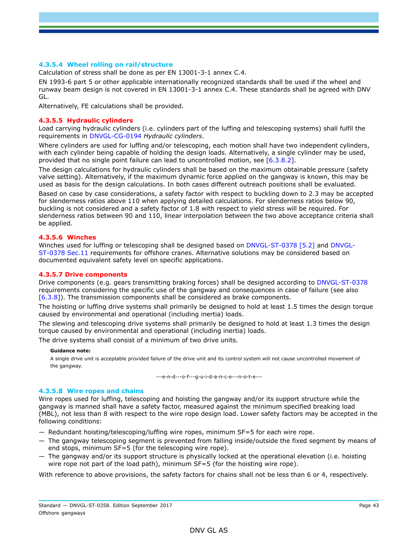### **4.3.5.4 Wheel rolling on rail/structure**

Calculation of stress shall be done as per EN 13001-3-1 annex C.4.

EN 1993-6 part 5 or other applicable internationally recognized standards shall be used if the wheel and runway beam design is not covered in EN 13001-3-1 annex C.4. These standards shall be agreed with DNV GL.

Alternatively, FE calculations shall be provided.

#### **4.3.5.5 Hydraulic cylinders**

Load carrying hydraulic cylinders (i.e. cylinders part of the luffing and telescoping systems) shall fulfil the requirements in DNVGL-CG-0194 *Hydraulic cylinders*.

Where cylinders are used for luffing and/or telescoping, each motion shall have two independent cylinders, with each cylinder being capable of holding the design loads. Alternatively, a single cylinder may be used, provided that no single point failure can lead to uncontrolled motion, see [6.3.8.2].

The design calculations for hydraulic cylinders shall be based on the maximum obtainable pressure (safety valve setting). Alternatively, if the maximum dynamic force applied on the gangway is known, this may be used as basis for the design calculations. In both cases different outreach positions shall be evaluated.

Based on case by case considerations, a safety factor with respect to buckling down to 2.3 may be accepted for slenderness ratios above 110 when applying detailed calculations. For slenderness ratios below 90, buckling is not considered and a safety factor of 1.8 with respect to yield stress will be required. For slenderness ratios between 90 and 110, linear interpolation between the two above acceptance criteria shall be applied.

### **4.3.5.6 Winches**

Winches used for luffing or telescoping shall be designed based on DNVGL-ST-0378 [5.2] and DNVGL-ST-0378 Sec.11 requirements for offshore cranes. Alternative solutions may be considered based on documented equivalent safety level on specific applications.

### **4.3.5.7 Drive components**

Drive components (e.g. gears transmitting braking forces) shall be designed according to DNVGL-ST-0378 requirements considering the specific use of the gangway and consequences in case of failure (see also [6.3.8]). The transmission components shall be considered as brake components.

The hoisting or luffing drive systems shall primarily be designed to hold at least 1.5 times the design torque caused by environmental and operational (including inertia) loads.

The slewing and telescoping drive systems shall primarily be designed to hold at least 1.3 times the design torque caused by environmental and operational (including inertia) loads.

The drive systems shall consist of a minimum of two drive units.

#### **Guidance note:**

A single drive unit is acceptable provided failure of the drive unit and its control system will not cause uncontrolled movement of the gangway.

---e-n-d---o-f---g-u-i-d-a-n-c-e---n-o-t-e---

#### **4.3.5.8 Wire ropes and chains**

Wire ropes used for luffing, telescoping and hoisting the gangway and/or its support structure while the gangway is manned shall have a safety factor, measured against the minimum specified breaking load (MBL), not less than 8 with respect to the wire rope design load. Lower safety factors may be accepted in the following conditions:

- Redundant hoisting/telescoping/luffing wire ropes, minimum SF=5 for each wire rope.
- The gangway telescoping segment is prevented from falling inside/outside the fixed segment by means of end stops, minimum SF=5 (for the telescoping wire rope).
- The gangway and/or its support structure is physically locked at the operational elevation (i.e. hoisting wire rope not part of the load path), minimum SF=5 (for the hoisting wire rope).

With reference to above provisions, the safety factors for chains shall not be less than 6 or 4, respectively.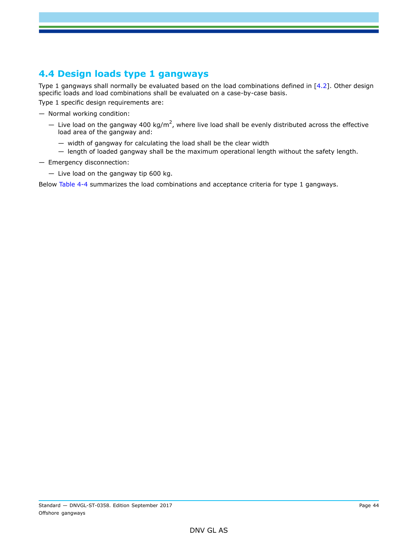# **4.4 Design loads type 1 gangways**

Type 1 gangways shall normally be evaluated based on the load combinations defined in  $[4.2]$ . Other design specific loads and load combinations shall be evaluated on a case-by-case basis.

Type 1 specific design requirements are:

- Normal working condition:
	- $-$  Live load on the gangway 400 kg/m<sup>2</sup>, where live load shall be evenly distributed across the effective load area of the gangway and:
		- width of gangway for calculating the load shall be the clear width
		- length of loaded gangway shall be the maximum operational length without the safety length.
- Emergency disconnection:
	- Live load on the gangway tip 600 kg.

Below Table 4-4 summarizes the load combinations and acceptance criteria for type 1 gangways.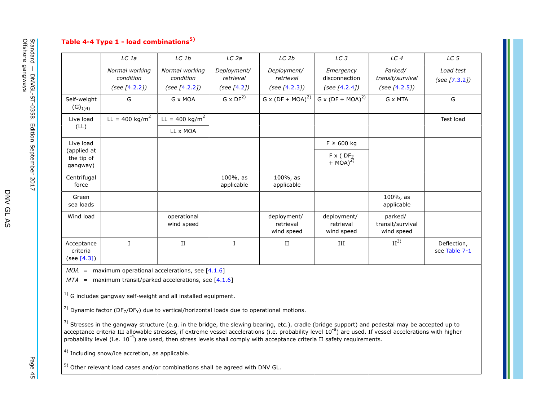### **Table 4-4 Type 1 - load combinations5)**

|                                         | LC 1a                                        | LC1b                                         | LC <sub>2a</sub>                        | LC <sub>2b</sub>                          | LC <sub>3</sub>                                | LC <sub>4</sub>                                 | LC <sub>5</sub>              |
|-----------------------------------------|----------------------------------------------|----------------------------------------------|-----------------------------------------|-------------------------------------------|------------------------------------------------|-------------------------------------------------|------------------------------|
|                                         | Normal working<br>condition<br>(see [4.2.2]) | Normal working<br>condition<br>(see [4.2.2]) | Deployment/<br>retrieval<br>(see [4.2]) | Deployment/<br>retrieval<br>(see [4.2.3]) | Emergency<br>disconnection<br>(see $[4.2.4]$ ) | Parked/<br>transit/survival<br>(see $[4.2.5]$ ) | Load test<br>(see [7.3.2])   |
| Self-weight<br>$(G)_{1}$ <sub>4</sub> ) | G                                            | G x MOA                                      | $G \times DF^{2)}$                      | G x $(DF + MOA)^{2}$                      | G x $(DF + MOA)^{2}$                           | G x MTA                                         | G                            |
| Live load                               | $LL = 400 \text{ kg/m}^2$                    | $LL = 400 \text{ kg/m}^2$                    |                                         |                                           |                                                |                                                 | Test load                    |
| (LL)                                    |                                              | LL x MOA                                     |                                         |                                           |                                                |                                                 |                              |
| Live load                               |                                              |                                              |                                         |                                           | $F \ge 600$ kg                                 |                                                 |                              |
| (applied at<br>the tip of<br>gangway)   |                                              |                                              |                                         |                                           | $F \times (DF_Z + MOA)^{2)}$                   |                                                 |                              |
| Centrifugal<br>force                    |                                              |                                              | $100\%$ , as<br>applicable              | $100\%$ , as<br>applicable                |                                                |                                                 |                              |
| Green<br>sea loads                      |                                              |                                              |                                         |                                           |                                                | $100\%$ , as<br>applicable                      |                              |
| Wind load                               |                                              | operational<br>wind speed                    |                                         | deployment/<br>retrieval<br>wind speed    | deployment/<br>retrieval<br>wind speed         | parked/<br>transit/survival<br>wind speed       |                              |
| Acceptance<br>criteria<br>(see [4.3])   | $\mathbf I$                                  | $_{\rm II}$                                  | $\mathbf I$                             | $\rm II$                                  | III                                            | II <sup>3</sup>                                 | Deflection,<br>see Table 7-1 |

 $MOA$  = maximum operational accelerations, see  $[4.1.6]$ 

*MTA* = maximum transit/parked accelerations, see [4.1.6]

 $1)$  G includes gangway self-weight and all installed equipment.

<sup>2)</sup> Dynamic factor (DF<sub>7</sub>/DF<sub>Y</sub>) due to vertical/horizontal loads due to operational motions.

 $^{3)}$  Stresses in the gangway structure (e.g. in the bridge, the slewing bearing, etc.), cradle (bridge support) and pedestal may be accepted up to acceptance criteria III allowable stresses, if extreme vessel accelerations (i.e. probability level 10<sup>-8</sup>) are used. If vessel accelerations with higher probability level (i.e.  $10^{-4}$ ) are used, then stress levels shall comply with acceptance criteria II safety requirements.

4) Including snow/ice accretion, as applicable.

5) Other relevant load cases and/or combinations shall be agreed with DNV GL.

D N V

G L A S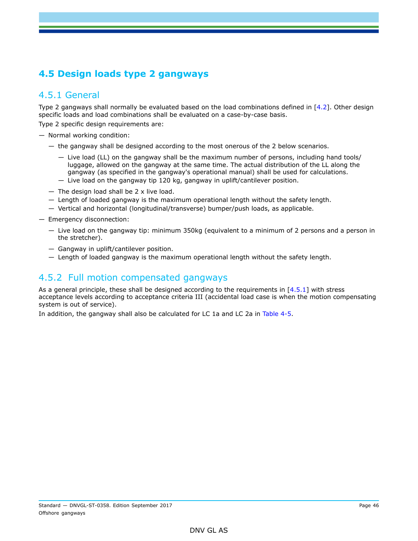# **4.5 Design loads type 2 gangways**

## 4.5.1 General

Type 2 gangways shall normally be evaluated based on the load combinations defined in  $[4.2]$ . Other design specific loads and load combinations shall be evaluated on a case-by-case basis.

Type 2 specific design requirements are:

- Normal working condition:
	- the gangway shall be designed according to the most onerous of the 2 below scenarios.
		- Live load (LL) on the gangway shall be the maximum number of persons, including hand tools/ luggage, allowed on the gangway at the same time. The actual distribution of the LL along the gangway (as specified in the gangway's operational manual) shall be used for calculations.
		- Live load on the gangway tip 120 kg, gangway in uplift/cantilever position.
	- $-$  The design load shall be 2 x live load.
	- Length of loaded gangway is the maximum operational length without the safety length.
	- Vertical and horizontal (longitudinal/transverse) bumper/push loads, as applicable.
- Emergency disconnection:
	- Live load on the gangway tip: minimum 350kg (equivalent to a minimum of 2 persons and a person in the stretcher).
	- Gangway in uplift/cantilever position.
	- Length of loaded gangway is the maximum operational length without the safety length.

## 4.5.2 Full motion compensated gangways

As a general principle, these shall be designed according to the requirements in  $[4.5.1]$  with stress acceptance levels according to acceptance criteria III (accidental load case is when the motion compensating system is out of service).

In addition, the gangway shall also be calculated for LC 1a and LC 2a in Table 4-5.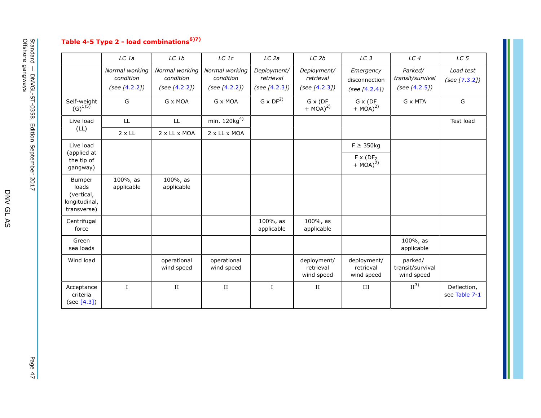# **Table 4-5 Type 2 - load combinations6)7)**

|                                                                      | LC 1a                                        | LC 1b                                        | LC 1c                                        | LC <sub>2a</sub>                          | LC <sub>2b</sub>                          | LC <sub>3</sub>                                | LC <sub>4</sub>                              | LC <sub>5</sub>              |
|----------------------------------------------------------------------|----------------------------------------------|----------------------------------------------|----------------------------------------------|-------------------------------------------|-------------------------------------------|------------------------------------------------|----------------------------------------------|------------------------------|
|                                                                      |                                              |                                              |                                              |                                           |                                           |                                                |                                              |                              |
|                                                                      | Normal working<br>condition<br>(see [4.2.2]) | Normal working<br>condition<br>(see [4.2.2]) | Normal working<br>condition<br>(see [4.2.2]) | Deployment/<br>retrieval<br>(see [4.2.3]) | Deployment/<br>retrieval<br>(see [4.2.3]) | Emergency<br>disconnection<br>(see $[4.2.4]$ ) | Parked/<br>transit/survival<br>(see [4.2.5]) | Load test<br>(see [7.3.2])   |
| Self-weight<br>$(G)^{15}$                                            | G                                            | G x MOA                                      | G x MOA                                      | $G \times DF^{2)}$                        | G x (DF<br>$+ MOA)^{2}$                   | G x (DF<br>$+ MOA)^{2)}$                       | G x MTA                                      | G                            |
| Live load                                                            | LL.                                          | LL                                           | min. $120kg4$                                |                                           |                                           |                                                |                                              | Test load                    |
| (LL)                                                                 | $2 \times LL$                                | 2 x LL x MOA                                 | 2 x LL x MOA                                 |                                           |                                           |                                                |                                              |                              |
| Live load                                                            |                                              |                                              |                                              |                                           |                                           | $F \geq 350$ kg                                |                                              |                              |
| (applied at<br>the tip of<br>gangway)                                |                                              |                                              |                                              |                                           |                                           | $F \times (DF_Z + MOA)^{2}$                    |                                              |                              |
| <b>Bumper</b><br>loads<br>(vertical,<br>longitudinal,<br>transverse) | 100%, as<br>applicable                       | 100%, as<br>applicable                       |                                              |                                           |                                           |                                                |                                              |                              |
| Centrifugal<br>force                                                 |                                              |                                              |                                              | 100%, as<br>applicable                    | 100%, as<br>applicable                    |                                                |                                              |                              |
| Green<br>sea loads                                                   |                                              |                                              |                                              |                                           |                                           |                                                | 100%, as<br>applicable                       |                              |
| Wind load                                                            |                                              | operational<br>wind speed                    | operational<br>wind speed                    |                                           | deployment/<br>retrieval<br>wind speed    | deployment/<br>retrieval<br>wind speed         | parked/<br>transit/survival<br>wind speed    |                              |
| Acceptance<br>criteria<br>(see [4.3])                                | $\mathbf{I}$                                 | $_{\rm II}$                                  | $\;$ II                                      | $\mathbf{I}$                              | $_{II}$                                   | III                                            | II <sup>3</sup>                              | Deflection,<br>see Table 7-1 |

Page 47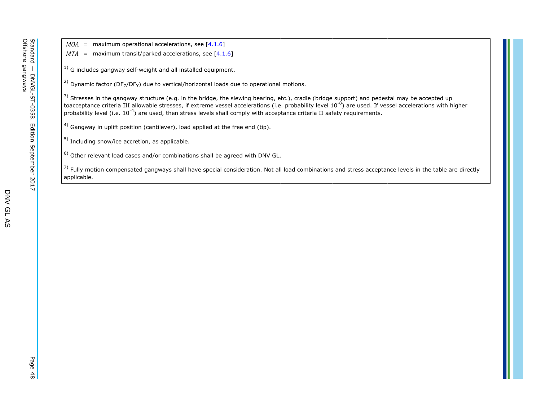$MOA$  = maximum operational accelerations, see [4.1.6]

- *MTA* = maximum transit/parked accelerations, see [4.1.6]
- <sup>1)</sup> G includes gangway self-weight and all installed equipment.

<sup>2)</sup> Dynamic factor (DF<sub>7</sub>/DF<sub>Y</sub>) due to vertical/horizontal loads due to operational motions.

 $^{3)}$  Stresses in the gangway structure (e.g. in the bridge, the slewing bearing, etc.), cradle (bridge support) and pedestal may be accepted up toacceptance criteria III allowable stresses, if extreme vessel accelerations (i.e. probability level 10<sup>-8</sup>) are used. If vessel accelerations with higher probability level (i.e.  $10^{-4}$ ) are used, then stress levels shall comply with acceptance criteria II safety requirements.

<sup>4)</sup> Gangway in uplift position (cantilever), load applied at the free end (tip).

5) Including snow/ice accretion, as applicable.

 $^{6)}$  Other relevant load cases and/or combinations shall be agreed with DNV GL.

 $^{7)}$  Fully motion compensated gangways shall have special consideration. Not all load combinations and stress acceptance levels in the table are directly applicable.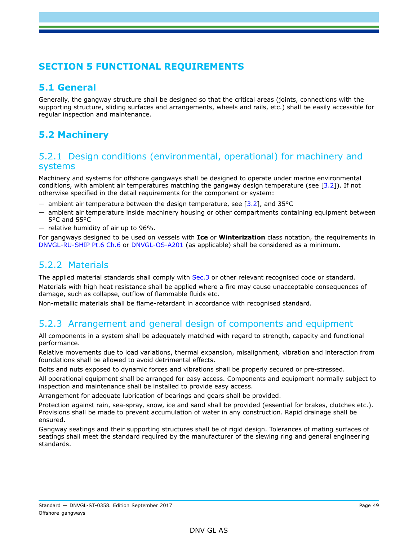# **SECTION 5 FUNCTIONAL REQUIREMENTS**

## **5.1 General**

Generally, the gangway structure shall be designed so that the critical areas (joints, connections with the supporting structure, sliding surfaces and arrangements, wheels and rails, etc.) shall be easily accessible for regular inspection and maintenance.

# **5.2 Machinery**

### 5.2.1 Design conditions (environmental, operational) for machinery and systems

Machinery and systems for offshore gangways shall be designed to operate under marine environmental conditions, with ambient air temperatures matching the gangway design temperature (see [3.2]). If not otherwise specified in the detail requirements for the component or system:

- $-$  ambient air temperature between the design temperature, see [3.2], and 35 $\degree$ C
- ambient air temperature inside machinery housing or other compartments containing equipment between 5°C and 55°C
- relative humidity of air up to 96%.

For gangways designed to be used on vessels with **Ice** or **Winterization** class notation, the requirements in DNVGL-RU-SHIP Pt.6 Ch.6 or DNVGL-OS-A201 (as applicable) shall be considered as a minimum.

## 5.2.2 Materials

The applied material standards shall comply with Sec.3 or other relevant recognised code or standard. Materials with high heat resistance shall be applied where a fire may cause unacceptable consequences of damage, such as collapse, outflow of flammable fluids etc.

Non-metallic materials shall be flame-retardant in accordance with recognised standard.

# 5.2.3 Arrangement and general design of components and equipment

All components in a system shall be adequately matched with regard to strength, capacity and functional performance.

Relative movements due to load variations, thermal expansion, misalignment, vibration and interaction from foundations shall be allowed to avoid detrimental effects.

Bolts and nuts exposed to dynamic forces and vibrations shall be properly secured or pre-stressed.

All operational equipment shall be arranged for easy access. Components and equipment normally subject to inspection and maintenance shall be installed to provide easy access.

Arrangement for adequate lubrication of bearings and gears shall be provided.

Protection against rain, sea-spray, snow, ice and sand shall be provided (essential for brakes, clutches etc.). Provisions shall be made to prevent accumulation of water in any construction. Rapid drainage shall be ensured.

Gangway seatings and their supporting structures shall be of rigid design. Tolerances of mating surfaces of seatings shall meet the standard required by the manufacturer of the slewing ring and general engineering standards.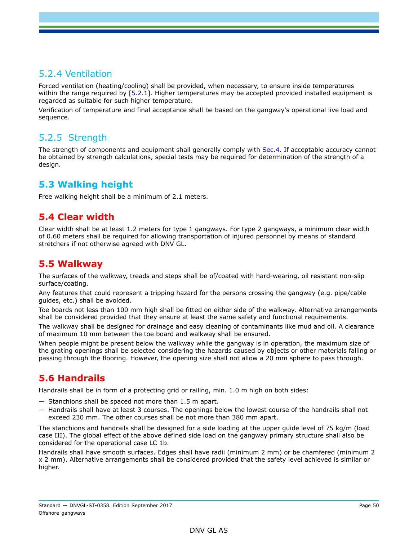## 5.2.4 Ventilation

Forced ventilation (heating/cooling) shall be provided, when necessary, to ensure inside temperatures within the range required by [5.2.1]. Higher temperatures may be accepted provided installed equipment is regarded as suitable for such higher temperature.

Verification of temperature and final acceptance shall be based on the gangway's operational live load and sequence.

## 5.2.5 Strength

The strength of components and equipment shall generally comply with Sec.4. If acceptable accuracy cannot be obtained by strength calculations, special tests may be required for determination of the strength of a design.

## **5.3 Walking height**

Free walking height shall be a minimum of 2.1 meters.

## **5.4 Clear width**

Clear width shall be at least 1.2 meters for type 1 gangways. For type 2 gangways, a minimum clear width of 0.60 meters shall be required for allowing transportation of injured personnel by means of standard stretchers if not otherwise agreed with DNV GL.

## **5.5 Walkway**

The surfaces of the walkway, treads and steps shall be of/coated with hard-wearing, oil resistant non-slip surface/coating.

Any features that could represent a tripping hazard for the persons crossing the gangway (e.g. pipe/cable guides, etc.) shall be avoided.

Toe boards not less than 100 mm high shall be fitted on either side of the walkway. Alternative arrangements shall be considered provided that they ensure at least the same safety and functional requirements.

The walkway shall be designed for drainage and easy cleaning of contaminants like mud and oil. A clearance of maximum 10 mm between the toe board and walkway shall be ensured.

When people might be present below the walkway while the gangway is in operation, the maximum size of the grating openings shall be selected considering the hazards caused by objects or other materials falling or passing through the flooring. However, the opening size shall not allow a 20 mm sphere to pass through.

## **5.6 Handrails**

Handrails shall be in form of a protecting grid or railing, min. 1.0 m high on both sides:

- Stanchions shall be spaced not more than 1.5 m apart.
- Handrails shall have at least 3 courses. The openings below the lowest course of the handrails shall not exceed 230 mm. The other courses shall be not more than 380 mm apart.

The stanchions and handrails shall be designed for a side loading at the upper guide level of 75 kg/m (load case III). The global effect of the above defined side load on the gangway primary structure shall also be considered for the operational case LC 1b.

Handrails shall have smooth surfaces. Edges shall have radii (minimum 2 mm) or be chamfered (minimum 2 x 2 mm). Alternative arrangements shall be considered provided that the safety level achieved is similar or higher.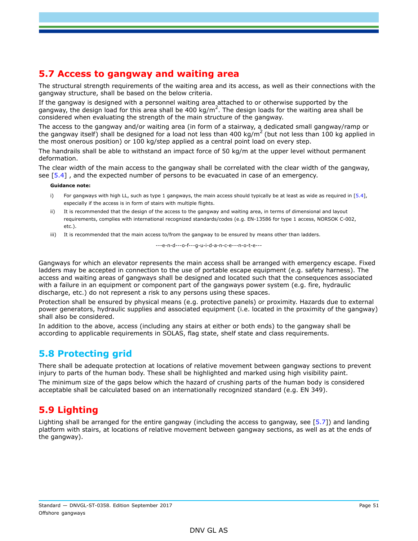## **5.7 Access to gangway and waiting area**

The structural strength requirements of the waiting area and its access, as well as their connections with the gangway structure, shall be based on the below criteria.

If the gangway is designed with a personnel waiting area attached to or otherwise supported by the gangway, the design load for this area shall be 400 kg/m<sup>2</sup>. The design loads for the waiting area shall be considered when evaluating the strength of the main structure of the gangway.

The access to the gangway and/or waiting area (in form of a stairway, a dedicated small gangway/ramp or the gangway itself) shall be designed for a load not less than 400 kg/m<sup>2</sup> (but not less than 100 kg applied in the most onerous position) or 100 kg/step applied as a central point load on every step.

The handrails shall be able to withstand an impact force of 50 kg/m at the upper level without permanent deformation.

The clear width of the main access to the gangway shall be correlated with the clear width of the gangway, see [5.4] , and the expected number of persons to be evacuated in case of an emergency.

#### **Guidance note:**

- i) For gangways with high LL, such as type 1 gangways, the main access should typically be at least as wide as required in [5.4], especially if the access is in form of stairs with multiple flights.
- ii) It is recommended that the design of the access to the gangway and waiting area, in terms of dimensional and layout requirements, complies with international recognized standards/codes (e.g. EN-13586 for type 1 access, NORSOK C-002, etc.).
- iii) It is recommended that the main access to/from the gangway to be ensured by means other than ladders.

---e-n-d---o-f---g-u-i-d-a-n-c-e---n-o-t-e---

Gangways for which an elevator represents the main access shall be arranged with emergency escape. Fixed ladders may be accepted in connection to the use of portable escape equipment (e.g. safety harness). The access and waiting areas of gangways shall be designed and located such that the consequences associated with a failure in an equipment or component part of the gangways power system (e.g. fire, hydraulic discharge, etc.) do not represent a risk to any persons using these spaces.

Protection shall be ensured by physical means (e.g. protective panels) or proximity. Hazards due to external power generators, hydraulic supplies and associated equipment (i.e. located in the proximity of the gangway) shall also be considered.

In addition to the above, access (including any stairs at either or both ends) to the gangway shall be according to applicable requirements in SOLAS, flag state, shelf state and class requirements.

## **5.8 Protecting grid**

There shall be adequate protection at locations of relative movement between gangway sections to prevent injury to parts of the human body. These shall be highlighted and marked using high visibility paint. The minimum size of the gaps below which the hazard of crushing parts of the human body is considered acceptable shall be calculated based on an internationally recognized standard (e.g. EN 349).

## **5.9 Lighting**

Lighting shall be arranged for the entire gangway (including the access to gangway, see [5.7]) and landing platform with stairs, at locations of relative movement between gangway sections, as well as at the ends of the gangway).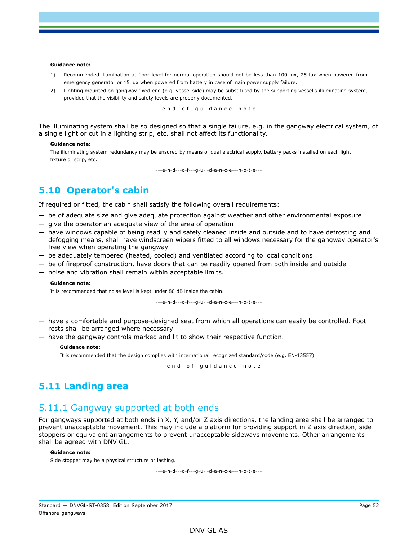#### **Guidance note:**

- 1) Recommended illumination at floor level for normal operation should not be less than 100 lux, 25 lux when powered from emergency generator or 15 lux when powered from battery in case of main power supply failure.
- 2) Lighting mounted on gangway fixed end (e.g. vessel side) may be substituted by the supporting vessel's illuminating system, provided that the visibility and safety levels are properly documented.

---e-n-d---o-f---g-u-i-d-a-n-c-e---n-o-t-e---

The illuminating system shall be so designed so that a single failure, e.g. in the gangway electrical system, of a single light or cut in a lighting strip, etc. shall not affect its functionality.

#### **Guidance note:**

The illuminating system redundancy may be ensured by means of dual electrical supply, battery packs installed on each light fixture or strip, etc.

---e-n-d---o-f---g-u-i-d-a-n-c-e---n-o-t-e---

### **5.10 Operator's cabin**

If required or fitted, the cabin shall satisfy the following overall requirements:

- be of adequate size and give adequate protection against weather and other environmental exposure
- give the operator an adequate view of the area of operation
- have windows capable of being readily and safely cleaned inside and outside and to have defrosting and defogging means, shall have windscreen wipers fitted to all windows necessary for the gangway operator's free view when operating the gangway
- be adequately tempered (heated, cooled) and ventilated according to local conditions
- be of fireproof construction, have doors that can be readily opened from both inside and outside
- noise and vibration shall remain within acceptable limits.

#### **Guidance note:**

It is recommended that noise level is kept under 80 dB inside the cabin.

---e-n-d---o-f---g-u-i-d-a-n-c-e---n-o-t-e---

- have a comfortable and purpose-designed seat from which all operations can easily be controlled. Foot rests shall be arranged where necessary
- have the gangway controls marked and lit to show their respective function.

#### **Guidance note:**

It is recommended that the design complies with international recognized standard/code (e.g. EN-13557).

---e-n-d---o-f---g-u-i-d-a-n-c-e---n-o-t-e---

### **5.11 Landing area**

## 5.11.1 Gangway supported at both ends

For gangways supported at both ends in X, Y, and/or Z axis directions, the landing area shall be arranged to prevent unacceptable movement. This may include a platform for providing support in Z axis direction, side stoppers or equivalent arrangements to prevent unacceptable sideways movements. Other arrangements shall be agreed with DNV GL.

#### **Guidance note:**

Side stopper may be a physical structure or lashing.

---e-n-d---o-f---g-u-i-d-a-n-c-e---n-o-t-e---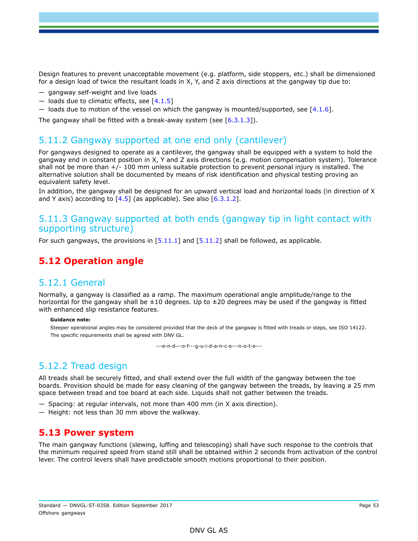Design features to prevent unacceptable movement (e.g. platform, side stoppers, etc.) shall be dimensioned for a design load of twice the resultant loads in X, Y, and Z axis directions at the gangway tip due to:

- gangway self-weight and live loads
- $-$  loads due to climatic effects, see [4.1.5]
- loads due to motion of the vessel on which the gangway is mounted/supported, see  $[4.1.6]$ .

The gangway shall be fitted with a break-away system (see [6.3.1.3]).

## 5.11.2 Gangway supported at one end only (cantilever)

For gangways designed to operate as a cantilever, the gangway shall be equipped with a system to hold the gangway end in constant position in X, Y and Z axis directions (e.g. motion compensation system). Tolerance shall not be more than +/- 100 mm unless suitable protection to prevent personal injury is installed. The alternative solution shall be documented by means of risk identification and physical testing proving an equivalent safety level.

In addition, the gangway shall be designed for an upward vertical load and horizontal loads (in direction of X and Y axis) according to  $[4.5]$  (as applicable). See also  $[6.3.1.2]$ .

### 5.11.3 Gangway supported at both ends (gangway tip in light contact with supporting structure)

For such gangways, the provisions in  $[5.11.1]$  and  $[5.11.2]$  shall be followed, as applicable.

## **5.12 Operation angle**

### 5.12.1 General

Normally, a gangway is classified as a ramp. The maximum operational angle amplitude/range to the horizontal for the gangway shall be  $\pm 10$  degrees. Up to  $\pm 20$  degrees may be used if the gangway is fitted with enhanced slip resistance features.

#### **Guidance note:**

Steeper operational angles may be considered provided that the deck of the gangway is fitted with treads or steps, see ISO 14122. The specific requirements shall be agreed with DNV GL.

---e-n-d---o-f---g-u-i-d-a-n-c-e---n-o-t-e---

# 5.12.2 Tread design

All treads shall be securely fitted, and shall extend over the full width of the gangway between the toe boards. Provision should be made for easy cleaning of the gangway between the treads, by leaving a 25 mm space between tread and toe board at each side. Liquids shall not gather between the treads.

- Spacing: at regular intervals, not more than 400 mm (in X axis direction).
- Height: not less than 30 mm above the walkway.

### **5.13 Power system**

The main gangway functions (slewing, luffing and telescoping) shall have such response to the controls that the minimum required speed from stand still shall be obtained within 2 seconds from activation of the control lever. The control levers shall have predictable smooth motions proportional to their position.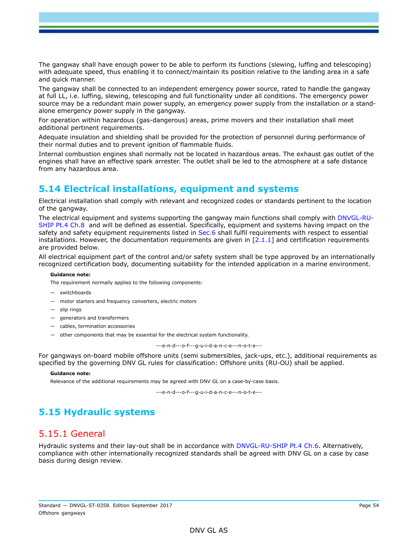The gangway shall have enough power to be able to perform its functions (slewing, luffing and telescoping) with adequate speed, thus enabling it to connect/maintain its position relative to the landing area in a safe and quick manner.

The gangway shall be connected to an independent emergency power source, rated to handle the gangway at full LL, i.e. luffing, slewing, telescoping and full functionality under all conditions. The emergency power source may be a redundant main power supply, an emergency power supply from the installation or a standalone emergency power supply in the gangway.

For operation within hazardous (gas-dangerous) areas, prime movers and their installation shall meet additional pertinent requirements.

Adequate insulation and shielding shall be provided for the protection of personnel during performance of their normal duties and to prevent ignition of flammable fluids.

Internal combustion engines shall normally not be located in hazardous areas. The exhaust gas outlet of the engines shall have an effective spark arrester. The outlet shall be led to the atmosphere at a safe distance from any hazardous area.

## **5.14 Electrical installations, equipment and systems**

Electrical installation shall comply with relevant and recognized codes or standards pertinent to the location of the gangway.

The electrical equipment and systems supporting the gangway main functions shall comply with DNVGL-RU-SHIP Pt.4 Ch.8 and will be defined as essential. Specifically, equipment and systems having impact on the safety and safety equipment requirements listed in Sec.6 shall fulfil requirements with respect to essential installations. However, the documentation requirements are given in  $[2.1.1]$  and certification requirements are provided below.

All electrical equipment part of the control and/or safety system shall be type approved by an internationally recognized certification body, documenting suitability for the intended application in a marine environment.

#### **Guidance note:**

The requirement normally applies to the following components:

- switchboards
- motor starters and frequency converters, electric motors
- slip rings
- generators and transformers
- cables, termination accessories
- other components that may be essential for the electrical system functionality.

---e-n-d---o-f---g-u-i-d-a-n-c-e---n-o-t-e---

For gangways on-board mobile offshore units (semi submersibles, jack-ups, etc.), additional requirements as specified by the governing DNV GL rules for classification: Offshore units (RU-OU) shall be applied.

#### **Guidance note:**

Relevance of the additional requirements may be agreed with DNV GL on a case-by-case basis.

---e-n-d---o-f---g-u-i-d-a-n-c-e---n-o-t-e---

# **5.15 Hydraulic systems**

### 5.15.1 General

Hydraulic systems and their lay-out shall be in accordance with DNVGL-RU-SHIP Pt.4 Ch.6. Alternatively, compliance with other internationally recognized standards shall be agreed with DNV GL on a case by case basis during design review.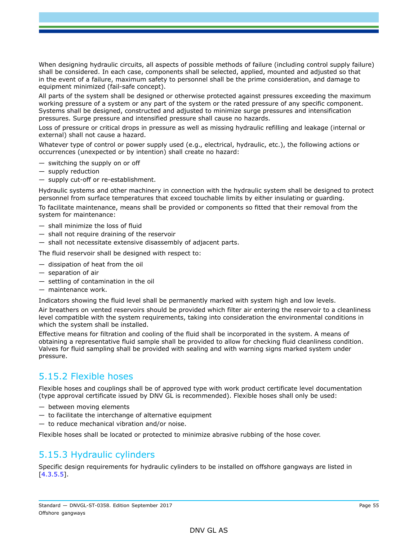When designing hydraulic circuits, all aspects of possible methods of failure (including control supply failure) shall be considered. In each case, components shall be selected, applied, mounted and adjusted so that in the event of a failure, maximum safety to personnel shall be the prime consideration, and damage to equipment minimized (fail-safe concept).

All parts of the system shall be designed or otherwise protected against pressures exceeding the maximum working pressure of a system or any part of the system or the rated pressure of any specific component. Systems shall be designed, constructed and adjusted to minimize surge pressures and intensification pressures. Surge pressure and intensified pressure shall cause no hazards.

Loss of pressure or critical drops in pressure as well as missing hydraulic refilling and leakage (internal or external) shall not cause a hazard.

Whatever type of control or power supply used (e.g., electrical, hydraulic, etc.), the following actions or occurrences (unexpected or by intention) shall create no hazard:

- switching the supply on or off
- supply reduction
- supply cut-off or re-establishment.

Hydraulic systems and other machinery in connection with the hydraulic system shall be designed to protect personnel from surface temperatures that exceed touchable limits by either insulating or guarding.

To facilitate maintenance, means shall be provided or components so fitted that their removal from the system for maintenance:

- shall minimize the loss of fluid
- shall not require draining of the reservoir
- shall not necessitate extensive disassembly of adjacent parts.

The fluid reservoir shall be designed with respect to:

- dissipation of heat from the oil
- separation of air
- settling of contamination in the oil
- maintenance work.

Indicators showing the fluid level shall be permanently marked with system high and low levels.

Air breathers on vented reservoirs should be provided which filter air entering the reservoir to a cleanliness level compatible with the system requirements, taking into consideration the environmental conditions in which the system shall be installed.

Effective means for filtration and cooling of the fluid shall be incorporated in the system. A means of obtaining a representative fluid sample shall be provided to allow for checking fluid cleanliness condition. Valves for fluid sampling shall be provided with sealing and with warning signs marked system under pressure.

## 5.15.2 Flexible hoses

Flexible hoses and couplings shall be of approved type with work product certificate level documentation (type approval certificate issued by DNV GL is recommended). Flexible hoses shall only be used:

- between moving elements
- $-$  to facilitate the interchange of alternative equipment
- to reduce mechanical vibration and/or noise.

Flexible hoses shall be located or protected to minimize abrasive rubbing of the hose cover.

## 5.15.3 Hydraulic cylinders

Specific design requirements for hydraulic cylinders to be installed on offshore gangways are listed in [4.3.5.5].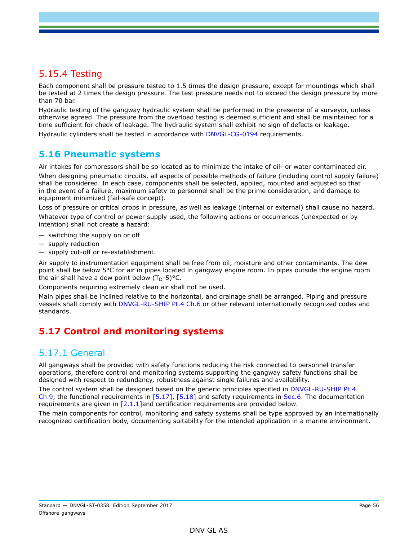## 5.15.4 Testing

Each component shall be pressure tested to 1.5 times the design pressure, except for mountings which shall be tested at 2 times the design pressure. The test pressure needs not to exceed the design pressure by more than 70 bar.

Hydraulic testing of the gangway hydraulic system shall be performed in the presence of a surveyor, unless otherwise agreed. The pressure from the overload testing is deemed sufficient and shall be maintained for a time sufficient for check of leakage. The hydraulic system shall exhibit no sign of defects or leakage. Hydraulic cylinders shall be tested in accordance with DNVGL-CG-0194 requirements.

### **5.16 Pneumatic systems**

Air intakes for compressors shall be so located as to minimize the intake of oil- or water contaminated air.

When designing pneumatic circuits, all aspects of possible methods of failure (including control supply failure) shall be considered. In each case, components shall be selected, applied, mounted and adjusted so that in the event of a failure, maximum safety to personnel shall be the prime consideration, and damage to equipment minimized (fail-safe concept).

Loss of pressure or critical drops in pressure, as well as leakage (internal or external) shall cause no hazard.

Whatever type of control or power supply used, the following actions or occurrences (unexpected or by intention) shall not create a hazard:

- switching the supply on or off
- supply reduction
- supply cut-off or re-establishment.

Air supply to instrumentation equipment shall be free from oil, moisture and other contaminants. The dew point shall be below 5°C for air in pipes located in gangway engine room. In pipes outside the engine room the air shall have a dew point below  $(T_D-5)$ °C.

Components requiring extremely clean air shall not be used.

Main pipes shall be inclined relative to the horizontal, and drainage shall be arranged. Piping and pressure vessels shall comply with DNVGL-RU-SHIP Pt.4 Ch.6 or other relevant internationally recognized codes and standards.

## **5.17 Control and monitoring systems**

### 5.17.1 General

All gangways shall be provided with safety functions reducing the risk connected to personnel transfer operations, therefore control and monitoring systems supporting the gangway safety functions shall be designed with respect to redundancy, robustness against single failures and availability.

The control system shall be designed based on the generic principles specified in DNVGL-RU-SHIP Pt.4 Ch.9, the functional requirements in [5.17], [5.18] and safety requirements in Sec.6. The documentation requirements are given in [2.1.1]and certification requirements are provided below.

The main components for control, monitoring and safety systems shall be type approved by an internationally recognized certification body, documenting suitability for the intended application in a marine environment.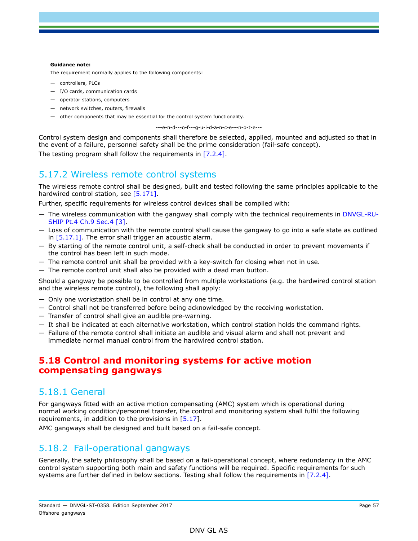#### **Guidance note:**

The requirement normally applies to the following components:

- controllers, PLCs
- I/O cards, communication cards
- operator stations, computers
- network switches, routers, firewalls
- other components that may be essential for the control system functionality.

---e-n-d---o-f---g-u-i-d-a-n-c-e---n-o-t-e---

Control system design and components shall therefore be selected, applied, mounted and adjusted so that in the event of a failure, personnel safety shall be the prime consideration (fail-safe concept). The testing program shall follow the requirements in [7.2.4].

### 5.17.2 Wireless remote control systems

The wireless remote control shall be designed, built and tested following the same principles applicable to the hardwired control station, see [5.171].

Further, specific requirements for wireless control devices shall be complied with:

- The wireless communication with the gangway shall comply with the technical requirements in DNVGL-RU-SHIP Pt.4 Ch.9 Sec.4 [3].
- Loss of communication with the remote control shall cause the gangway to go into a safe state as outlined in  $[5.17.1]$ . The error shall trigger an acoustic alarm.
- By starting of the remote control unit, a self-check shall be conducted in order to prevent movements if the control has been left in such mode.
- The remote control unit shall be provided with a key-switch for closing when not in use.
- The remote control unit shall also be provided with a dead man button.

Should a gangway be possible to be controlled from multiple workstations (e.g. the hardwired control station and the wireless remote control), the following shall apply:

- Only one workstation shall be in control at any one time.
- Control shall not be transferred before being acknowledged by the receiving workstation.
- Transfer of control shall give an audible pre-warning.
- It shall be indicated at each alternative workstation, which control station holds the command rights.
- Failure of the remote control shall initiate an audible and visual alarm and shall not prevent and immediate normal manual control from the hardwired control station.

### **5.18 Control and monitoring systems for active motion compensating gangways**

### 5.18.1 General

For gangways fitted with an active motion compensating (AMC) system which is operational during normal working condition/personnel transfer, the control and monitoring system shall fulfil the following requirements, in addition to the provisions in [5.17].

AMC gangways shall be designed and built based on a fail-safe concept.

## 5.18.2 Fail-operational gangways

Generally, the safety philosophy shall be based on a fail-operational concept, where redundancy in the AMC control system supporting both main and safety functions will be required. Specific requirements for such systems are further defined in below sections. Testing shall follow the requirements in [7.2.4].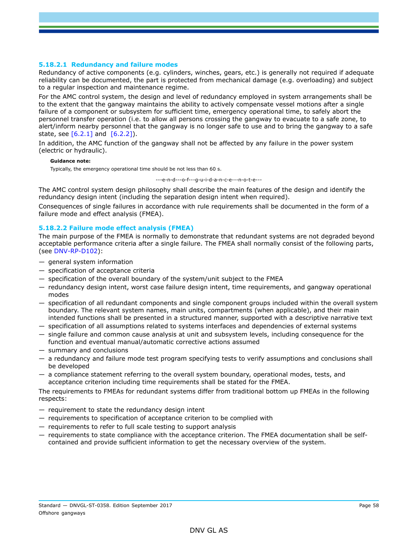#### **5.18.2.1 Redundancy and failure modes**

Redundancy of active components (e.g. cylinders, winches, gears, etc.) is generally not required if adequate reliability can be documented, the part is protected from mechanical damage (e.g. overloading) and subject to a regular inspection and maintenance regime.

For the AMC control system, the design and level of redundancy employed in system arrangements shall be to the extent that the gangway maintains the ability to actively compensate vessel motions after a single failure of a component or subsystem for sufficient time, emergency operational time, to safely abort the personnel transfer operation (i.e. to allow all persons crossing the gangway to evacuate to a safe zone, to alert/inform nearby personnel that the gangway is no longer safe to use and to bring the gangway to a safe state, see  $[6.2.1]$  and  $[6.2.2]$ ).

In addition, the AMC function of the gangway shall not be affected by any failure in the power system (electric or hydraulic).

#### **Guidance note:**

Typically, the emergency operational time should be not less than 60 s.

---e-n-d---o-f---g-u-i-d-a-n-c-e---n-o-t-e---

The AMC control system design philosophy shall describe the main features of the design and identify the redundancy design intent (including the separation design intent when required).

Consequences of single failures in accordance with rule requirements shall be documented in the form of a failure mode and effect analysis (FMEA).

#### **5.18.2.2 Failure mode effect analysis (FMEA)**

The main purpose of the FMEA is normally to demonstrate that redundant systems are not degraded beyond acceptable performance criteria after a single failure. The FMEA shall normally consist of the following parts, (see DNV-RP-D102):

- general system information
- specification of acceptance criteria
- specification of the overall boundary of the system/unit subject to the FMEA
- redundancy design intent, worst case failure design intent, time requirements, and gangway operational modes
- specification of all redundant components and single component groups included within the overall system boundary. The relevant system names, main units, compartments (when applicable), and their main intended functions shall be presented in a structured manner, supported with a descriptive narrative text
- specification of all assumptions related to systems interfaces and dependencies of external systems
- single failure and common cause analysis at unit and subsystem levels, including consequence for the function and eventual manual/automatic corrective actions assumed
- summary and conclusions
- a redundancy and failure mode test program specifying tests to verify assumptions and conclusions shall be developed
- a compliance statement referring to the overall system boundary, operational modes, tests, and acceptance criterion including time requirements shall be stated for the FMEA.

The requirements to FMEAs for redundant systems differ from traditional bottom up FMEAs in the following respects:

- requirement to state the redundancy design intent
- requirements to specification of acceptance criterion to be complied with
- requirements to refer to full scale testing to support analysis
- requirements to state compliance with the acceptance criterion. The FMEA documentation shall be selfcontained and provide sufficient information to get the necessary overview of the system.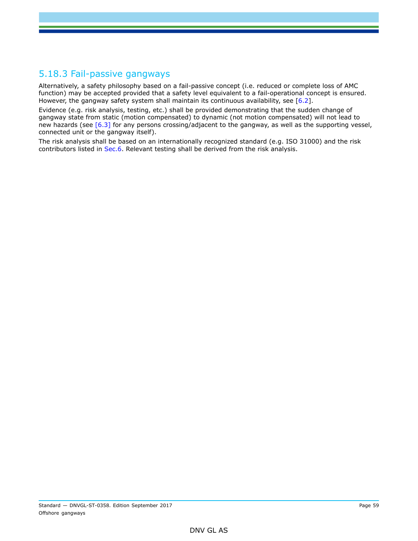## 5.18.3 Fail-passive gangways

Alternatively, a safety philosophy based on a fail-passive concept (i.e. reduced or complete loss of AMC function) may be accepted provided that a safety level equivalent to a fail-operational concept is ensured. However, the gangway safety system shall maintain its continuous availability, see [6.2].

Evidence (e.g. risk analysis, testing, etc.) shall be provided demonstrating that the sudden change of gangway state from static (motion compensated) to dynamic (not motion compensated) will not lead to new hazards (see [6.3] for any persons crossing/adjacent to the gangway, as well as the supporting vessel, connected unit or the gangway itself).

The risk analysis shall be based on an internationally recognized standard (e.g. ISO 31000) and the risk contributors listed in Sec.6. Relevant testing shall be derived from the risk analysis.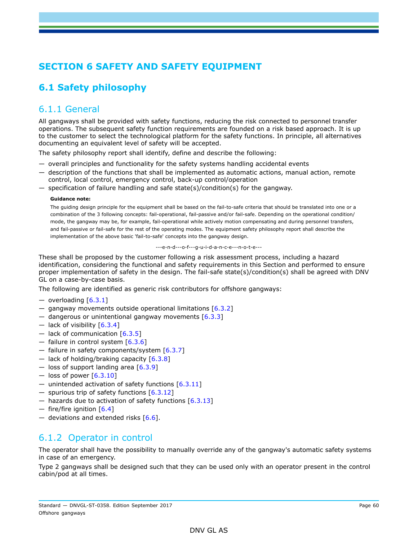# **SECTION 6 SAFETY AND SAFETY EQUIPMENT**

# **6.1 Safety philosophy**

## 6.1.1 General

All gangways shall be provided with safety functions, reducing the risk connected to personnel transfer operations. The subsequent safety function requirements are founded on a risk based approach. It is up to the customer to select the technological platform for the safety functions. In principle, all alternatives documenting an equivalent level of safety will be accepted.

The safety philosophy report shall identify, define and describe the following:

- overall principles and functionality for the safety systems handling accidental events
- description of the functions that shall be implemented as automatic actions, manual action, remote control, local control, emergency control, back-up control/operation
- specification of failure handling and safe state(s)/condition(s) for the gangway.

#### **Guidance note:**

The guiding design principle for the equipment shall be based on the fail-to-safe criteria that should be translated into one or a combination of the 3 following concepts: fail-operational, fail-passive and/or fail-safe. Depending on the operational condition/ mode, the gangway may be, for example, fail-operational while actively motion compensating and during personnel transfers, and fail-passive or fail-safe for the rest of the operating modes. The equipment safety philosophy report shall describe the implementation of the above basic 'fail-to-safe' concepts into the gangway design.

#### ---e-n-d---o-f---g-u-i-d-a-n-c-e---n-o-t-e---

These shall be proposed by the customer following a risk assessment process, including a hazard identification, considering the functional and safety requirements in this Section and performed to ensure proper implementation of safety in the design. The fail-safe state(s)/condition(s) shall be agreed with DNV GL on a case-by-case basis.

The following are identified as generic risk contributors for offshore gangways:

- $-$  overloading  $[6.3.1]$
- $-$  gangway movements outside operational limitations  $[6.3.2]$
- $-$  dangerous or unintentional gangway movements  $[6.3.3]$
- $-$  lack of visibility  $[6.3.4]$
- lack of communication  $[6.3.5]$
- $-$  failure in control system  $[6.3.6]$
- $-$  failure in safety components/system  $[6.3.7]$
- lack of holding/braking capacity  $[6.3.8]$
- loss of support landing area  $[6.3.9]$
- loss of power  $[6.3.10]$
- unintended activation of safety functions  $[6.3.11]$
- spurious trip of safety functions [6.3.12]
- $-$  hazards due to activation of safety functions  $[6.3.13]$
- $-$  fire/fire ignition  $[6.4]$
- deviations and extended risks  $[6.6]$ .

## 6.1.2 Operator in control

The operator shall have the possibility to manually override any of the gangway's automatic safety systems in case of an emergency.

Type 2 gangways shall be designed such that they can be used only with an operator present in the control cabin/pod at all times.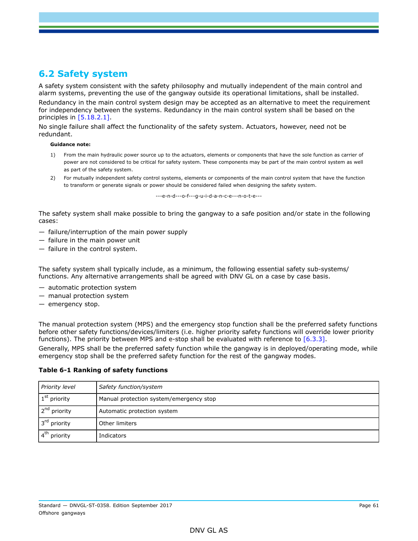## **6.2 Safety system**

A safety system consistent with the safety philosophy and mutually independent of the main control and alarm systems, preventing the use of the gangway outside its operational limitations, shall be installed.

Redundancy in the main control system design may be accepted as an alternative to meet the requirement for independency between the systems. Redundancy in the main control system shall be based on the principles in [5.18.2.1].

No single failure shall affect the functionality of the safety system. Actuators, however, need not be redundant.

#### **Guidance note:**

- 1) From the main hydraulic power source up to the actuators, elements or components that have the sole function as carrier of power are not considered to be critical for safety system. These components may be part of the main control system as well as part of the safety system.
- 2) For mutually independent safety control systems, elements or components of the main control system that have the function to transform or generate signals or power should be considered failed when designing the safety system.

---e-n-d---o-f---g-u-i-d-a-n-c-e---n-o-t-e---

The safety system shall make possible to bring the gangway to a safe position and/or state in the following cases:

- failure/interruption of the main power supply
- failure in the main power unit
- failure in the control system.

The safety system shall typically include, as a minimum, the following essential safety sub-systems/ functions. Any alternative arrangements shall be agreed with DNV GL on a case by case basis.

- automatic protection system
- manual protection system
- emergency stop.

The manual protection system (MPS) and the emergency stop function shall be the preferred safety functions before other safety functions/devices/limiters (i.e. higher priority safety functions will override lower priority functions). The priority between MPS and e-stop shall be evaluated with reference to  $[6.3.3]$ .

Generally, MPS shall be the preferred safety function while the gangway is in deployed/operating mode, while emergency stop shall be the preferred safety function for the rest of the gangway modes.

### **Table 6-1 Ranking of safety functions**

| Priority level           | Safety function/system                  |
|--------------------------|-----------------------------------------|
| $1st$ priority           | Manual protection system/emergency stop |
| 2 <sup>nd</sup> priority | Automatic protection system             |
| 3 <sup>rd</sup> priority | Other limiters                          |
| $4th$ priority           | Indicators                              |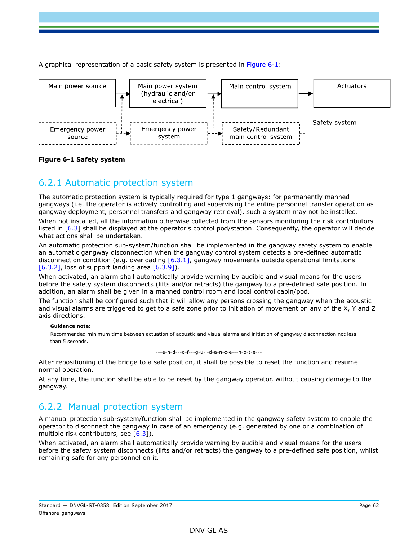A graphical representation of a basic safety system is presented in Figure 6-1:



### **Figure 6-1 Safety system**

## 6.2.1 Automatic protection system

The automatic protection system is typically required for type 1 gangways: for permanently manned gangways (i.e. the operator is actively controlling and supervising the entire personnel transfer operation as gangway deployment, personnel transfers and gangway retrieval), such a system may not be installed. When not installed, all the information otherwise collected from the sensors monitoring the risk contributors

listed in [6.3] shall be displayed at the operator's control pod/station. Consequently, the operator will decide what actions shall be undertaken.

An automatic protection sub-system/function shall be implemented in the gangway safety system to enable an automatic gangway disconnection when the gangway control system detects a pre-defined automatic disconnection condition (e.g. overloading  $[6.3.1]$ , gangway movements outside operational limitations [6.3.2], loss of support landing area  $[6.3.9]$ ].

When activated, an alarm shall automatically provide warning by audible and visual means for the users before the safety system disconnects (lifts and/or retracts) the gangway to a pre-defined safe position. In addition, an alarm shall be given in a manned control room and local control cabin/pod.

The function shall be configured such that it will allow any persons crossing the gangway when the acoustic and visual alarms are triggered to get to a safe zone prior to initiation of movement on any of the X, Y and Z axis directions.

### **Guidance note:**

Recommended minimum time between actuation of acoustic and visual alarms and initiation of gangway disconnection not less than 5 seconds.

---e-n-d---o-f---g-u-i-d-a-n-c-e---n-o-t-e---

After repositioning of the bridge to a safe position, it shall be possible to reset the function and resume normal operation.

At any time, the function shall be able to be reset by the gangway operator, without causing damage to the gangway.

## 6.2.2 Manual protection system

A manual protection sub-system/function shall be implemented in the gangway safety system to enable the operator to disconnect the gangway in case of an emergency (e.g. generated by one or a combination of multiple risk contributors, see  $[6.3]$ ).

When activated, an alarm shall automatically provide warning by audible and visual means for the users before the safety system disconnects (lifts and/or retracts) the gangway to a pre-defined safe position, whilst remaining safe for any personnel on it.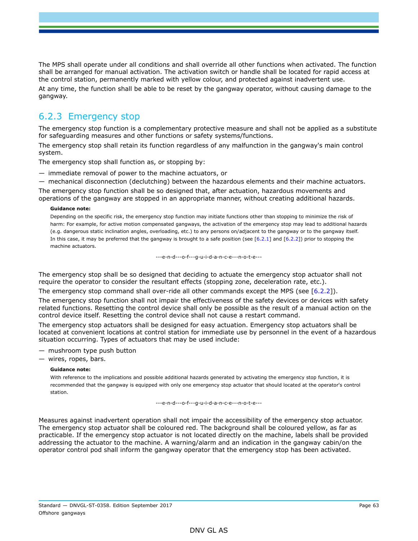The MPS shall operate under all conditions and shall override all other functions when activated. The function shall be arranged for manual activation. The activation switch or handle shall be located for rapid access at the control station, permanently marked with yellow colour, and protected against inadvertent use.

At any time, the function shall be able to be reset by the gangway operator, without causing damage to the gangway.

## 6.2.3 Emergency stop

The emergency stop function is a complementary protective measure and shall not be applied as a substitute for safeguarding measures and other functions or safety systems/functions.

The emergency stop shall retain its function regardless of any malfunction in the gangway's main control system.

The emergency stop shall function as, or stopping by:

— immediate removal of power to the machine actuators, or

— mechanical disconnection (declutching) between the hazardous elements and their machine actuators.

The emergency stop function shall be so designed that, after actuation, hazardous movements and operations of the gangway are stopped in an appropriate manner, without creating additional hazards.

#### **Guidance note:**

Depending on the specific risk, the emergency stop function may initiate functions other than stopping to minimize the risk of harm: For example, for active motion compensated gangways, the activation of the emergency stop may lead to additional hazards (e.g. dangerous static inclination angles, overloading, etc.) to any persons on/adjacent to the gangway or to the gangway itself. In this case, it may be preferred that the gangway is brought to a safe position (see  $[6.2.1]$  and  $[6.2.2]$ ) prior to stopping the machine actuators.

---e-n-d---o-f---g-u-i-d-a-n-c-e---n-o-t-e---

The emergency stop shall be so designed that deciding to actuate the emergency stop actuator shall not require the operator to consider the resultant effects (stopping zone, deceleration rate, etc.).

The emergency stop command shall over-ride all other commands except the MPS (see [6.2.2]).

The emergency stop function shall not impair the effectiveness of the safety devices or devices with safety related functions. Resetting the control device shall only be possible as the result of a manual action on the control device itself. Resetting the control device shall not cause a restart command.

The emergency stop actuators shall be designed for easy actuation. Emergency stop actuators shall be located at convenient locations at control station for immediate use by personnel in the event of a hazardous situation occurring. Types of actuators that may be used include:

— mushroom type push button

— wires, ropes, bars.

#### **Guidance note:**

With reference to the implications and possible additional hazards generated by activating the emergency stop function, it is recommended that the gangway is equipped with only one emergency stop actuator that should located at the operator's control station.

---e-n-d---o-f---g-u-i-d-a-n-c-e---n-o-t-e---

Measures against inadvertent operation shall not impair the accessibility of the emergency stop actuator. The emergency stop actuator shall be coloured red. The background shall be coloured yellow, as far as practicable. If the emergency stop actuator is not located directly on the machine, labels shall be provided addressing the actuator to the machine. A warning/alarm and an indication in the gangway cabin/on the operator control pod shall inform the gangway operator that the emergency stop has been activated.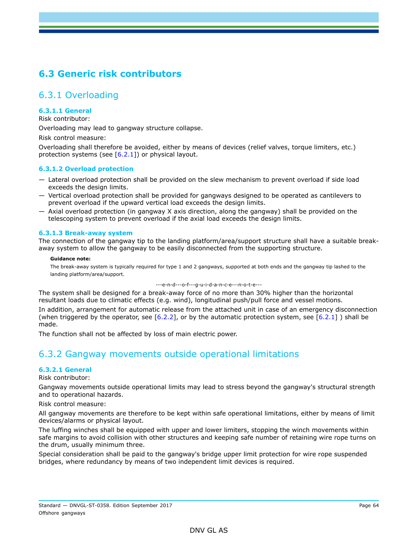# **6.3 Generic risk contributors**

## 6.3.1 Overloading

### **6.3.1.1 General**

Risk contributor:

Overloading may lead to gangway structure collapse.

Risk control measure:

Overloading shall therefore be avoided, either by means of devices (relief valves, torque limiters, etc.) protection systems (see  $[6.2.1]$ ) or physical layout.

### **6.3.1.2 Overload protection**

- Lateral overload protection shall be provided on the slew mechanism to prevent overload if side load exceeds the design limits.
- Vertical overload protection shall be provided for gangways designed to be operated as cantilevers to prevent overload if the upward vertical load exceeds the design limits.
- Axial overload protection (in gangway X axis direction, along the gangway) shall be provided on the telescoping system to prevent overload if the axial load exceeds the design limits.

### **6.3.1.3 Break-away system**

The connection of the gangway tip to the landing platform/area/support structure shall have a suitable breakaway system to allow the gangway to be easily disconnected from the supporting structure.

#### **Guidance note:**

The break-away system is typically required for type 1 and 2 gangways, supported at both ends and the gangway tip lashed to the landing platform/area/support.

#### ---e-n-d---o-f---g-u-i-d-a-n-c-e---n-o-t-e---

The system shall be designed for a break-away force of no more than 30% higher than the horizontal resultant loads due to climatic effects (e.g. wind), longitudinal push/pull force and vessel motions.

In addition, arrangement for automatic release from the attached unit in case of an emergency disconnection (when triggered by the operator, see [6.2.2], or by the automatic protection system, see [6.2.1] ) shall be made.

The function shall not be affected by loss of main electric power.

## 6.3.2 Gangway movements outside operational limitations

### **6.3.2.1 General**

Risk contributor:

Gangway movements outside operational limits may lead to stress beyond the gangway's structural strength and to operational hazards.

Risk control measure:

All gangway movements are therefore to be kept within safe operational limitations, either by means of limit devices/alarms or physical layout.

The luffing winches shall be equipped with upper and lower limiters, stopping the winch movements within safe margins to avoid collision with other structures and keeping safe number of retaining wire rope turns on the drum, usually minimum three.

Special consideration shall be paid to the gangway's bridge upper limit protection for wire rope suspended bridges, where redundancy by means of two independent limit devices is required.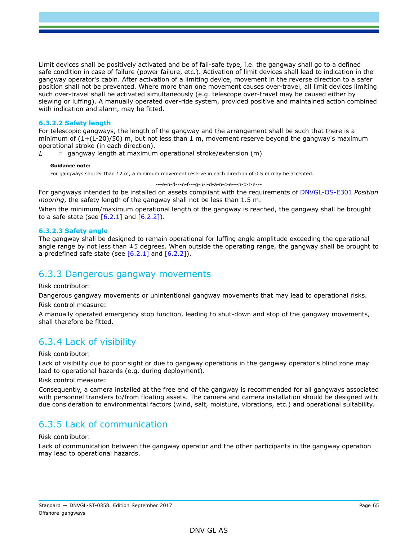Limit devices shall be positively activated and be of fail-safe type, i.e. the gangway shall go to a defined safe condition in case of failure (power failure, etc.). Activation of limit devices shall lead to indication in the gangway operator's cabin. After activation of a limiting device, movement in the reverse direction to a safer position shall not be prevented. Where more than one movement causes over-travel, all limit devices limiting such over-travel shall be activated simultaneously (e.g. telescope over-travel may be caused either by slewing or luffing). A manually operated over-ride system, provided positive and maintained action combined with indication and alarm, may be fitted.

### **6.3.2.2 Safety length**

For telescopic gangways, the length of the gangway and the arrangement shall be such that there is a minimum of  $(1+(L-20)/50)$  m, but not less than 1 m, movement reserve beyond the gangway's maximum operational stroke (in each direction).

 $L =$  gangway length at maximum operational stroke/extension (m)

#### **Guidance note:**

For gangways shorter than 12 m, a minimum movement reserve in each direction of 0.5 m may be accepted.

---e-n-d---o-f---g-u-i-d-a-n-c-e---n-o-t-e---

For gangways intended to be installed on assets compliant with the requirements of DNVGL-OS-E301 *Position mooring*, the safety length of the gangway shall not be less than 1.5 m.

When the minimum/maximum operational length of the gangway is reached, the gangway shall be brought to a safe state (see  $[6.2.1]$  and  $[6.2.2]$ ).

#### **6.3.2.3 Safety angle**

The gangway shall be designed to remain operational for luffing angle amplitude exceeding the operational angle range by not less than  $\pm 5$  degrees. When outside the operating range, the gangway shall be brought to a predefined safe state (see  $[6.2.1]$  and  $[6.2.2]$ ).

### 6.3.3 Dangerous gangway movements

Risk contributor:

Dangerous gangway movements or unintentional gangway movements that may lead to operational risks. Risk control measure:

A manually operated emergency stop function, leading to shut-down and stop of the gangway movements, shall therefore be fitted.

## 6.3.4 Lack of visibility

#### Risk contributor:

Lack of visibility due to poor sight or due to gangway operations in the gangway operator's blind zone may lead to operational hazards (e.g. during deployment).

Risk control measure:

Consequently, a camera installed at the free end of the gangway is recommended for all gangways associated with personnel transfers to/from floating assets. The camera and camera installation should be designed with due consideration to environmental factors (wind, salt, moisture, vibrations, etc.) and operational suitability.

## 6.3.5 Lack of communication

#### Risk contributor:

Lack of communication between the gangway operator and the other participants in the gangway operation may lead to operational hazards.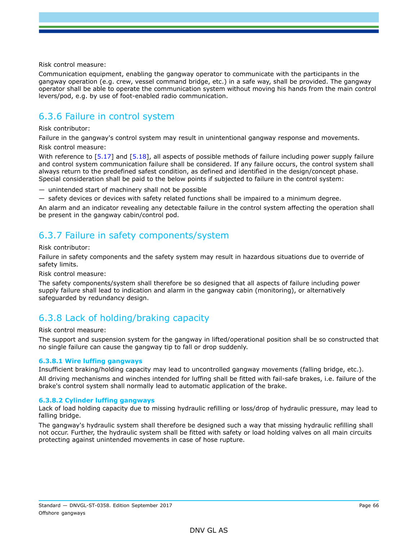Risk control measure:

Communication equipment, enabling the gangway operator to communicate with the participants in the gangway operation (e.g. crew, vessel command bridge, etc.) in a safe way, shall be provided. The gangway operator shall be able to operate the communication system without moving his hands from the main control levers/pod, e.g. by use of foot-enabled radio communication.

## 6.3.6 Failure in control system

#### Risk contributor:

Failure in the gangway's control system may result in unintentional gangway response and movements. Risk control measure:

With reference to [5.17] and [5.18], all aspects of possible methods of failure including power supply failure and control system communication failure shall be considered. If any failure occurs, the control system shall always return to the predefined safest condition, as defined and identified in the design/concept phase. Special consideration shall be paid to the below points if subjected to failure in the control system:

— unintended start of machinery shall not be possible

— safety devices or devices with safety related functions shall be impaired to a minimum degree.

An alarm and an indicator revealing any detectable failure in the control system affecting the operation shall be present in the gangway cabin/control pod.

## 6.3.7 Failure in safety components/system

### Risk contributor:

Failure in safety components and the safety system may result in hazardous situations due to override of safety limits.

Risk control measure:

The safety components/system shall therefore be so designed that all aspects of failure including power supply failure shall lead to indication and alarm in the gangway cabin (monitoring), or alternatively safeguarded by redundancy design.

## 6.3.8 Lack of holding/braking capacity

#### Risk control measure:

The support and suspension system for the gangway in lifted/operational position shall be so constructed that no single failure can cause the gangway tip to fall or drop suddenly.

### **6.3.8.1 Wire luffing gangways**

Insufficient braking/holding capacity may lead to uncontrolled gangway movements (falling bridge, etc.).

All driving mechanisms and winches intended for luffing shall be fitted with fail-safe brakes, i.e. failure of the brake's control system shall normally lead to automatic application of the brake.

### **6.3.8.2 Cylinder luffing gangways**

Lack of load holding capacity due to missing hydraulic refilling or loss/drop of hydraulic pressure, may lead to falling bridge.

The gangway's hydraulic system shall therefore be designed such a way that missing hydraulic refilling shall not occur. Further, the hydraulic system shall be fitted with safety or load holding valves on all main circuits protecting against unintended movements in case of hose rupture.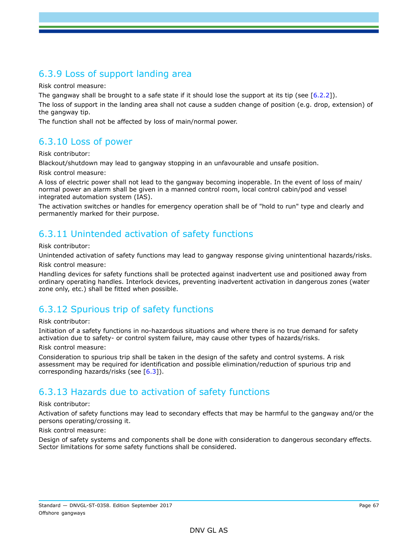## 6.3.9 Loss of support landing area

Risk control measure:

The gangway shall be brought to a safe state if it should lose the support at its tip (see [6.2.2]).

The loss of support in the landing area shall not cause a sudden change of position (e.g. drop, extension) of the gangway tip.

The function shall not be affected by loss of main/normal power.

## 6.3.10 Loss of power

### Risk contributor:

Blackout/shutdown may lead to gangway stopping in an unfavourable and unsafe position.

Risk control measure:

A loss of electric power shall not lead to the gangway becoming inoperable. In the event of loss of main/ normal power an alarm shall be given in a manned control room, local control cabin/pod and vessel integrated automation system (IAS).

The activation switches or handles for emergency operation shall be of "hold to run" type and clearly and permanently marked for their purpose.

## 6.3.11 Unintended activation of safety functions

#### Risk contributor:

Unintended activation of safety functions may lead to gangway response giving unintentional hazards/risks. Risk control measure:

Handling devices for safety functions shall be protected against inadvertent use and positioned away from ordinary operating handles. Interlock devices, preventing inadvertent activation in dangerous zones (water zone only, etc.) shall be fitted when possible.

# 6.3.12 Spurious trip of safety functions

### Risk contributor:

Initiation of a safety functions in no-hazardous situations and where there is no true demand for safety activation due to safety- or control system failure, may cause other types of hazards/risks.

### Risk control measure:

Consideration to spurious trip shall be taken in the design of the safety and control systems. A risk assessment may be required for identification and possible elimination/reduction of spurious trip and corresponding hazards/risks (see  $[6.3]$ ).

## 6.3.13 Hazards due to activation of safety functions

### Risk contributor:

Activation of safety functions may lead to secondary effects that may be harmful to the gangway and/or the persons operating/crossing it.

#### Risk control measure:

Design of safety systems and components shall be done with consideration to dangerous secondary effects. Sector limitations for some safety functions shall be considered.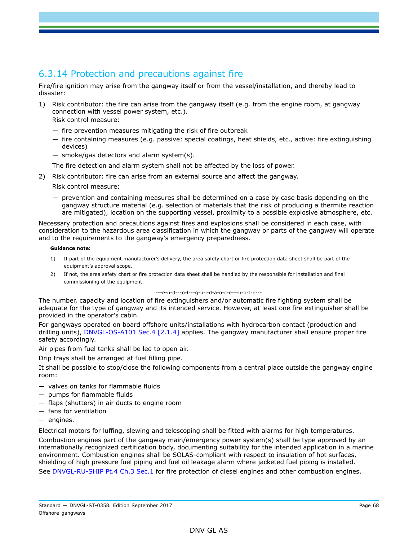# 6.3.14 Protection and precautions against fire

Fire/fire ignition may arise from the gangway itself or from the vessel/installation, and thereby lead to disaster:

1) Risk contributor: the fire can arise from the gangway itself (e.g. from the engine room, at gangway connection with vessel power system, etc.).

Risk control measure:

- fire prevention measures mitigating the risk of fire outbreak
- fire containing measures (e.g. passive: special coatings, heat shields, etc., active: fire extinguishing devices)
- smoke/gas detectors and alarm system(s).

The fire detection and alarm system shall not be affected by the loss of power.

2) Risk contributor: fire can arise from an external source and affect the gangway.

Risk control measure:

— prevention and containing measures shall be determined on a case by case basis depending on the gangway structure material (e.g. selection of materials that the risk of producing a thermite reaction are mitigated), location on the supporting vessel, proximity to a possible explosive atmosphere, etc.

Necessary protection and precautions against fires and explosions shall be considered in each case, with consideration to the hazardous area classification in which the gangway or parts of the gangway will operate and to the requirements to the gangway's emergency preparedness.

#### **Guidance note:**

- 1) If part of the equipment manufacturer's delivery, the area safety chart or fire protection data sheet shall be part of the equipment's approval scope.
- 2) If not, the area safety chart or fire protection data sheet shall be handled by the responsible for installation and final commissioning of the equipment.

---e-n-d---o-f---g-u-i-d-a-n-c-e---n-o-t-e---

The number, capacity and location of fire extinguishers and/or automatic fire fighting system shall be adequate for the type of gangway and its intended service. However, at least one fire extinguisher shall be provided in the operator's cabin.

For gangways operated on board offshore units/installations with hydrocarbon contact (production and drilling units), DNVGL-OS-A101 Sec.4 [2.1.4] applies. The gangway manufacturer shall ensure proper fire safety accordingly.

Air pipes from fuel tanks shall be led to open air.

Drip trays shall be arranged at fuel filling pipe.

It shall be possible to stop/close the following components from a central place outside the gangway engine room:

- valves on tanks for flammable fluids
- pumps for flammable fluids
- flaps (shutters) in air ducts to engine room
- fans for ventilation
- engines.

Electrical motors for luffing, slewing and telescoping shall be fitted with alarms for high temperatures.

Combustion engines part of the gangway main/emergency power system(s) shall be type approved by an internationally recognized certification body, documenting suitability for the intended application in a marine environment. Combustion engines shall be SOLAS-compliant with respect to insulation of hot surfaces, shielding of high pressure fuel piping and fuel oil leakage alarm where jacketed fuel piping is installed. See DNVGL-RU-SHIP Pt.4 Ch.3 Sec.1 for fire protection of diesel engines and other combustion engines.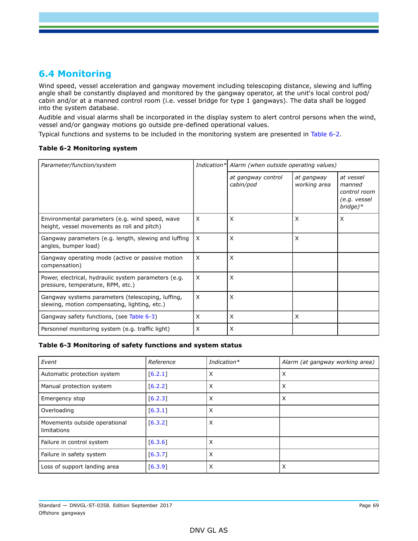## **6.4 Monitoring**

Wind speed, vessel acceleration and gangway movement including telescoping distance, slewing and luffing angle shall be constantly displayed and monitored by the gangway operator, at the unit's local control pod/ cabin and/or at a manned control room (i.e. vessel bridge for type 1 gangways). The data shall be logged into the system database.

Audible and visual alarms shall be incorporated in the display system to alert control persons when the wind, vessel and/or gangway motions go outside pre-defined operational values.

Typical functions and systems to be included in the monitoring system are presented in Table 6-2.

### **Table 6-2 Monitoring system**

| Parameter/function/system                                                                          |   | Indication* Alarm (when outside operating values) |                            |                                                                   |  |
|----------------------------------------------------------------------------------------------------|---|---------------------------------------------------|----------------------------|-------------------------------------------------------------------|--|
|                                                                                                    |   | at gangway control<br>cabin/pod                   | at gangway<br>working area | at vessel<br>manned<br>control room<br>(e.g. vessel<br>$bridge)*$ |  |
| Environmental parameters (e.g. wind speed, wave<br>height, vessel movements as roll and pitch)     | X | X                                                 | $\times$                   | X                                                                 |  |
| Gangway parameters (e.g. length, slewing and luffing<br>angles, bumper load)                       | X | X                                                 | X                          |                                                                   |  |
| Gangway operating mode (active or passive motion<br>compensation)                                  | X | X                                                 |                            |                                                                   |  |
| Power, electrical, hydraulic system parameters (e.g.<br>pressure, temperature, RPM, etc.)          | X | X                                                 |                            |                                                                   |  |
| Gangway systems parameters (telescoping, luffing,<br>slewing, motion compensating, lighting, etc.) | X | X                                                 |                            |                                                                   |  |
| Gangway safety functions, (see Table 6-3)                                                          | X | X                                                 | $\mathsf{x}$               |                                                                   |  |
| Personnel monitoring system (e.g. traffic light)                                                   | X | X                                                 |                            |                                                                   |  |

### **Table 6-3 Monitoring of safety functions and system status**

| Event                                        | Reference | Indication* | Alarm (at gangway working area) |
|----------------------------------------------|-----------|-------------|---------------------------------|
| Automatic protection system                  | [6.2.1]   | X           | X                               |
| Manual protection system                     | [6.2.2]   | X           | X                               |
| Emergency stop                               | [6.2.3]   | X           | X                               |
| Overloading                                  | [6.3.1]   | X           |                                 |
| Movements outside operational<br>limitations | [6.3.2]   | X           |                                 |
| Failure in control system                    | [6.3.6]   | X           |                                 |
| Failure in safety system                     | [6.3.7]   | X           |                                 |
| Loss of support landing area                 | [6.3.9]   | X           | Х                               |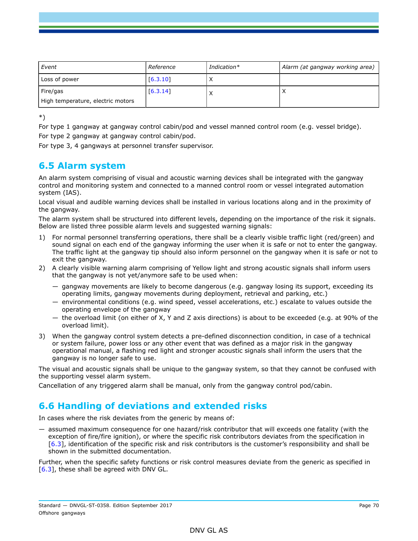| Event                                         | Reference | Indication $*$ | Alarm (at gangway working area) |
|-----------------------------------------------|-----------|----------------|---------------------------------|
| Loss of power                                 | [6.3.10]  |                |                                 |
| Fire/gas<br>High temperature, electric motors | [6.3.14]  |                |                                 |

\*)

For type 1 gangway at gangway control cabin/pod and vessel manned control room (e.g. vessel bridge). For type 2 gangway at gangway control cabin/pod.

For type 3, 4 gangways at personnel transfer supervisor.

## **6.5 Alarm system**

An alarm system comprising of visual and acoustic warning devices shall be integrated with the gangway control and monitoring system and connected to a manned control room or vessel integrated automation system (IAS).

Local visual and audible warning devices shall be installed in various locations along and in the proximity of the gangway.

The alarm system shall be structured into different levels, depending on the importance of the risk it signals. Below are listed three possible alarm levels and suggested warning signals:

- 1) For normal personnel transferring operations, there shall be a clearly visible traffic light (red/green) and sound signal on each end of the gangway informing the user when it is safe or not to enter the gangway. The traffic light at the gangway tip should also inform personnel on the gangway when it is safe or not to exit the gangway.
- 2) A clearly visible warning alarm comprising of Yellow light and strong acoustic signals shall inform users that the gangway is not yet/anymore safe to be used when:
	- gangway movements are likely to become dangerous (e.g. gangway losing its support, exceeding its operating limits, gangway movements during deployment, retrieval and parking, etc.)
	- environmental conditions (e.g. wind speed, vessel accelerations, etc.) escalate to values outside the operating envelope of the gangway
	- the overload limit (on either of X, Y and Z axis directions) is about to be exceeded (e.g. at 90% of the overload limit).
- 3) When the gangway control system detects a pre-defined disconnection condition, in case of a technical or system failure, power loss or any other event that was defined as a major risk in the gangway operational manual, a flashing red light and stronger acoustic signals shall inform the users that the gangway is no longer safe to use.

The visual and acoustic signals shall be unique to the gangway system, so that they cannot be confused with the supporting vessel alarm system.

Cancellation of any triggered alarm shall be manual, only from the gangway control pod/cabin.

# **6.6 Handling of deviations and extended risks**

In cases where the risk deviates from the generic by means of:

— assumed maximum consequence for one hazard/risk contributor that will exceeds one fatality (with the exception of fire/fire ignition), or where the specific risk contributors deviates from the specification in [6.3], identification of the specific risk and risk contributors is the customer's responsibility and shall be shown in the submitted documentation.

Further, when the specific safety functions or risk control measures deviate from the generic as specified in [6.3], these shall be agreed with DNV GL.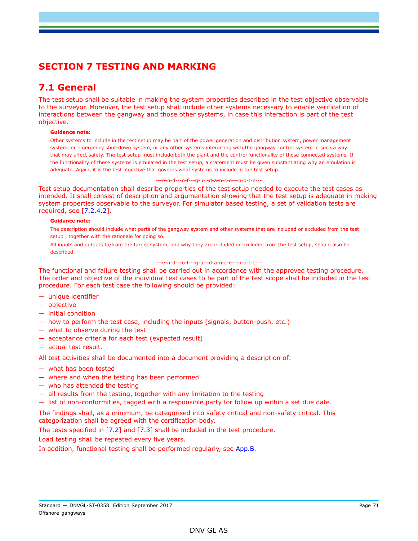# **SECTION 7 TESTING AND MARKING**

# **7.1 General**

The test setup shall be suitable in making the system properties described in the test objective observable to the surveyor. Moreover, the test setup shall include other systems necessary to enable verification of interactions between the gangway and those other systems, in case this interaction is part of the test objective.

#### **Guidance note:**

Other systems to include in the test setup may be part of the power generation and distribution system, power management system, or emergency shut-down system, or any other systems interacting with the gangway control system in such a way that may affect safety. The test setup must include both the plant and the control functionality of these connected systems. If the functionality of these systems is emulated in the test setup, a statement must be given substantiating why an emulation is adequate. Again, it is the test objective that governs what systems to include in the test setup.

#### ---e-n-d---o-f---g-u-i-d-a-n-c-e---n-o-t-e---

Test setup documentation shall describe properties of the test setup needed to execute the test cases as intended. It shall consist of description and argumentation showing that the test setup is adequate in making system properties observable to the surveyor. For simulator based testing, a set of validation tests are required, see [7.2.4.2].

#### **Guidance note:**

The description should include what parts of the gangway system and other systems that are included or excluded from the test setup , together with the rationale for doing so.

All inputs and outputs to/from the target system, and why they are included or excluded from the test setup, should also be described.

#### ---e-n-d---o-f---g-u-i-d-a-n-c-e---n-o-t-e---

The functional and failure testing shall be carried out in accordance with the approved testing procedure. The order and objective of the individual test cases to be part of the test scope shall be included in the test procedure. For each test case the following should be provided:

- unique identifier
- objective
- initial condition
- how to perform the test case, including the inputs (signals, button-push, etc.)
- what to observe during the test
- acceptance criteria for each test (expected result)
- actual test result.

All test activities shall be documented into a document providing a description of:

- what has been tested
- where and when the testing has been performed
- who has attended the testing
- all results from the testing, together with any limitation to the testing
- list of non-conformities, tagged with a responsible party for follow up within a set due date.

The findings shall, as a minimum, be categorised into safety critical and non-safety critical. This categorization shall be agreed with the certification body.

The tests specified in [7.2] and [7.3] shall be included in the test procedure.

Load testing shall be repeated every five years.

In addition, functional testing shall be performed regularly, see App.B.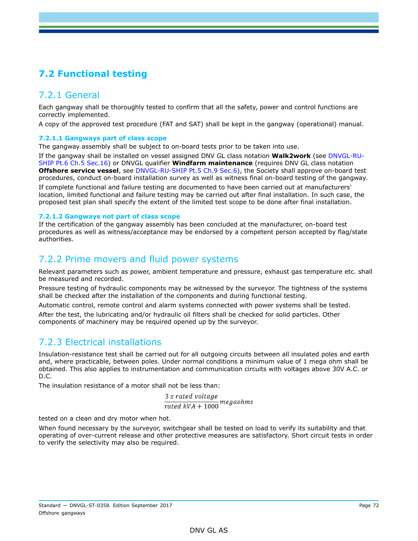# **7.2 Functional testing**

## 7.2.1 General

Each gangway shall be thoroughly tested to confirm that all the safety, power and control functions are correctly implemented.

A copy of the approved test procedure (FAT and SAT) shall be kept in the gangway (operational) manual.

### **7.2.1.1 Gangways part of class scope**

The gangway assembly shall be subject to on-board tests prior to be taken into use.

If the gangway shall be installed on vessel assigned DNV GL class notation **Walk2work** (see DNVGL-RU-SHIP Pt.6 Ch.5 Sec.16) or DNVGL qualifier **Windfarm maintenance** (requires DNV GL class notation **Offshore service vessel**, see DNVGL-RU-SHIP Pt.5 Ch.9 Sec.6), the Society shall approve on-board test procedures, conduct on-board installation survey as well as witness final on-board testing of the gangway.

If complete functional and failure testing are documented to have been carried out at manufacturers' location, limited functional and failure testing may be carried out after final installation. In such case, the proposed test plan shall specify the extent of the limited test scope to be done after final installation.

### **7.2.1.2 Gangways not part of class scope**

If the certification of the gangway assembly has been concluded at the manufacturer, on-board test procedures as well as witness/acceptance may be endorsed by a competent person accepted by flag/state authorities.

### 7.2.2 Prime movers and fluid power systems

Relevant parameters such as power, ambient temperature and pressure, exhaust gas temperature etc. shall be measured and recorded.

Pressure testing of hydraulic components may be witnessed by the surveyor. The tightness of the systems shall be checked after the installation of the components and during functional testing.

Automatic control, remote control and alarm systems connected with power systems shall be tested.

After the test, the lubricating and/or hydraulic oil filters shall be checked for solid particles. Other components of machinery may be required opened up by the surveyor.

## 7.2.3 Electrical installations

Insulation-resistance test shall be carried out for all outgoing circuits between all insulated poles and earth and, where practicable, between poles. Under normal conditions a minimum value of 1 mega ohm shall be obtained. This also applies to instrumentation and communication circuits with voltages above 30V A.C. or D.C.

The insulation resistance of a motor shall not be less than:

 $3x$  rated voltage  $\frac{3 \times$  rated voltage<br>rated  $kVA + 1000$  megaohms

tested on a clean and dry motor when hot.

When found necessary by the surveyor, switchgear shall be tested on load to verify its suitability and that operating of over-current release and other protective measures are satisfactory. Short circuit tests in order to verify the selectivity may also be required.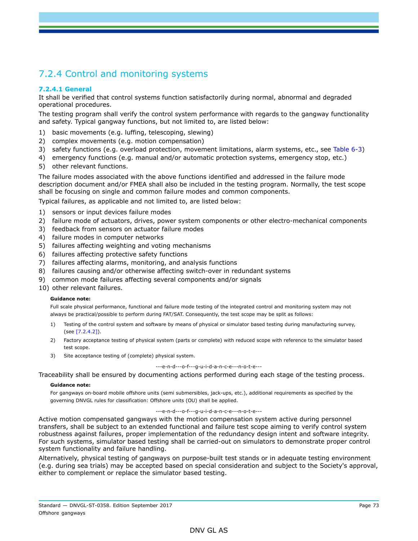# 7.2.4 Control and monitoring systems

### **7.2.4.1 General**

It shall be verified that control systems function satisfactorily during normal, abnormal and degraded operational procedures.

The testing program shall verify the control system performance with regards to the gangway functionality and safety. Typical gangway functions, but not limited to, are listed below:

- 1) basic movements (e.g. luffing, telescoping, slewing)
- 2) complex movements (e.g. motion compensation)
- 3) safety functions (e.g. overload protection, movement limitations, alarm systems, etc., see Table 6-3)
- 4) emergency functions (e.g. manual and/or automatic protection systems, emergency stop, etc.)
- 5) other relevant functions.

The failure modes associated with the above functions identified and addressed in the failure mode description document and/or FMEA shall also be included in the testing program. Normally, the test scope shall be focusing on single and common failure modes and common components.

Typical failures, as applicable and not limited to, are listed below:

- 1) sensors or input devices failure modes
- 2) failure mode of actuators, drives, power system components or other electro-mechanical components
- 3) feedback from sensors on actuator failure modes
- 4) failure modes in computer networks
- 5) failures affecting weighting and voting mechanisms
- 6) failures affecting protective safety functions
- 7) failures affecting alarms, monitoring, and analysis functions
- 8) failures causing and/or otherwise affecting switch-over in redundant systems
- 9) common mode failures affecting several components and/or signals
- 10) other relevant failures.

#### **Guidance note:**

Full scale physical performance, functional and failure mode testing of the integrated control and monitoring system may not always be practical/possible to perform during FAT/SAT. Consequently, the test scope may be split as follows:

- 1) Testing of the control system and software by means of physical or simulator based testing during manufacturing survey, (see [7.2.4.2]).
- 2) Factory acceptance testing of physical system (parts or complete) with reduced scope with reference to the simulator based test scope.
- 3) Site acceptance testing of (complete) physical system.

#### ---e-n-d---o-f---g-u-i-d-a-n-c-e---n-o-t-e---

Traceability shall be ensured by documenting actions performed during each stage of the testing process.

#### **Guidance note:**

For gangways on-board mobile offshore units (semi submersibles, jack-ups, etc.), additional requirements as specified by the governing DNVGL rules for classification: Offshore units (OU) shall be applied.

#### ---e-n-d---o-f---g-u-i-d-a-n-c-e---n-o-t-e---

Active motion compensated gangways with the motion compensation system active during personnel transfers, shall be subject to an extended functional and failure test scope aiming to verify control system robustness against failures, proper implementation of the redundancy design intent and software integrity. For such systems, simulator based testing shall be carried-out on simulators to demonstrate proper control system functionality and failure handling.

Alternatively, physical testing of gangways on purpose-built test stands or in adequate testing environment (e.g. during sea trials) may be accepted based on special consideration and subject to the Society's approval, either to complement or replace the simulator based testing.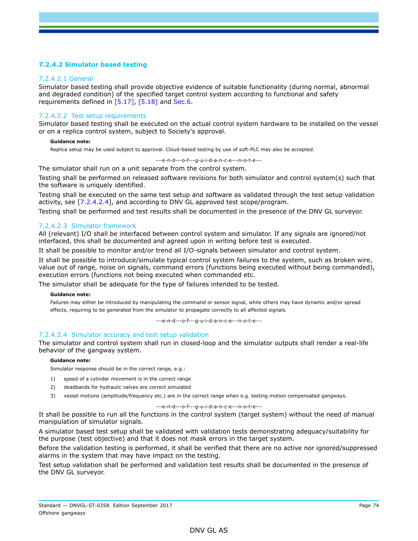### **7.2.4.2 Simulator based testing**

### 7.2.4.2.1 General

Simulator based testing shall provide objective evidence of suitable functionality (during normal, abnormal and degraded condition) of the specified target control system according to functional and safety requirements defined in [5.17], [5.18] and Sec.6.

### 7.2.4.2.2 Test setup requirements

Simulator based testing shall be executed on the actual control system hardware to be installed on the vessel or on a replica control system, subject to Society's approval.

#### **Guidance note:**

Replica setup may be used subject to approval. Cloud-based testing by use of soft-PLC may also be accepted.

---e-n-d---o-f---g-u-i-d-a-n-c-e---n-o-t-e---

The simulator shall run on a unit separate from the control system.

Testing shall be performed on released software revisions for both simulator and control system(s) such that the software is uniquely identified.

Testing shall be executed on the same test setup and software as validated through the test setup validation activity, see [7.2.4.2.4], and according to DNV GL approved test scope/program.

Testing shall be performed and test results shall be documented in the presence of the DNV GL surveyor.

### 7.2.4.2.3 Simulator framework

All (relevant) I/O shall be interfaced between control system and simulator. If any signals are ignored/not interfaced, this shall be documented and agreed upon in writing before test is executed.

It shall be possible to monitor and/or trend all I/O-signals between simulator and control system.

It shall be possible to introduce/simulate typical control system failures to the system, such as broken wire, value out of range, noise on signals, command errors (functions being executed without being commanded), execution errors (functions not being executed when commanded etc.

The simulator shall be adequate for the type of failures intended to be tested.

#### **Guidance note:**

Failures may either be introduced by manipulating the command or sensor signal, while others may have dynamic and/or spread effects, requiring to be generated from the simulator to propagate correctly to all affected signals.

---e-n-d---o-f---g-u-i-d-a-n-c-e---n-o-t-e---

### 7.2.4.2.4 Simulator accuracy and test setup validation

The simulator and control system shall run in closed-loop and the simulator outputs shall render a real-life behavior of the gangway system.

#### **Guidance note:**

Simulator response should be in the correct range, e.g.:

- 1) speed of a cylinder movement is in the correct range
- 2) deadbands for hydraulic valves are correct simulated
- 3) vessel motions (amplitude/frequency etc.) are in the correct range when e.g. testing motion compensated gangways.

#### ---e-n-d---o-f---g-u-i-d-a-n-c-e---n-o-t-e---

It shall be possible to run all the functions in the control system (target system) without the need of manual manipulation of simulator signals.

A simulator based test setup shall be validated with validation tests demonstrating adequacy/suitability for the purpose (test objective) and that it does not mask errors in the target system.

Before the validation testing is performed, it shall be verified that there are no active nor ignored/suppressed alarms in the system that may have impact on the testing.

Test setup validation shall be performed and validation test results shall be documented in the presence of the DNV GL surveyor.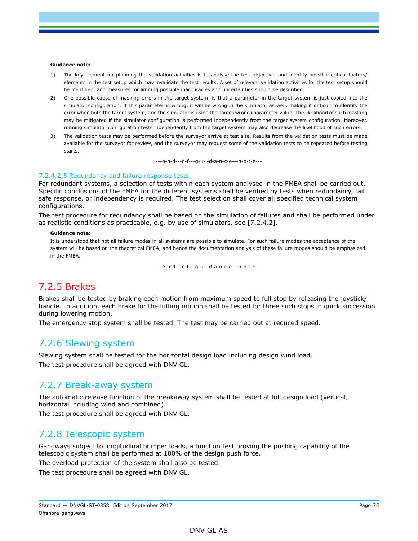#### **Guidance note:**

- 1) The key element for planning the validation activities is to analyse the test objective, and identify possible critical factors/ elements in the test setup which may invalidate the test results. A set of relevant validation activities for the test setup should be identified, and measures for limiting possible inaccuracies and uncertainties should be described.
- 2) One possible cause of masking errors in the target system, is that a parameter in the target system is just copied into the simulator configuration. If this parameter is wrong, it will be wrong in the simulator as well, making it difficult to identify the error when both the target system, and the simulator is using the same (wrong) parameter value. The likelihood of such masking may be mitigated if the simulator configuration is performed independently from the target system configuration. Moreover, running simulator configuration tests independently from the target system may also decrease the likelihood of such errors.
- 3) The validation tests may be performed before the surveyor arrive at test site. Results from the validation tests must be made available for the surveyor for review, and the surveyor may request some of the validation tests to be repeated before testing starts.

---e-n-d---o-f---g-u-i-d-a-n-c-e---n-o-t-e---

#### 7.2.4.2.5 Redundancy and failure response tests

For redundant systems, a selection of tests within each system analysed in the FMEA shall be carried out. Specific conclusions of the FMEA for the different systems shall be verified by tests when redundancy, fail safe response, or independency is required. The test selection shall cover all specified technical system configurations.

The test procedure for redundancy shall be based on the simulation of failures and shall be performed under as realistic conditions as practicable, e.g. by use of simulators, see [7.2.4.2].

#### **Guidance note:**

It is understood that not all failure modes in all systems are possible to simulate. For such failure modes the acceptance of the system will be based on the theoretical FMEA, and hence the documentation analysis of these failure modes should be emphasized in the FMEA.

---e-n-d---o-f---g-u-i-d-a-n-c-e---n-o-t-e---

### 7.2.5 Brakes

Brakes shall be tested by braking each motion from maximum speed to full stop by releasing the joystick/ handle. In addition, each brake for the luffing motion shall be tested for three such stops in quick succession during lowering motion.

The emergency stop system shall be tested. The test may be carried out at reduced speed.

### 7.2.6 Slewing system

Slewing system shall be tested for the horizontal design load including design wind load. The test procedure shall be agreed with DNV GL.

### 7.2.7 Break-away system

The automatic release function of the breakaway system shall be tested at full design load (vertical, horizontal including wind and combined).

The test procedure shall be agreed with DNV GL.

### 7.2.8 Telescopic system

Gangways subject to longitudinal bumper loads, a function test proving the pushing capability of the telescopic system shall be performed at 100% of the design push force.

The overload protection of the system shall also be tested.

The test procedure shall be agreed with DNV GL.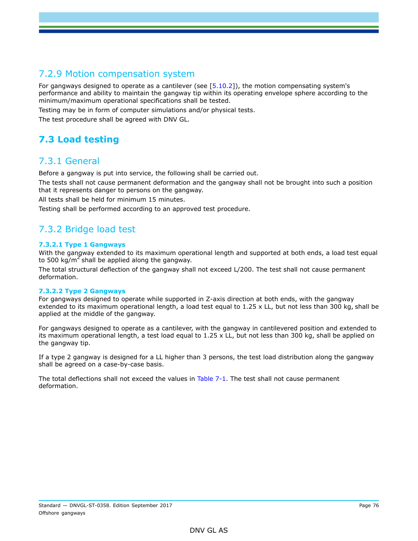# 7.2.9 Motion compensation system

For gangways designed to operate as a cantilever (see [5.10.2]), the motion compensating system's performance and ability to maintain the gangway tip within its operating envelope sphere according to the minimum/maximum operational specifications shall be tested.

Testing may be in form of computer simulations and/or physical tests.

The test procedure shall be agreed with DNV GL.

# **7.3 Load testing**

### 7.3.1 General

Before a gangway is put into service, the following shall be carried out.

The tests shall not cause permanent deformation and the gangway shall not be brought into such a position that it represents danger to persons on the gangway.

All tests shall be held for minimum 15 minutes.

Testing shall be performed according to an approved test procedure.

## 7.3.2 Bridge load test

### **7.3.2.1 Type 1 Gangways**

With the gangway extended to its maximum operational length and supported at both ends, a load test equal to 500 kg/m<sup>2</sup> shall be applied along the gangway.

The total structural deflection of the gangway shall not exceed L/200. The test shall not cause permanent deformation.

### **7.3.2.2 Type 2 Gangways**

For gangways designed to operate while supported in Z-axis direction at both ends, with the gangway extended to its maximum operational length, a load test equal to 1.25 x LL, but not less than 300 kg, shall be applied at the middle of the gangway.

For gangways designed to operate as a cantilever, with the gangway in cantilevered position and extended to its maximum operational length, a test load equal to 1.25 x LL, but not less than 300 kg, shall be applied on the gangway tip.

If a type 2 gangway is designed for a LL higher than 3 persons, the test load distribution along the gangway shall be agreed on a case-by-case basis.

The total deflections shall not exceed the values in Table 7-1. The test shall not cause permanent deformation.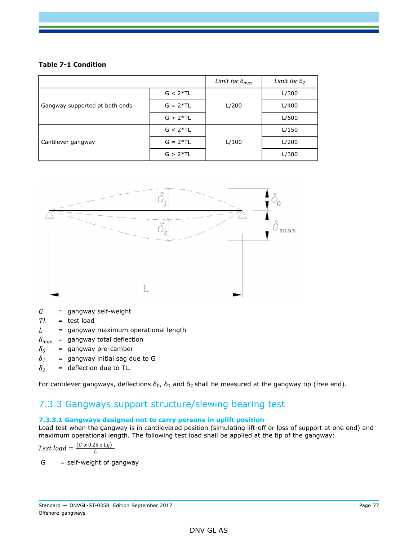### **Table 7-1 Condition**

|                                |            | Limit for $\delta_{max}$ | Limit for $\delta_2$ |
|--------------------------------|------------|--------------------------|----------------------|
| Gangway supported at both ends | $G < 2*TL$ |                          | L/300                |
|                                | $G = 2*TL$ | L/200                    | L/400                |
|                                | $G > 2*TL$ |                          | L/600                |
| Cantilever gangway             | $G < 2*TL$ |                          | L/150                |
|                                | $G = 2*TL$ | L/100                    | L/200                |
|                                | $G > 2*TL$ |                          | L/300                |



*G* = gangway self-weight

*TL* = test load

- $L =$  gangway maximum operational length
- $\delta_{max}$  = gangway total deflection
- $\delta$ <sup>0</sup> = gangway pre-camber
- $\delta$ <sup>1</sup> = gangway initial sag due to G
- $\delta_2$  = deflection due to TL.

For cantilever gangways, deflections  $δ_0$ ,  $δ_1$  and  $δ_2$  shall be measured at the gangway tip (free end).

### 7.3.3 Gangways support structure/slewing bearing test

### **7.3.3.1 Gangways designed not to carry persons in uplift position**

Load test when the gangway is in cantilevered position (simulating lift-off or loss of support at one end) and maximum operational length. The following test load shall be applied at the tip of the gangway:

Test load = 
$$
\frac{(G \times 0.25 \times Lg)}{L}
$$

 $G = self-weight of$  gangway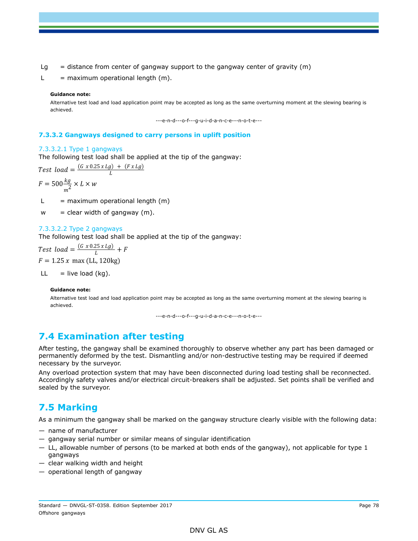- $Lg$  = distance from center of gangway support to the gangway center of gravity (m)
- $L =$  maximum operational length  $(m)$ .

#### **Guidance note:**

Alternative test load and load application point may be accepted as long as the same overturning moment at the slewing bearing is achieved.

---e-n-d---o-f---g-u-i-d-a-n-c-e---n-o-t-e---

#### **7.3.3.2 Gangways designed to carry persons in uplift position**

#### 7.3.3.2.1 Type 1 gangways

The following test load shall be applied at the tip of the gangway:<br>Test  $load = \frac{(G \times 0.25 \times Lg) + (Fx Lg)}{r}$ 

 $F = 500 \frac{kg}{m^2} \times L \times w$ 

- $L =$  maximum operational length  $(m)$
- $w =$  clear width of gangway  $(m)$ .

#### 7.3.3.2.2 Type 2 gangways

The following test load shall be applied at the tip of the gangway:

Test load =  $\frac{(G \times 0.25 \times Lg)}{L} + F$  $F = 1.25 x$  max (LL, 120kg)

 $LL = live load (kg).$ 

#### **Guidance note:**

Alternative test load and load application point may be accepted as long as the same overturning moment at the slewing bearing is achieved.

---e-n-d---o-f---g-u-i-d-a-n-c-e---n-o-t-e---

### **7.4 Examination after testing**

After testing, the gangway shall be examined thoroughly to observe whether any part has been damaged or permanently deformed by the test. Dismantling and/or non-destructive testing may be required if deemed necessary by the surveyor.

Any overload protection system that may have been disconnected during load testing shall be reconnected. Accordingly safety valves and/or electrical circuit-breakers shall be adjusted. Set points shall be verified and sealed by the surveyor.

### **7.5 Marking**

As a minimum the gangway shall be marked on the gangway structure clearly visible with the following data:

- name of manufacturer
- gangway serial number or similar means of singular identification
- LL, allowable number of persons (to be marked at both ends of the gangway), not applicable for type 1 gangways
- clear walking width and height
- operational length of gangway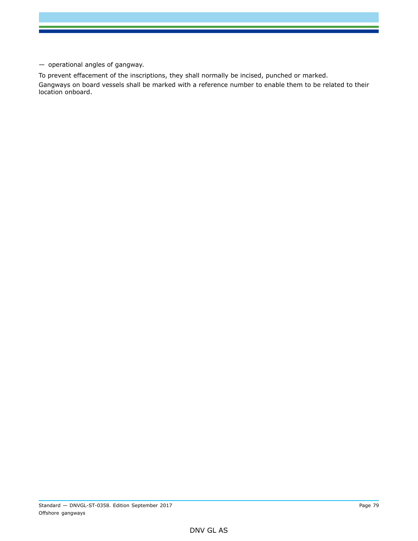— operational angles of gangway.

To prevent effacement of the inscriptions, they shall normally be incised, punched or marked. Gangways on board vessels shall be marked with a reference number to enable them to be related to their location onboard.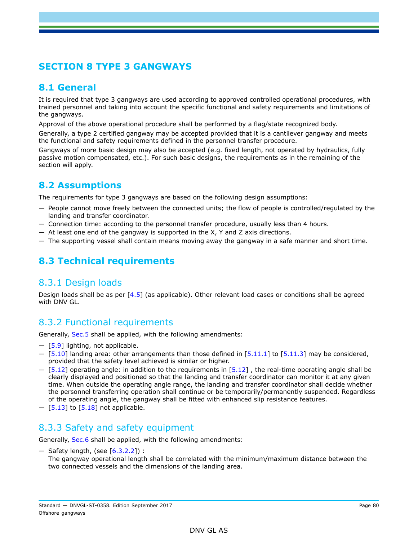# **SECTION 8 TYPE 3 GANGWAYS**

# **8.1 General**

It is required that type 3 gangways are used according to approved controlled operational procedures, with trained personnel and taking into account the specific functional and safety requirements and limitations of the gangways.

Approval of the above operational procedure shall be performed by a flag/state recognized body.

Generally, a type 2 certified gangway may be accepted provided that it is a cantilever gangway and meets the functional and safety requirements defined in the personnel transfer procedure.

Gangways of more basic design may also be accepted (e.g. fixed length, not operated by hydraulics, fully passive motion compensated, etc.). For such basic designs, the requirements as in the remaining of the section will apply.

# **8.2 Assumptions**

The requirements for type 3 gangways are based on the following design assumptions:

- People cannot move freely between the connected units; the flow of people is controlled/regulated by the landing and transfer coordinator.
- Connection time: according to the personnel transfer procedure, usually less than 4 hours.
- $-$  At least one end of the gangway is supported in the X, Y and Z axis directions.
- The supporting vessel shall contain means moving away the gangway in a safe manner and short time.

# **8.3 Technical requirements**

### 8.3.1 Design loads

Design loads shall be as per [4.5] (as applicable). Other relevant load cases or conditions shall be agreed with DNV GL.

## 8.3.2 Functional requirements

Generally, Sec.5 shall be applied, with the following amendments:

- $[5.9]$  lighting, not applicable.
- $-$  [5.10] landing area: other arrangements than those defined in [5.11.1] to [5.11.3] may be considered, provided that the safety level achieved is similar or higher.
- $-$  [5.12] operating angle: in addition to the requirements in [5.12], the real-time operating angle shall be clearly displayed and positioned so that the landing and transfer coordinator can monitor it at any given time. When outside the operating angle range, the landing and transfer coordinator shall decide whether the personnel transferring operation shall continue or be temporarily/permanently suspended. Regardless of the operating angle, the gangway shall be fitted with enhanced slip resistance features.
- $-$  [5.13] to [5.18] not applicable.

### 8.3.3 Safety and safety equipment

Generally, Sec.6 shall be applied, with the following amendments:

— Safety length, (see [6.3.2.2]) :

The gangway operational length shall be correlated with the minimum/maximum distance between the two connected vessels and the dimensions of the landing area.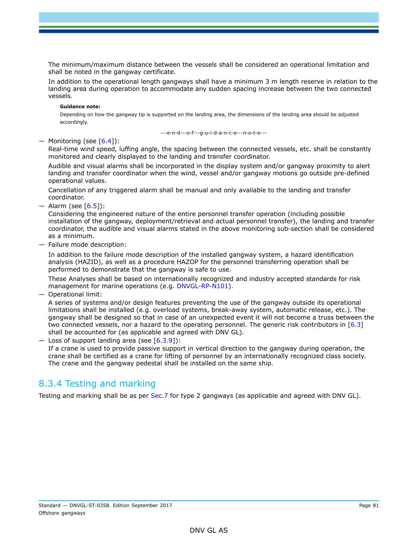The minimum/maximum distance between the vessels shall be considered an operational limitation and shall be noted in the gangway certificate.

In addition to the operational length gangways shall have a minimum 3 m length reserve in relation to the landing area during operation to accommodate any sudden spacing increase between the two connected vessels.

#### **Guidance note:**

Depending on how the gangway tip is supported on the landing area, the dimensions of the landing area should be adjusted accordingly.

---e-n-d---o-f---g-u-i-d-a-n-c-e---n-o-t-e---

### — Monitoring (see  $[6.4]$ ):

Real-time wind speed, luffing angle, the spacing between the connected vessels, etc. shall be constantly monitored and clearly displayed to the landing and transfer coordinator.

Audible and visual alarms shall be incorporated in the display system and/or gangway proximity to alert landing and transfer coordinator when the wind, vessel and/or gangway motions go outside pre-defined operational values.

Cancellation of any triggered alarm shall be manual and only available to the landing and transfer coordinator.

 $-$  Alarm (see [6.5]):

Considering the engineered nature of the entire personnel transfer operation (including possible installation of the gangway, deployment/retrieval and actual personnel transfer), the landing and transfer coordinator, the audible and visual alarms stated in the above monitoring sub-section shall be considered as a minimum.

— Failure mode description:

In addition to the failure mode description of the installed gangway system, a hazard identification analysis (HAZID), as well as a procedure HAZOP for the personnel transferring operation shall be performed to demonstrate that the gangway is safe to use.

These Analyses shall be based on internationally recognized and industry accepted standards for risk management for marine operations (e.g. DNVGL-RP-N101).

— Operational limit:

A series of systems and/or design features preventing the use of the gangway outside its operational limitations shall be installed (e.g. overload systems, break-away system, automatic release, etc.). The gangway shall be designed so that in case of an unexpected event it will not become a truss between the two connected vessels, nor a hazard to the operating personnel. The generic risk contributors in  $[6.3]$ shall be accounted for (as applicable and agreed with DNV GL).

 $-$  Loss of support landing area (see [6.3.9]):

If a crane is used to provide passive support in vertical direction to the gangway during operation, the crane shall be certified as a crane for lifting of personnel by an internationally recognized class society. The crane and the gangway pedestal shall be installed on the same ship.

## 8.3.4 Testing and marking

Testing and marking shall be as per Sec.7 for type 2 gangways (as applicable and agreed with DNV GL).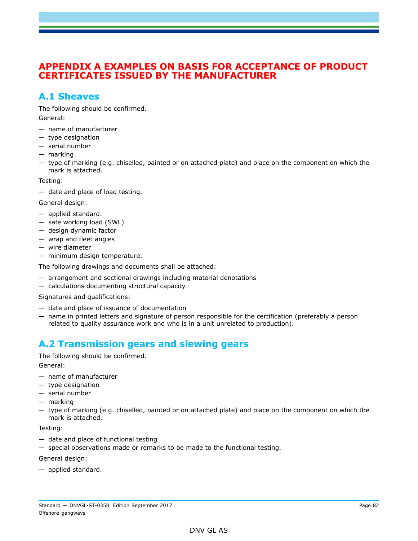### **APPENDIX A EXAMPLES ON BASIS FOR ACCEPTANCE OF PRODUCT CERTIFICATES ISSUED BY THE MANUFACTURER**

### **A.1 Sheaves**

The following should be confirmed. General:

- name of manufacturer
- type designation
- serial number
- marking
- type of marking (e.g. chiselled, painted or on attached plate) and place on the component on which the mark is attached.

Testing:

— date and place of load testing.

General design:

- applied standard.
- safe working load (SWL)
- design dynamic factor
- wrap and fleet angles
- wire diameter
- minimum design temperature.

The following drawings and documents shall be attached:

- arrangement and sectional drawings including material denotations
- calculations documenting structural capacity.

Signatures and qualifications:

- date and place of issuance of documentation
- name in printed letters and signature of person responsible for the certification (preferably a person related to quality assurance work and who is in a unit unrelated to production).

## **A.2 Transmission gears and slewing gears**

The following should be confirmed.

General:

- name of manufacturer
- type designation
- serial number
- marking
- type of marking (e.g. chiselled, painted or on attached plate) and place on the component on which the mark is attached.

Testing:

- date and place of functional testing
- special observations made or remarks to be made to the functional testing.

General design:

— applied standard.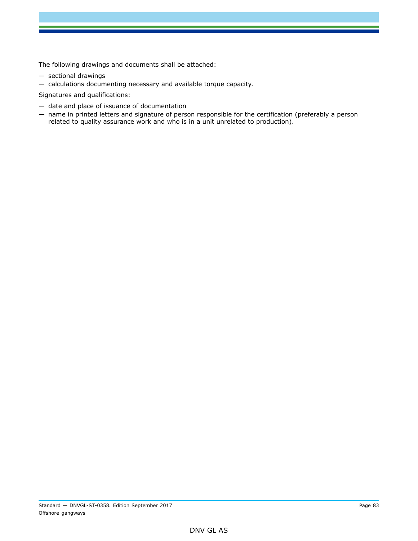The following drawings and documents shall be attached:

- sectional drawings
- calculations documenting necessary and available torque capacity.

Signatures and qualifications:

- date and place of issuance of documentation
- name in printed letters and signature of person responsible for the certification (preferably a person related to quality assurance work and who is in a unit unrelated to production).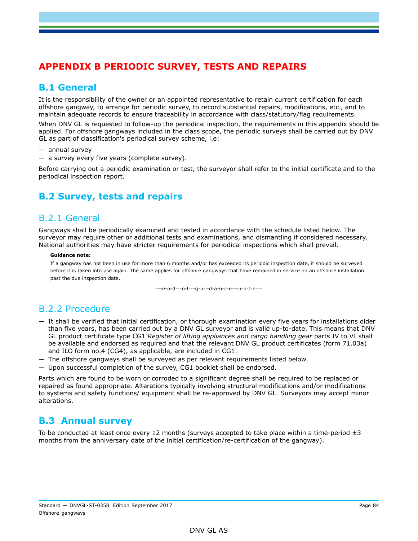# **APPENDIX B PERIODIC SURVEY, TESTS AND REPAIRS**

## **B.1 General**

It is the responsibility of the owner or an appointed representative to retain current certification for each offshore gangway, to arrange for periodic survey, to record substantial repairs, modifications, etc., and to maintain adequate records to ensure traceability in accordance with class/statutory/flag requirements.

When DNV GL is requested to follow-up the periodical inspection, the requirements in this appendix should be applied. For offshore gangways included in the class scope, the periodic surveys shall be carried out by DNV GL as part of classification's periodical survey scheme, i.e:

- annual survey
- a survey every five years (complete survey).

Before carrying out a periodic examination or test, the surveyor shall refer to the initial certificate and to the periodical inspection report.

# **B.2 Survey, tests and repairs**

### B.2.1 General

Gangways shall be periodically examined and tested in accordance with the schedule listed below. The surveyor may require other or additional tests and examinations, and dismantling if considered necessary. National authorities may have stricter requirements for periodical inspections which shall prevail.

#### **Guidance note:**

If a gangway has not been in use for more than 6 months and/or has exceeded its periodic inspection date, it should be surveyed before it is taken into use again. The same applies for offshore gangways that have remained in service on an offshore installation past the due inspection date.

---e-n-d---o-f---g-u-i-d-a-n-c-e---n-o-t-e---

## B.2.2 Procedure

- It shall be verified that initial certification, or thorough examination every five years for installations older than five years, has been carried out by a DNV GL surveyor and is valid up-to-date. This means that DNV GL product certificate type CG1 *Register of lifting appliances and cargo handling gear* parts IV to VI shall be available and endorsed as required and that the relevant DNV GL product certificates (form 71.03a) and ILO form no.4 (CG4), as applicable, are included in CG1.
- The offshore gangways shall be surveyed as per relevant requirements listed below.
- Upon successful completion of the survey, CG1 booklet shall be endorsed.

Parts which are found to be worn or corroded to a significant degree shall be required to be replaced or repaired as found appropriate. Alterations typically involving structural modifications and/or modifications to systems and safety functions/ equipment shall be re-approved by DNV GL. Surveyors may accept minor alterations.

### **B.3 Annual survey**

To be conducted at least once every 12 months (surveys accepted to take place within a time-period  $\pm 3$ months from the anniversary date of the initial certification/re-certification of the gangway).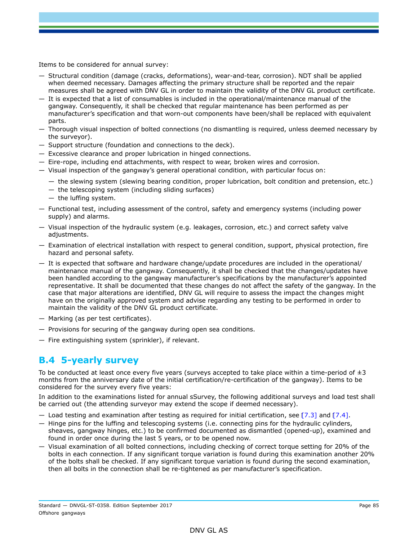Items to be considered for annual survey:

- Structural condition (damage (cracks, deformations), wear-and-tear, corrosion). NDT shall be applied when deemed necessary. Damages affecting the primary structure shall be reported and the repair measures shall be agreed with DNV GL in order to maintain the validity of the DNV GL product certificate.
- It is expected that a list of consumables is included in the operational/maintenance manual of the gangway. Consequently, it shall be checked that regular maintenance has been performed as per manufacturer's specification and that worn-out components have been/shall be replaced with equivalent parts.
- Thorough visual inspection of bolted connections (no dismantling is required, unless deemed necessary by the surveyor).
- Support structure (foundation and connections to the deck).
- Excessive clearance and proper lubrication in hinged connections.
- Eire-rope, including end attachments, with respect to wear, broken wires and corrosion.
- Visual inspection of the gangway's general operational condition, with particular focus on:
	- the slewing system (slewing bearing condition, proper lubrication, bolt condition and pretension, etc.)
	- $-$  the telescoping system (including sliding surfaces)
	- the luffing system.
- Functional test, including assessment of the control, safety and emergency systems (including power supply) and alarms.
- Visual inspection of the hydraulic system (e.g. leakages, corrosion, etc.) and correct safety valve adjustments.
- Examination of electrical installation with respect to general condition, support, physical protection, fire hazard and personal safety.
- It is expected that software and hardware change/update procedures are included in the operational/ maintenance manual of the gangway. Consequently, it shall be checked that the changes/updates have been handled according to the gangway manufacturer's specifications by the manufacturer's appointed representative. It shall be documented that these changes do not affect the safety of the gangway. In the case that major alterations are identified, DNV GL will require to assess the impact the changes might have on the originally approved system and advise regarding any testing to be performed in order to maintain the validity of the DNV GL product certificate.
- Marking (as per test certificates).
- Provisions for securing of the gangway during open sea conditions.
- Fire extinguishing system (sprinkler), if relevant.

### **B.4 5-yearly survey**

To be conducted at least once every five years (surveys accepted to take place within a time-period of  $\pm 3$ months from the anniversary date of the initial certification/re-certification of the gangway). Items to be considered for the survey every five years:

In addition to the examinations listed for annual sSurvey, the following additional surveys and load test shall be carried out (the attending surveyor may extend the scope if deemed necessary).

- Load testing and examination after testing as required for initial certification, see  $[7.3]$  and  $[7.4]$ .
- Hinge pins for the luffing and telescoping systems (i.e. connecting pins for the hydraulic cylinders, sheaves, gangway hinges, etc.) to be confirmed documented as dismantled (opened-up), examined and found in order once during the last 5 years, or to be opened now.
- Visual examination of all bolted connections, including checking of correct torque setting for 20% of the bolts in each connection. If any significant torque variation is found during this examination another 20% of the bolts shall be checked. If any significant torque variation is found during the second examination, then all bolts in the connection shall be re-tightened as per manufacturer's specification.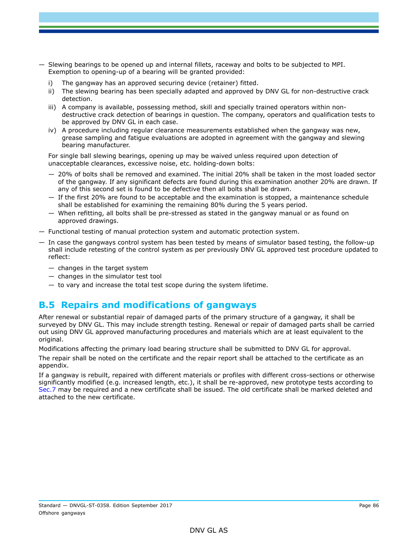- Slewing bearings to be opened up and internal fillets, raceway and bolts to be subjected to MPI. Exemption to opening-up of a bearing will be granted provided:
	- i) The gangway has an approved securing device (retainer) fitted.
	- ii) The slewing bearing has been specially adapted and approved by DNV GL for non-destructive crack detection.
	- iii) A company is available, possessing method, skill and specially trained operators within nondestructive crack detection of bearings in question. The company, operators and qualification tests to be approved by DNV GL in each case.
	- iv) A procedure including regular clearance measurements established when the gangway was new, grease sampling and fatigue evaluations are adopted in agreement with the gangway and slewing bearing manufacturer.

For single ball slewing bearings, opening up may be waived unless required upon detection of unacceptable clearances, excessive noise, etc. holding-down bolts:

- 20% of bolts shall be removed and examined. The initial 20% shall be taken in the most loaded sector of the gangway. If any significant defects are found during this examination another 20% are drawn. If any of this second set is found to be defective then all bolts shall be drawn.
- If the first 20% are found to be acceptable and the examination is stopped, a maintenance schedule shall be established for examining the remaining 80% during the 5 years period.
- When refitting, all bolts shall be pre-stressed as stated in the gangway manual or as found on approved drawings.
- Functional testing of manual protection system and automatic protection system.
- In case the gangways control system has been tested by means of simulator based testing, the follow-up shall include retesting of the control system as per previously DNV GL approved test procedure updated to reflect:
	- changes in the target system
	- changes in the simulator test tool
	- to vary and increase the total test scope during the system lifetime.

## **B.5 Repairs and modifications of gangways**

After renewal or substantial repair of damaged parts of the primary structure of a gangway, it shall be surveyed by DNV GL. This may include strength testing. Renewal or repair of damaged parts shall be carried out using DNV GL approved manufacturing procedures and materials which are at least equivalent to the original.

Modifications affecting the primary load bearing structure shall be submitted to DNV GL for approval.

The repair shall be noted on the certificate and the repair report shall be attached to the certificate as an appendix.

If a gangway is rebuilt, repaired with different materials or profiles with different cross-sections or otherwise significantly modified (e.g. increased length, etc.), it shall be re-approved, new prototype tests according to Sec.7 may be required and a new certificate shall be issued. The old certificate shall be marked deleted and attached to the new certificate.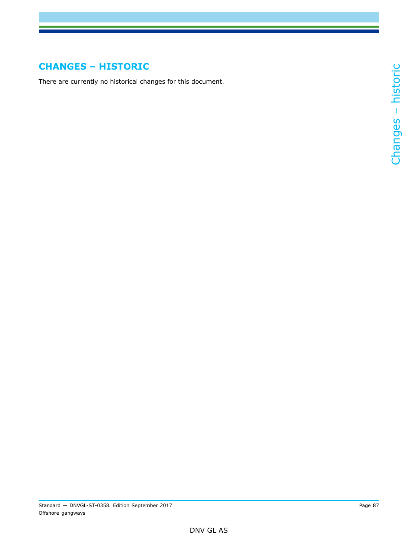# **CHANGES – HISTORIC**

There are currently no historical changes for this document.